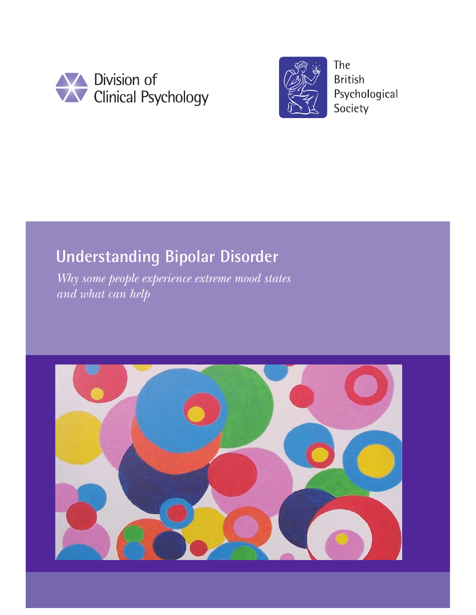



**The British** Psychological Society

# **Understanding Bipolar Disorder**

*Why some people experience extreme mood states and what can help* 

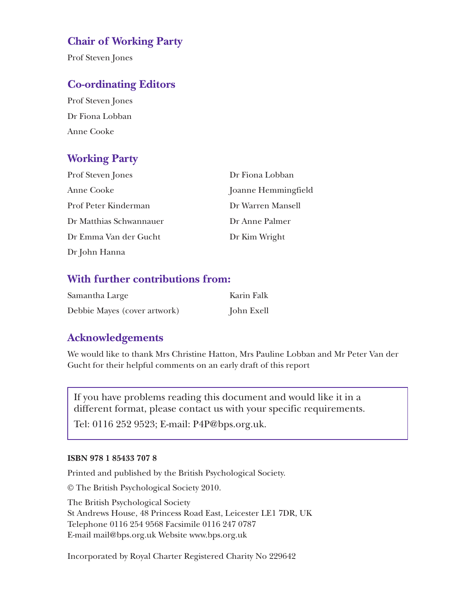## **Chair of Working Party**

Prof Steven Jones

## **Co-ordinating Editors**

Prof Steven Jones Dr Fiona Lobban Anne Cooke

## **Working Party**

| <b>Prof Steven Jones</b> | Dr Fiona Lobban     |
|--------------------------|---------------------|
| Anne Cooke               | Joanne Hemmingfield |
| Prof Peter Kinderman     | Dr Warren Mansell   |
| Dr Matthias Schwannauer  | Dr Anne Palmer      |
| Dr Emma Van der Gucht    | Dr Kim Wright       |
| Dr John Hanna            |                     |

### **With further contributions from:**

| Samantha Large               | Karin Falk |
|------------------------------|------------|
| Debbie Mayes (cover artwork) | John Exell |

## **Acknowledgements**

We would like to thank Mrs Christine Hatton, Mrs Pauline Lobban and Mr Peter Van der Gucht for their helpful comments on an early draft of this report

If you have problems reading this document and would like it in a different format, please contact us with your specific requirements.

Tel: 0116 252 9523; E-mail: P4P@bps.org.uk.

#### **ISBN 978 1 85433 707 8**

Printed and published by the British Psychological Society.

© The British Psychological Society 2010.

The British Psychological Society St Andrews House, 48 Princess Road East, Leicester LE1 7DR, UK Telephone 0116 254 9568 Facsimile 0116 247 0787 E-mail mail@bps.org.uk Website www.bps.org.uk

Incorporated by Royal Charter Registered Charity No 229642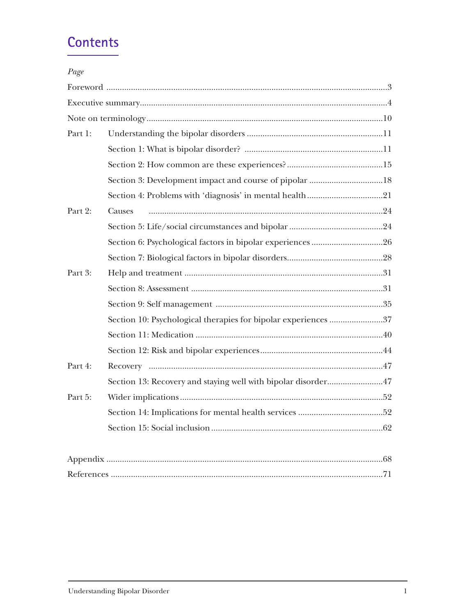## **Contents**

| Page     |                                                                |     |
|----------|----------------------------------------------------------------|-----|
|          |                                                                |     |
|          |                                                                |     |
|          |                                                                |     |
| Part 1:  |                                                                |     |
|          |                                                                |     |
|          |                                                                |     |
|          | Section 3: Development impact and course of pipolar 18         |     |
|          |                                                                |     |
| Part 2:  | Causes                                                         |     |
|          |                                                                |     |
|          |                                                                |     |
|          |                                                                |     |
| Part 3:  |                                                                |     |
|          |                                                                |     |
|          |                                                                |     |
|          | Section 10: Psychological therapies for bipolar experiences 37 |     |
|          |                                                                |     |
|          |                                                                |     |
| Part 4:  |                                                                |     |
|          | Section 13: Recovery and staying well with bipolar disorder47  |     |
| Part 5:  |                                                                |     |
|          |                                                                |     |
|          |                                                                |     |
|          |                                                                |     |
| Appendix |                                                                | .68 |

Appendix ............................................................................................................................68 References ..........................................................................................................................71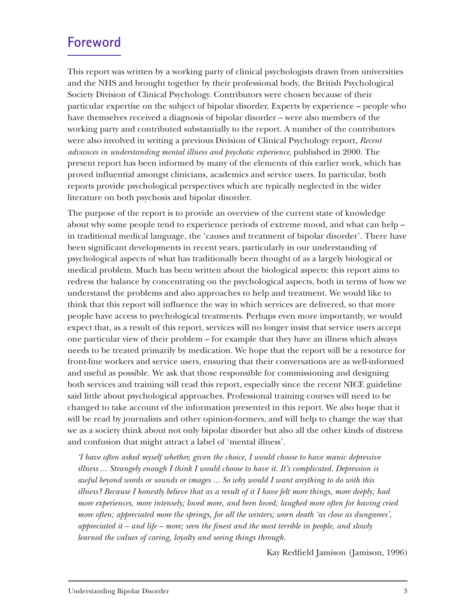## **Foreword**

This report was written by a working party of clinical psychologists drawn from universities and the NHS and brought together by their professional body, the British Psychological Society Division of Clinical Psychology. Contributors were chosen because of their particular expertise on the subject of bipolar disorder. Experts by experience – people who have themselves received a diagnosis of bipolar disorder – were also members of the working party and contributed substantially to the report. A number of the contributors were also involved in writing a previous Division of Clinical Psychology report, *Recent advances in understanding mental illness and psychotic experience*, published in 2000. The present report has been informed by many of the elements of this earlier work, which has proved influential amongst clinicians, academics and service users. In particular, both reports provide psychological perspectives which are typically neglected in the wider literature on both psychosis and bipolar disorder.

The purpose of the report is to provide an overview of the current state of knowledge about why some people tend to experience periods of extreme mood, and what can help – in traditional medical language, the 'causes and treatment of bipolar disorder'. There have been significant developments in recent years, particularly in our understanding of psychological aspects of what has traditionally been thought of as a largely biological or medical problem. Much has been written about the biological aspects: this report aims to redress the balance by concentrating on the psychological aspects, both in terms of how we understand the problems and also approaches to help and treatment. We would like to think that this report will influence the way in which services are delivered, so that more people have access to psychological treatments. Perhaps even more importantly, we would expect that, as a result of this report, services will no longer insist that service users accept one particular view of their problem – for example that they have an illness which always needs to be treated primarily by medication. We hope that the report will be a resource for front-line workers and service users, ensuring that their conversations are as well-informed and useful as possible. We ask that those responsible for commissioning and designing both services and training will read this report, especially since the recent NICE guideline said little about psychological approaches. Professional training courses will need to be changed to take account of the information presented in this report. We also hope that it will be read by journalists and other opinion-formers, and will help to change the way that we as a society think about not only bipolar disorder but also all the other kinds of distress and confusion that might attract a label of 'mental illness'.

*'I have often asked myself whether, given the choice, I would choose to have manic depressive illness ... Strangely enough I think I would choose to have it. It's complicated. Depression is awful beyond words or sounds or images ... So why would I want anything to do with this illness? Because I honestly believe that as a result of it I have felt more things, more deeply; had more experiences, more intensely; loved more, and been loved; laughed more often for having cried more often; appreciated more the springs, for all the winters; worn death 'as close as dungarees', appreciated it – and life – more; seen the finest and the most terrible in people, and slowly learned the values of caring, loyalty and seeing things through.*

Kay Redfield Jamison (Jamison, 1996)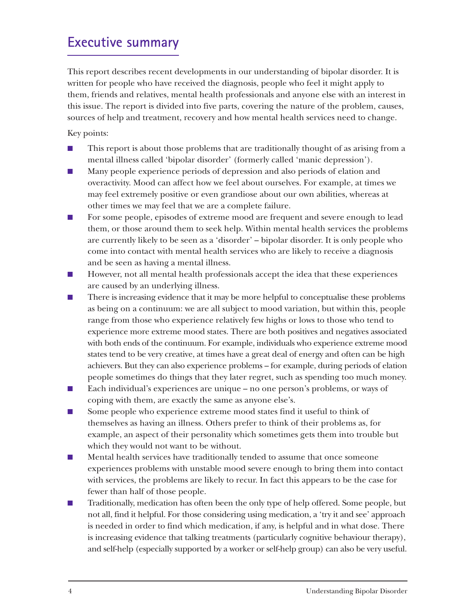## **Executive summary**

This report describes recent developments in our understanding of bipolar disorder. It is written for people who have received the diagnosis, people who feel it might apply to them, friends and relatives, mental health professionals and anyone else with an interest in this issue. The report is divided into five parts, covering the nature of the problem, causes, sources of help and treatment, recovery and how mental health services need to change.

Key points:

- This report is about those problems that are traditionally thought of as arising from a mental illness called 'bipolar disorder' (formerly called 'manic depression').
- Many people experience periods of depression and also periods of elation and overactivity. Mood can affect how we feel about ourselves. For example, at times we may feel extremely positive or even grandiose about our own abilities, whereas at other times we may feel that we are a complete failure.
- For some people, episodes of extreme mood are frequent and severe enough to lead them, or those around them to seek help. Within mental health services the problems are currently likely to be seen as a 'disorder' – bipolar disorder. It is only people who come into contact with mental health services who are likely to receive a diagnosis and be seen as having a mental illness.
- However, not all mental health professionals accept the idea that these experiences are caused by an underlying illness.
- There is increasing evidence that it may be more helpful to conceptualise these problems as being on a continuum: we are all subject to mood variation, but within this, people range from those who experience relatively few highs or lows to those who tend to experience more extreme mood states. There are both positives and negatives associated with both ends of the continuum. For example, individuals who experience extreme mood states tend to be very creative, at times have a great deal of energy and often can be high achievers. But they can also experience problems – for example, during periods of elation people sometimes do things that they later regret, such as spending too much money.
- Each individual's experiences are unique no one person's problems, or ways of coping with them, are exactly the same as anyone else's.
- Some people who experience extreme mood states find it useful to think of themselves as having an illness. Others prefer to think of their problems as, for example, an aspect of their personality which sometimes gets them into trouble but which they would not want to be without.
- Mental health services have traditionally tended to assume that once someone experiences problems with unstable mood severe enough to bring them into contact with services, the problems are likely to recur. In fact this appears to be the case for fewer than half of those people.
- Traditionally, medication has often been the only type of help offered. Some people, but not all, find it helpful. For those considering using medication, a 'try it and see' approach is needed in order to find which medication, if any, is helpful and in what dose. There is increasing evidence that talking treatments (particularly cognitive behaviour therapy), and self-help (especially supported by a worker or self-help group) can also be very useful.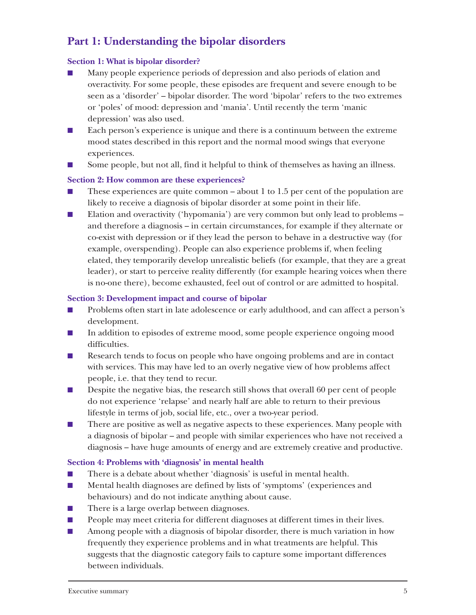## **Part 1: Understanding the bipolar disorders**

#### **Section 1: What is bipolar disorder?**

- Many people experience periods of depression and also periods of elation and overactivity. For some people, these episodes are frequent and severe enough to be seen as a 'disorder' – bipolar disorder. The word 'bipolar' refers to the two extremes or 'poles' of mood: depression and 'mania'. Until recently the term 'manic depression' was also used.
- Each person's experience is unique and there is a continuum between the extreme mood states described in this report and the normal mood swings that everyone experiences.
- Some people, but not all, find it helpful to think of themselves as having an illness.

#### **Section 2: How common are these experiences?**

- $\blacksquare$  These experiences are quite common about 1 to 1.5 per cent of the population are likely to receive a diagnosis of bipolar disorder at some point in their life.
- Elation and overactivity ('hypomania') are very common but only lead to problems and therefore a diagnosis – in certain circumstances, for example if they alternate or co-exist with depression or if they lead the person to behave in a destructive way (for example, overspending). People can also experience problems if, when feeling elated, they temporarily develop unrealistic beliefs (for example, that they are a great leader), or start to perceive reality differently (for example hearing voices when there is no-one there), become exhausted, feel out of control or are admitted to hospital.

#### **Section 3: Development impact and course of bipolar**

- Problems often start in late adolescence or early adulthood, and can affect a person's development.
- In addition to episodes of extreme mood, some people experience ongoing mood difficulties.
- Research tends to focus on people who have ongoing problems and are in contact with services. This may have led to an overly negative view of how problems affect people, i.e. that they tend to recur.
- Despite the negative bias, the research still shows that overall 60 per cent of people do not experience 'relapse' and nearly half are able to return to their previous lifestyle in terms of job, social life, etc., over a two-year period.
- There are positive as well as negative aspects to these experiences. Many people with a diagnosis of bipolar – and people with similar experiences who have not received a diagnosis – have huge amounts of energy and are extremely creative and productive.

#### **Section 4: Problems with 'diagnosis' in mental health**

- There is a debate about whether 'diagnosis' is useful in mental health.
- Mental health diagnoses are defined by lists of 'symptoms' (experiences and behaviours) and do not indicate anything about cause.
- There is a large overlap between diagnoses.
- People may meet criteria for different diagnoses at different times in their lives.
- Among people with a diagnosis of bipolar disorder, there is much variation in how frequently they experience problems and in what treatments are helpful. This suggests that the diagnostic category fails to capture some important differences between individuals.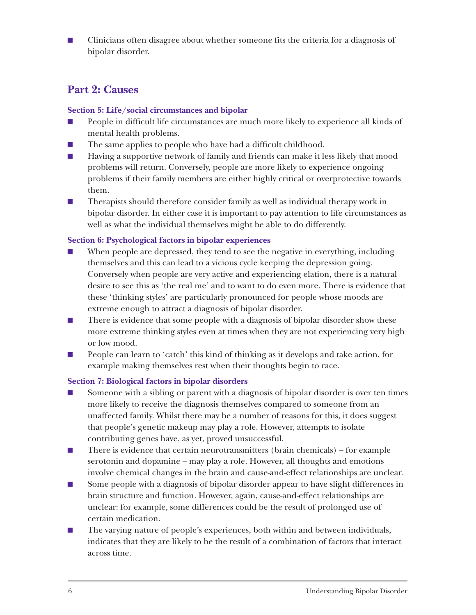■ Clinicians often disagree about whether someone fits the criteria for a diagnosis of bipolar disorder.

## **Part 2: Causes**

#### **Section 5: Life/social circumstances and bipolar**

- People in difficult life circumstances are much more likely to experience all kinds of mental health problems.
- The same applies to people who have had a difficult childhood.
- Having a supportive network of family and friends can make it less likely that mood problems will return. Conversely, people are more likely to experience ongoing problems if their family members are either highly critical or overprotective towards them.
- Therapists should therefore consider family as well as individual therapy work in bipolar disorder. In either case it is important to pay attention to life circumstances as well as what the individual themselves might be able to do differently.

#### **Section 6: Psychological factors in bipolar experiences**

- When people are depressed, they tend to see the negative in everything, including themselves and this can lead to a vicious cycle keeping the depression going. Conversely when people are very active and experiencing elation, there is a natural desire to see this as 'the real me' and to want to do even more. There is evidence that these 'thinking styles' are particularly pronounced for people whose moods are extreme enough to attract a diagnosis of bipolar disorder.
- There is evidence that some people with a diagnosis of bipolar disorder show these more extreme thinking styles even at times when they are not experiencing very high or low mood.
- People can learn to 'catch' this kind of thinking as it develops and take action, for example making themselves rest when their thoughts begin to race.

#### **Section 7: Biological factors in bipolar disorders**

- Someone with a sibling or parent with a diagnosis of bipolar disorder is over ten times more likely to receive the diagnosis themselves compared to someone from an unaffected family. Whilst there may be a number of reasons for this, it does suggest that people's genetic makeup may play a role. However, attempts to isolate contributing genes have, as yet, proved unsuccessful.
- There is evidence that certain neurotransmitters (brain chemicals) for example serotonin and dopamine – may play a role. However, all thoughts and emotions involve chemical changes in the brain and cause-and-effect relationships are unclear.
- Some people with a diagnosis of bipolar disorder appear to have slight differences in brain structure and function. However, again, cause-and-effect relationships are unclear: for example, some differences could be the result of prolonged use of certain medication.
- The varying nature of people's experiences, both within and between individuals, indicates that they are likely to be the result of a combination of factors that interact across time.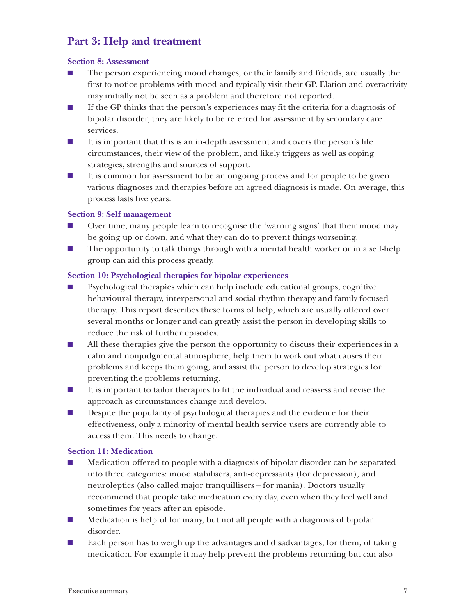## **Part 3: Help and treatment**

#### **Section 8: Assessment**

- The person experiencing mood changes, or their family and friends, are usually the first to notice problems with mood and typically visit their GP. Elation and overactivity may initially not be seen as a problem and therefore not reported.
- If the GP thinks that the person's experiences may fit the criteria for a diagnosis of bipolar disorder, they are likely to be referred for assessment by secondary care services.
- It is important that this is an in-depth assessment and covers the person's life circumstances, their view of the problem, and likely triggers as well as coping strategies, strengths and sources of support.
- It is common for assessment to be an ongoing process and for people to be given various diagnoses and therapies before an agreed diagnosis is made. On average, this process lasts five years.

#### **Section 9: Self management**

- Over time, many people learn to recognise the 'warning signs' that their mood may be going up or down, and what they can do to prevent things worsening.
- The opportunity to talk things through with a mental health worker or in a self-help group can aid this process greatly.

#### **Section 10: Psychological therapies for bipolar experiences**

- Psychological therapies which can help include educational groups, cognitive behavioural therapy, interpersonal and social rhythm therapy and family focused therapy. This report describes these forms of help, which are usually offered over several months or longer and can greatly assist the person in developing skills to reduce the risk of further episodes.
- All these therapies give the person the opportunity to discuss their experiences in a calm and nonjudgmental atmosphere, help them to work out what causes their problems and keeps them going, and assist the person to develop strategies for preventing the problems returning.
- It is important to tailor therapies to fit the individual and reassess and revise the approach as circumstances change and develop.
- Despite the popularity of psychological therapies and the evidence for their effectiveness, only a minority of mental health service users are currently able to access them. This needs to change.

#### **Section 11: Medication**

- Medication offered to people with a diagnosis of bipolar disorder can be separated into three categories: mood stabilisers, anti-depressants (for depression), and neuroleptics (also called major tranquillisers – for mania). Doctors usually recommend that people take medication every day, even when they feel well and sometimes for years after an episode.
- Medication is helpful for many, but not all people with a diagnosis of bipolar disorder.
- Each person has to weigh up the advantages and disadvantages, for them, of taking medication. For example it may help prevent the problems returning but can also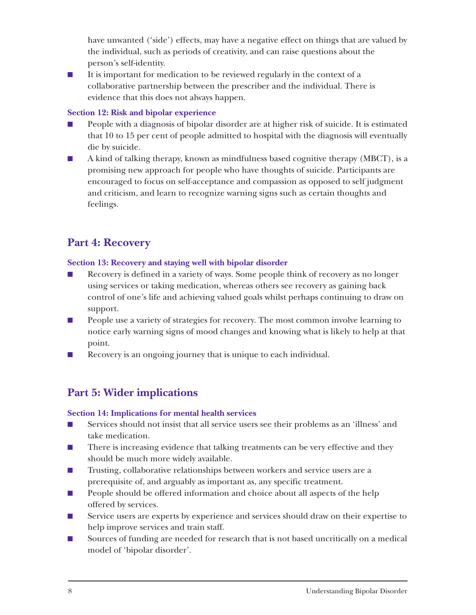have unwanted ('side') effects, may have a negative effect on things that are valued by the individual, such as periods of creativity, and can raise questions about the person's self-identity.

■ It is important for medication to be reviewed regularly in the context of a collaborative partnership between the prescriber and the individual. There is evidence that this does not always happen.

#### **Section 12: Risk and bipolar experience**

- People with a diagnosis of bipolar disorder are at higher risk of suicide. It is estimated that 10 to 15 per cent of people admitted to hospital with the diagnosis will eventually die by suicide.
- A kind of talking therapy, known as mindfulness based cognitive therapy (MBCT), is a promising new approach for people who have thoughts of suicide. Participants are encouraged to focus on self-acceptance and compassion as opposed to self judgment and criticism, and learn to recognize warning signs such as certain thoughts and feelings.

## **Part 4: Recovery**

#### **Section 13: Recovery and staying well with bipolar disorder**

- Recovery is defined in a variety of ways. Some people think of recovery as no longer using services or taking medication, whereas others see recovery as gaining back control of one's life and achieving valued goals whilst perhaps continuing to draw on support.
- People use a variety of strategies for recovery. The most common involve learning to notice early warning signs of mood changes and knowing what is likely to help at that point.
- Recovery is an ongoing journey that is unique to each individual.

## **Part 5: Wider implications**

#### **Section 14: Implications for mental health services**

- Services should not insist that all service users see their problems as an 'illness' and take medication.
- There is increasing evidence that talking treatments can be very effective and they should be much more widely available.
- Trusting, collaborative relationships between workers and service users are a prerequisite of, and arguably as important as, any specific treatment.
- People should be offered information and choice about all aspects of the help offered by services.
- Service users are experts by experience and services should draw on their expertise to help improve services and train staff.
- Sources of funding are needed for research that is not based uncritically on a medical model of 'bipolar disorder'.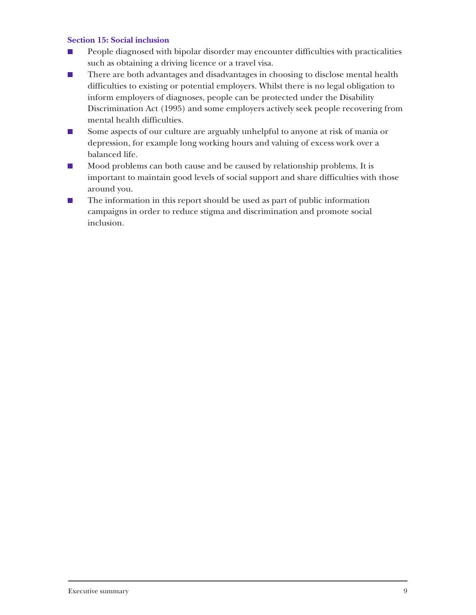#### **Section 15: Social inclusion**

- People diagnosed with bipolar disorder may encounter difficulties with practicalities such as obtaining a driving licence or a travel visa.
- There are both advantages and disadvantages in choosing to disclose mental health difficulties to existing or potential employers. Whilst there is no legal obligation to inform employers of diagnoses, people can be protected under the Disability Discrimination Act (1995) and some employers actively seek people recovering from mental health difficulties.
- Some aspects of our culture are arguably unhelpful to anyone at risk of mania or depression, for example long working hours and valuing of excess work over a balanced life.
- Mood problems can both cause and be caused by relationship problems. It is important to maintain good levels of social support and share difficulties with those around you.
- The information in this report should be used as part of public information campaigns in order to reduce stigma and discrimination and promote social inclusion.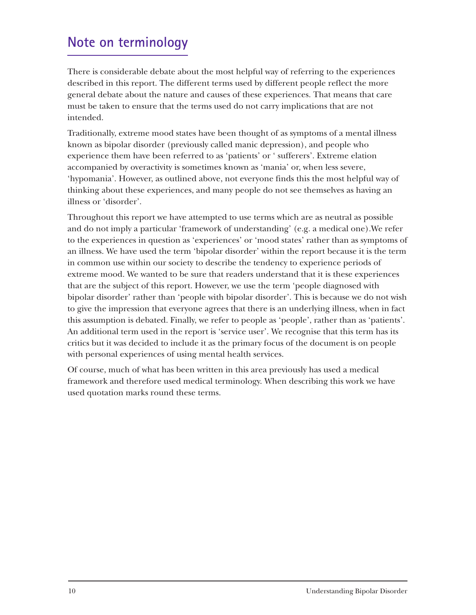## **Note on terminology**

There is considerable debate about the most helpful way of referring to the experiences described in this report. The different terms used by different people reflect the more general debate about the nature and causes of these experiences. That means that care must be taken to ensure that the terms used do not carry implications that are not intended.

Traditionally, extreme mood states have been thought of as symptoms of a mental illness known as bipolar disorder (previously called manic depression), and people who experience them have been referred to as 'patients' or ' sufferers'. Extreme elation accompanied by overactivity is sometimes known as 'mania' or, when less severe, 'hypomania'. However, as outlined above, not everyone finds this the most helpful way of thinking about these experiences, and many people do not see themselves as having an illness or 'disorder'.

Throughout this report we have attempted to use terms which are as neutral as possible and do not imply a particular 'framework of understanding' (e.g. a medical one).We refer to the experiences in question as 'experiences' or 'mood states' rather than as symptoms of an illness. We have used the term 'bipolar disorder' within the report because it is the term in common use within our society to describe the tendency to experience periods of extreme mood. We wanted to be sure that readers understand that it is these experiences that are the subject of this report. However, we use the term 'people diagnosed with bipolar disorder' rather than 'people with bipolar disorder'. This is because we do not wish to give the impression that everyone agrees that there is an underlying illness, when in fact this assumption is debated. Finally, we refer to people as 'people', rather than as 'patients'. An additional term used in the report is 'service user'. We recognise that this term has its critics but it was decided to include it as the primary focus of the document is on people with personal experiences of using mental health services.

Of course, much of what has been written in this area previously has used a medical framework and therefore used medical terminology. When describing this work we have used quotation marks round these terms.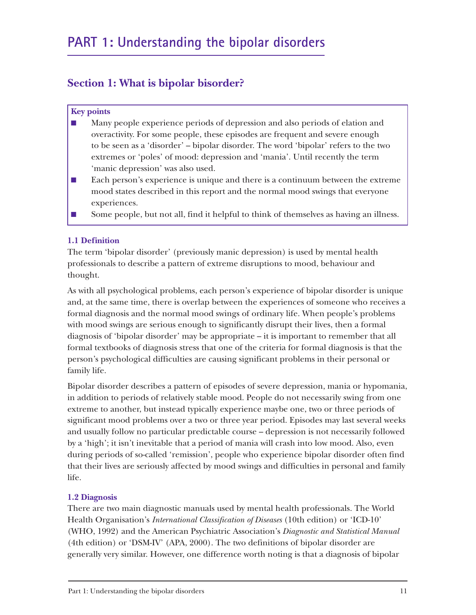## **Section 1: What is bipolar bisorder?**

#### **Key points**

- Many people experience periods of depression and also periods of elation and overactivity. For some people, these episodes are frequent and severe enough to be seen as a 'disorder' – bipolar disorder. The word 'bipolar' refers to the two extremes or 'poles' of mood: depression and 'mania'. Until recently the term 'manic depression' was also used.
- Each person's experience is unique and there is a continuum between the extreme mood states described in this report and the normal mood swings that everyone experiences.
- Some people, but not all, find it helpful to think of themselves as having an illness.

#### **1.1 Definition**

The term 'bipolar disorder' (previously manic depression) is used by mental health professionals to describe a pattern of extreme disruptions to mood, behaviour and thought.

As with all psychological problems, each person's experience of bipolar disorder is unique and, at the same time, there is overlap between the experiences of someone who receives a formal diagnosis and the normal mood swings of ordinary life. When people's problems with mood swings are serious enough to significantly disrupt their lives, then a formal diagnosis of 'bipolar disorder' may be appropriate – it is important to remember that all formal textbooks of diagnosis stress that one of the criteria for formal diagnosis is that the person's psychological difficulties are causing significant problems in their personal or family life.

Bipolar disorder describes a pattern of episodes of severe depression, mania or hypomania, in addition to periods of relatively stable mood. People do not necessarily swing from one extreme to another, but instead typically experience maybe one, two or three periods of significant mood problems over a two or three year period. Episodes may last several weeks and usually follow no particular predictable course – depression is not necessarily followed by a 'high'; it isn't inevitable that a period of mania will crash into low mood. Also, even during periods of so-called 'remission', people who experience bipolar disorder often find that their lives are seriously affected by mood swings and difficulties in personal and family life.

#### **1.2 Diagnosis**

There are two main diagnostic manuals used by mental health professionals. The World Health Organisation's *International Classification of Diseases* (10th edition) or 'ICD-10' (WHO, 1992) and the American Psychiatric Association's *Diagnostic and Statistical Manual* (4th edition) or 'DSM-IV' (APA, 2000). The two definitions of bipolar disorder are generally very similar. However, one difference worth noting is that a diagnosis of bipolar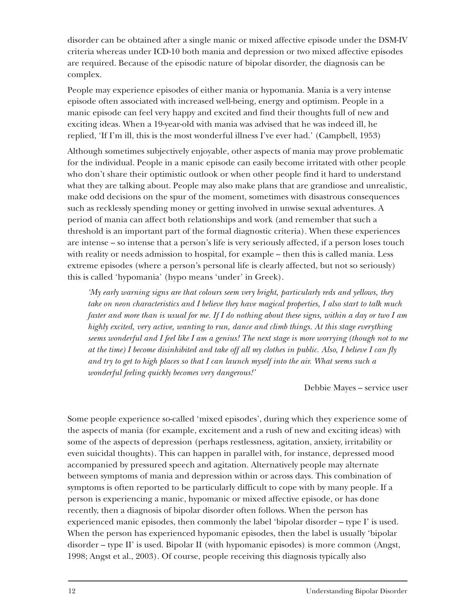disorder can be obtained after a single manic or mixed affective episode under the DSM-IV criteria whereas under ICD-10 both mania and depression or two mixed affective episodes are required. Because of the episodic nature of bipolar disorder, the diagnosis can be complex.

People may experience episodes of either mania or hypomania. Mania is a very intense episode often associated with increased well-being, energy and optimism. People in a manic episode can feel very happy and excited and find their thoughts full of new and exciting ideas. When a 19-year-old with mania was advised that he was indeed ill, he replied, 'If I'm ill, this is the most wonderful illness I've ever had.' (Campbell, 1953)

Although sometimes subjectively enjoyable, other aspects of mania may prove problematic for the individual. People in a manic episode can easily become irritated with other people who don't share their optimistic outlook or when other people find it hard to understand what they are talking about. People may also make plans that are grandiose and unrealistic, make odd decisions on the spur of the moment, sometimes with disastrous consequences such as recklessly spending money or getting involved in unwise sexual adventures. A period of mania can affect both relationships and work (and remember that such a threshold is an important part of the formal diagnostic criteria). When these experiences are intense – so intense that a person's life is very seriously affected, if a person loses touch with reality or needs admission to hospital, for example – then this is called mania. Less extreme episodes (where a person's personal life is clearly affected, but not so seriously) this is called 'hypomania' (hypo means 'under' in Greek).

*'My early warning signs are that colours seem very bright, particularly reds and yellows, they take on neon characteristics and I believe they have magical properties, I also start to talk much faster and more than is usual for me. If I do nothing about these signs, within a day or two I am highly excited, very active, wanting to run, dance and climb things. At this stage everything seems wonderful and I feel like I am a genius! The next stage is more worrying (though not to me at the time) I become disinhibited and take off all my clothes in public. Also, I believe I can fly and try to get to high places so that I can launch myself into the air. What seems such a wonderful feeling quickly becomes very dangerous!'*

Debbie Mayes – service user

Some people experience so-called 'mixed episodes', during which they experience some of the aspects of mania (for example, excitement and a rush of new and exciting ideas) with some of the aspects of depression (perhaps restlessness, agitation, anxiety, irritability or even suicidal thoughts). This can happen in parallel with, for instance, depressed mood accompanied by pressured speech and agitation. Alternatively people may alternate between symptoms of mania and depression within or across days. This combination of symptoms is often reported to be particularly difficult to cope with by many people. If a person is experiencing a manic, hypomanic or mixed affective episode, or has done recently, then a diagnosis of bipolar disorder often follows. When the person has experienced manic episodes, then commonly the label 'bipolar disorder – type I' is used. When the person has experienced hypomanic episodes, then the label is usually 'bipolar disorder – type II' is used. Bipolar II (with hypomanic episodes) is more common (Angst, 1998; Angst et al., 2003). Of course, people receiving this diagnosis typically also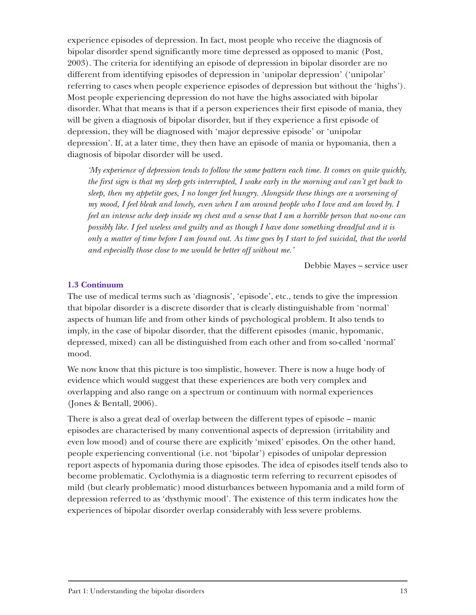experience episodes of depression. In fact, most people who receive the diagnosis of bipolar disorder spend significantly more time depressed as opposed to manic (Post, 2003). The criteria for identifying an episode of depression in bipolar disorder are no different from identifying episodes of depression in 'unipolar depression' ('unipolar' referring to cases when people experience episodes of depression but without the 'highs'). Most people experiencing depression do not have the highs associated with bipolar disorder. What that means is that if a person experiences their first episode of mania, they will be given a diagnosis of bipolar disorder, but if they experience a first episode of depression, they will be diagnosed with 'major depressive episode' or 'unipolar depression'. If, at a later time, they then have an episode of mania or hypomania, then a diagnosis of bipolar disorder will be used.

*'My experience of depression tends to follow the same pattern each time. It comes on quite quickly, the first sign is that my sleep gets interrupted, I wake early in the morning and can't get back to sleep, then my appetite goes, I no longer feel hungry. Alongside these things are a worsening of my mood, I feel bleak and lonely, even when I am around people who I love and am loved by. I feel an intense ache deep inside my chest and a sense that I am a horrible person that no-one can possibly like. I feel useless and guilty and as though I have done something dreadful and it is only a matter of time before I am found out. As time goes by I start to feel suicidal, that the world and especially those close to me would be better off without me.'*

Debbie Mayes – service user

#### **1.3 Continuum**

The use of medical terms such as 'diagnosis', 'episode', etc., tends to give the impression that bipolar disorder is a discrete disorder that is clearly distinguishable from 'normal' aspects of human life and from other kinds of psychological problem. It also tends to imply, in the case of bipolar disorder, that the different episodes (manic, hypomanic, depressed, mixed) can all be distinguished from each other and from so-called 'normal' mood.

We now know that this picture is too simplistic, however. There is now a huge body of evidence which would suggest that these experiences are both very complex and overlapping and also range on a spectrum or continuum with normal experiences (Jones & Bentall, 2006).

There is also a great deal of overlap between the different types of episode – manic episodes are characterised by many conventional aspects of depression (irritability and even low mood) and of course there are explicitly 'mixed' episodes. On the other hand, people experiencing conventional (i.e. not 'bipolar') episodes of unipolar depression report aspects of hypomania during those episodes. The idea of episodes itself tends also to become problematic. Cyclothymia is a diagnostic term referring to recurrent episodes of mild (but clearly problematic) mood disturbances between hypomania and a mild form of depression referred to as 'dysthymic mood'. The existence of this term indicates how the experiences of bipolar disorder overlap considerably with less severe problems.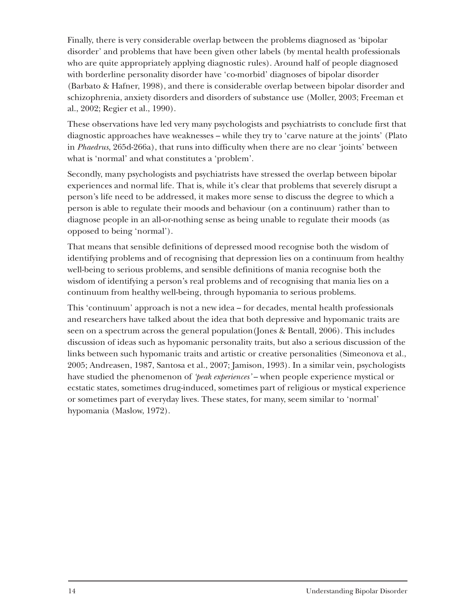Finally, there is very considerable overlap between the problems diagnosed as 'bipolar disorder' and problems that have been given other labels (by mental health professionals who are quite appropriately applying diagnostic rules). Around half of people diagnosed with borderline personality disorder have 'co-morbid' diagnoses of bipolar disorder (Barbato & Hafner, 1998), and there is considerable overlap between bipolar disorder and schizophrenia, anxiety disorders and disorders of substance use (Moller, 2003; Freeman et al., 2002; Regier et al., 1990).

These observations have led very many psychologists and psychiatrists to conclude first that diagnostic approaches have weaknesses – while they try to 'carve nature at the joints' (Plato in *Phaedrus*, 265d-266a), that runs into difficulty when there are no clear 'joints' between what is 'normal' and what constitutes a 'problem'.

Secondly, many psychologists and psychiatrists have stressed the overlap between bipolar experiences and normal life. That is, while it's clear that problems that severely disrupt a person's life need to be addressed, it makes more sense to discuss the degree to which a person is able to regulate their moods and behaviour (on a continuum) rather than to diagnose people in an all-or-nothing sense as being unable to regulate their moods (as opposed to being 'normal').

That means that sensible definitions of depressed mood recognise both the wisdom of identifying problems and of recognising that depression lies on a continuum from healthy well-being to serious problems, and sensible definitions of mania recognise both the wisdom of identifying a person's real problems and of recognising that mania lies on a continuum from healthy well-being, through hypomania to serious problems.

This 'continuum' approach is not a new idea – for decades, mental health professionals and researchers have talked about the idea that both depressive and hypomanic traits are seen on a spectrum across the general population(Jones & Bentall, 2006). This includes discussion of ideas such as hypomanic personality traits, but also a serious discussion of the links between such hypomanic traits and artistic or creative personalities (Simeonova et al., 2005; Andreasen, 1987, Santosa et al., 2007; Jamison, 1993). In a similar vein, psychologists have studied the phenomenon of *'peak experiences'* – when people experience mystical or ecstatic states, sometimes drug-induced, sometimes part of religious or mystical experience or sometimes part of everyday lives. These states, for many, seem similar to 'normal' hypomania (Maslow, 1972).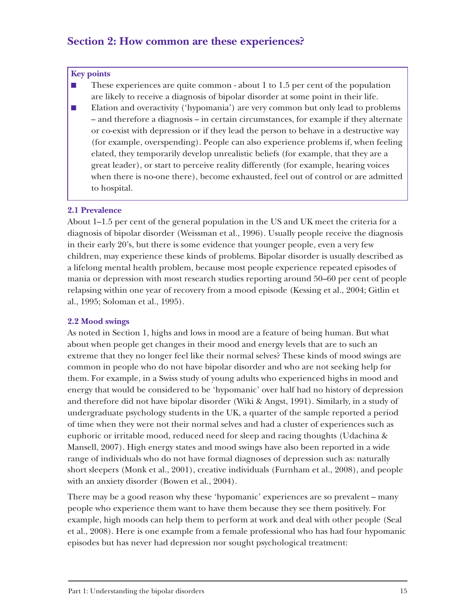### **Section 2: How common are these experiences?**

#### **Key points**

- These experiences are quite common about 1 to 1.5 per cent of the population are likely to receive a diagnosis of bipolar disorder at some point in their life.
- Elation and overactivity ('hypomania') are very common but only lead to problems – and therefore a diagnosis – in certain circumstances, for example if they alternate or co-exist with depression or if they lead the person to behave in a destructive way (for example, overspending). People can also experience problems if, when feeling elated, they temporarily develop unrealistic beliefs (for example, that they are a great leader), or start to perceive reality differently (for example, hearing voices when there is no-one there), become exhausted, feel out of control or are admitted to hospital.

#### **2.1 Prevalence**

About 1–1.5 per cent of the general population in the US and UK meet the criteria for a diagnosis of bipolar disorder (Weissman et al., 1996). Usually people receive the diagnosis in their early 20's, but there is some evidence that younger people, even a very few children, may experience these kinds of problems. Bipolar disorder is usually described as a lifelong mental health problem, because most people experience repeated episodes of mania or depression with most research studies reporting around 50–60 per cent of people relapsing within one year of recovery from a mood episode (Kessing et al., 2004; Gitlin et al., 1995; Soloman et al., 1995).

#### **2.2 Mood swings**

As noted in Section 1, highs and lows in mood are a feature of being human. But what about when people get changes in their mood and energy levels that are to such an extreme that they no longer feel like their normal selves? These kinds of mood swings are common in people who do not have bipolar disorder and who are not seeking help for them. For example, in a Swiss study of young adults who experienced highs in mood and energy that would be considered to be 'hypomanic' over half had no history of depression and therefore did not have bipolar disorder (Wiki & Angst, 1991). Similarly, in a study of undergraduate psychology students in the UK, a quarter of the sample reported a period of time when they were not their normal selves and had a cluster of experiences such as euphoric or irritable mood, reduced need for sleep and racing thoughts (Udachina & Mansell, 2007). High energy states and mood swings have also been reported in a wide range of individuals who do not have formal diagnoses of depression such as: naturally short sleepers (Monk et al., 2001), creative individuals (Furnham et al., 2008), and people with an anxiety disorder (Bowen et al., 2004).

There may be a good reason why these 'hypomanic' experiences are so prevalent – many people who experience them want to have them because they see them positively. For example, high moods can help them to perform at work and deal with other people (Seal et al., 2008). Here is one example from a female professional who has had four hypomanic episodes but has never had depression nor sought psychological treatment: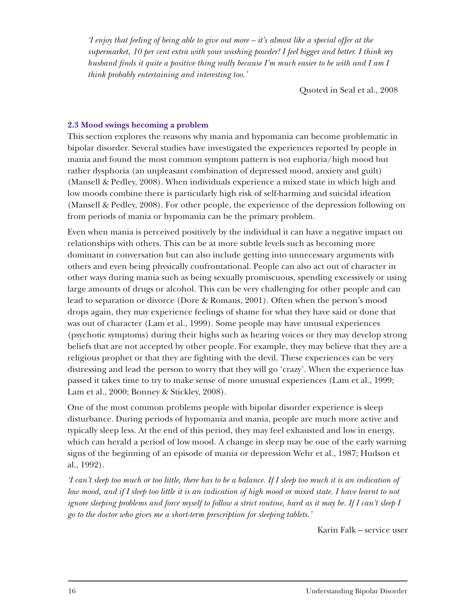*'I enjoy that feeling of being able to give out more – it's almost like a special offer at the supermarket, 10 per cent extra with your washing powder! I feel bigger and better. I think my husband finds it quite a positive thing really because I'm much easier to be with and I am I think probably entertaining and interesting too.'*

Quoted in Seal et al., 2008

#### **2.3 Mood swings becoming a problem**

This section explores the reasons why mania and hypomania can become problematic in bipolar disorder. Several studies have investigated the experiences reported by people in mania and found the most common symptom pattern is not euphoria/high mood but rather dysphoria (an unpleasant combination of depressed mood, anxiety and guilt) (Mansell & Pedley, 2008). When individuals experience a mixed state in which high and low moods combine there is particularly high risk of self-harming and suicidal ideation (Mansell & Pedley, 2008). For other people, the experience of the depression following on from periods of mania or hypomania can be the primary problem.

Even when mania is perceived positively by the individual it can have a negative impact on relationships with others. This can be at more subtle levels such as becoming more dominant in conversation but can also include getting into unnecessary arguments with others and even being physically confrontational. People can also act out of character in other ways during mania such as being sexually promiscuous, spending excessively or using large amounts of drugs or alcohol. This can be very challenging for other people and can lead to separation or divorce (Dore & Romans, 2001). Often when the person's mood drops again, they may experience feelings of shame for what they have said or done that was out of character (Lam et al., 1999). Some people may have unusual experiences (psychotic symptoms) during their highs such as hearing voices or they may develop strong beliefs that are not accepted by other people. For example, they may believe that they are a religious prophet or that they are fighting with the devil. These experiences can be very distressing and lead the person to worry that they will go 'crazy'. When the experience has passed it takes time to try to make sense of more unusual experiences (Lam et al., 1999; Lam et al., 2000; Bonney & Stickley, 2008).

One of the most common problems people with bipolar disorder experience is sleep disturbance. During periods of hypomania and mania, people are much more active and typically sleep less. At the end of this period, they may feel exhausted and low in energy, which can herald a period of low mood. A change in sleep may be one of the early warning signs of the beginning of an episode of mania or depression Wehr et al., 1987; Hudson et al., 1992).

*'I can't sleep too much or too little, there has to be a balance. If I sleep too much it is an indication of low mood, and if I sleep too little it is an indication of high mood or mixed state. I have learnt to not ignore sleeping problems and force myself to follow a strict routine, hard as it may be. If I can't sleep I go to the doctor who gives me a short-term prescription for sleeping tablets.'*

Karin Falk – service user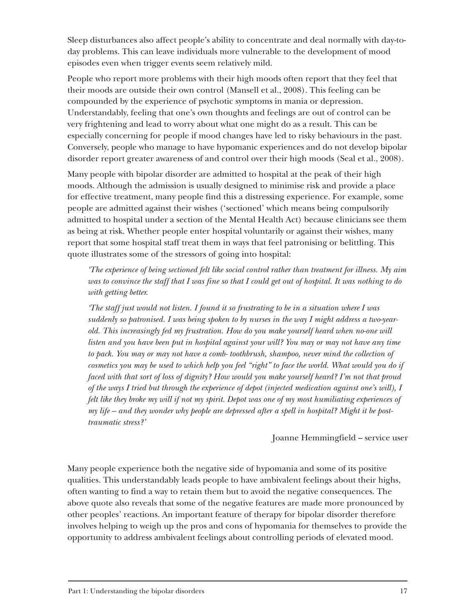Sleep disturbances also affect people's ability to concentrate and deal normally with day-today problems. This can leave individuals more vulnerable to the development of mood episodes even when trigger events seem relatively mild.

People who report more problems with their high moods often report that they feel that their moods are outside their own control (Mansell et al., 2008). This feeling can be compounded by the experience of psychotic symptoms in mania or depression. Understandably, feeling that one's own thoughts and feelings are out of control can be very frightening and lead to worry about what one might do as a result. This can be especially concerning for people if mood changes have led to risky behaviours in the past. Conversely, people who manage to have hypomanic experiences and do not develop bipolar disorder report greater awareness of and control over their high moods (Seal et al., 2008).

Many people with bipolar disorder are admitted to hospital at the peak of their high moods. Although the admission is usually designed to minimise risk and provide a place for effective treatment, many people find this a distressing experience. For example, some people are admitted against their wishes ('sectioned' which means being compulsorily admitted to hospital under a section of the Mental Health Act) because clinicians see them as being at risk. Whether people enter hospital voluntarily or against their wishes, many report that some hospital staff treat them in ways that feel patronising or belittling. This quote illustrates some of the stressors of going into hospital:

*'The experience of being sectioned felt like social control rather than treatment for illness. My aim was to convince the staff that I was fine so that I could get out of hospital. It was nothing to do with getting better.*

*'The staff just would not listen. I found it so frustrating to be in a situation where I was suddenly so patronised. I was being spoken to by nurses in the way I might address a two-yearold. This increasingly fed my frustration. How do you make yourself heard when no-one will listen and you have been put in hospital against your will? You may or may not have any time to pack. You may or may not have a comb- toothbrush, shampoo, never mind the collection of cosmetics you may be used to which help you feel "right" to face the world. What would you do if faced with that sort of loss of dignity? How would you make yourself heard? I'm not that proud of the ways I tried but through the experience of depot (injected medication against one's will), I felt like they broke my will if not my spirit. Depot was one of my most humiliating experiences of my life – and they wonder why people are depressed after a spell in hospital? Might it be posttraumatic stress?'*

Joanne Hemmingfield – service user

Many people experience both the negative side of hypomania and some of its positive qualities. This understandably leads people to have ambivalent feelings about their highs, often wanting to find a way to retain them but to avoid the negative consequences. The above quote also reveals that some of the negative features are made more pronounced by other peoples' reactions. An important feature of therapy for bipolar disorder therefore involves helping to weigh up the pros and cons of hypomania for themselves to provide the opportunity to address ambivalent feelings about controlling periods of elevated mood.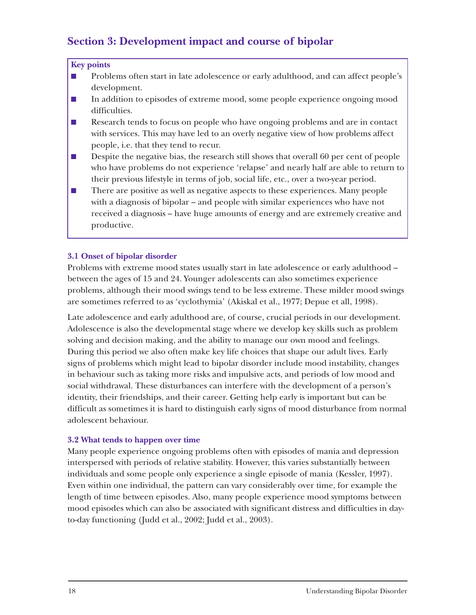## **Section 3: Development impact and course of bipolar**

#### **Key points**

- Problems often start in late adolescence or early adulthood, and can affect people's development.
- In addition to episodes of extreme mood, some people experience ongoing mood difficulties.
- Research tends to focus on people who have ongoing problems and are in contact with services. This may have led to an overly negative view of how problems affect people, i.e. that they tend to recur.
- Despite the negative bias, the research still shows that overall 60 per cent of people who have problems do not experience 'relapse' and nearly half are able to return to their previous lifestyle in terms of job, social life, etc., over a two-year period.
- There are positive as well as negative aspects to these experiences. Many people with a diagnosis of bipolar – and people with similar experiences who have not received a diagnosis – have huge amounts of energy and are extremely creative and productive.

#### **3.1 Onset of bipolar disorder**

Problems with extreme mood states usually start in late adolescence or early adulthood – between the ages of 15 and 24. Younger adolescents can also sometimes experience problems, although their mood swings tend to be less extreme. These milder mood swings are sometimes referred to as 'cyclothymia' (Akiskal et al., 1977; Depue et all, 1998).

Late adolescence and early adulthood are, of course, crucial periods in our development. Adolescence is also the developmental stage where we develop key skills such as problem solving and decision making, and the ability to manage our own mood and feelings. During this period we also often make key life choices that shape our adult lives. Early signs of problems which might lead to bipolar disorder include mood instability, changes in behaviour such as taking more risks and impulsive acts, and periods of low mood and social withdrawal. These disturbances can interfere with the development of a person's identity, their friendships, and their career. Getting help early is important but can be difficult as sometimes it is hard to distinguish early signs of mood disturbance from normal adolescent behaviour.

#### **3.2 What tends to happen over time**

Many people experience ongoing problems often with episodes of mania and depression interspersed with periods of relative stability. However, this varies substantially between individuals and some people only experience a single episode of mania (Kessler, 1997). Even within one individual, the pattern can vary considerably over time, for example the length of time between episodes. Also, many people experience mood symptoms between mood episodes which can also be associated with significant distress and difficulties in dayto-day functioning (Judd et al., 2002; Judd et al., 2003).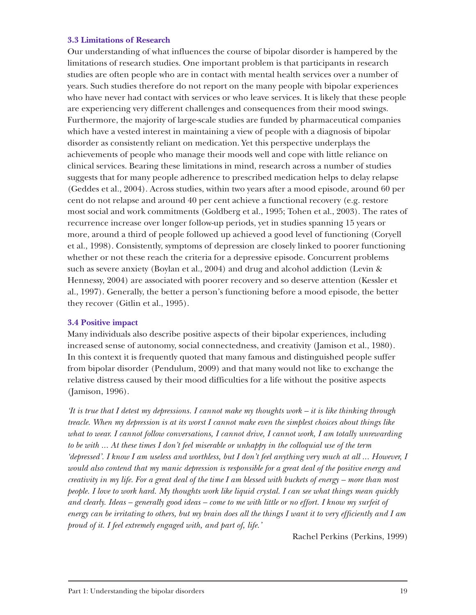#### **3.3 Limitations of Research**

Our understanding of what influences the course of bipolar disorder is hampered by the limitations of research studies. One important problem is that participants in research studies are often people who are in contact with mental health services over a number of years. Such studies therefore do not report on the many people with bipolar experiences who have never had contact with services or who leave services. It is likely that these people are experiencing very different challenges and consequences from their mood swings. Furthermore, the majority of large-scale studies are funded by pharmaceutical companies which have a vested interest in maintaining a view of people with a diagnosis of bipolar disorder as consistently reliant on medication. Yet this perspective underplays the achievements of people who manage their moods well and cope with little reliance on clinical services. Bearing these limitations in mind, research across a number of studies suggests that for many people adherence to prescribed medication helps to delay relapse (Geddes et al., 2004). Across studies, within two years after a mood episode, around 60 per cent do not relapse and around 40 per cent achieve a functional recovery (e.g. restore most social and work commitments (Goldberg et al., 1995; Tohen et al., 2003). The rates of recurrence increase over longer follow-up periods, yet in studies spanning 15 years or more, around a third of people followed up achieved a good level of functioning (Coryell et al., 1998). Consistently, symptoms of depression are closely linked to poorer functioning whether or not these reach the criteria for a depressive episode. Concurrent problems such as severe anxiety (Boylan et al., 2004) and drug and alcohol addiction (Levin & Hennessy, 2004) are associated with poorer recovery and so deserve attention (Kessler et al., 1997). Generally, the better a person's functioning before a mood episode, the better they recover (Gitlin et al., 1995).

#### **3.4 Positive impact**

Many individuals also describe positive aspects of their bipolar experiences, including increased sense of autonomy, social connectedness, and creativity (Jamison et al., 1980). In this context it is frequently quoted that many famous and distinguished people suffer from bipolar disorder (Pendulum, 2009) and that many would not like to exchange the relative distress caused by their mood difficulties for a life without the positive aspects (Jamison, 1996).

*'It is true that I detest my depressions. I cannot make my thoughts work – it is like thinking through treacle. When my depression is at its worst I cannot make even the simplest choices about things like what to wear. I cannot follow conversations, I cannot drive, I cannot work, I am totally unrewarding to be with ... At these times I don't feel miserable or unhappy in the colloquial use of the term 'depressed'. I know I am useless and worthless, but I don't feel anything very much at all ... However, I would also contend that my manic depression is responsible for a great deal of the positive energy and creativity in my life. For a great deal of the time I am blessed with buckets of energy – more than most people. I love to work hard. My thoughts work like liquid crystal. I can see what things mean quickly and clearly. Ideas – generally good ideas – come to me with little or no effort. I know my surfeit of energy can be irritating to others, but my brain does all the things I want it to very efficiently and I am proud of it. I feel extremely engaged with, and part of, life.'* 

Rachel Perkins (Perkins, 1999)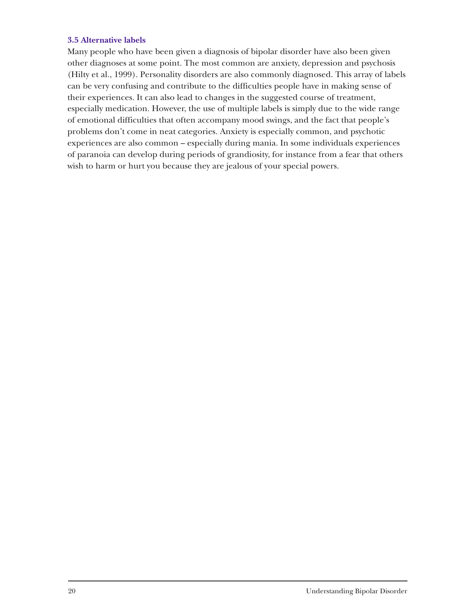#### **3.5 Alternative labels**

Many people who have been given a diagnosis of bipolar disorder have also been given other diagnoses at some point. The most common are anxiety, depression and psychosis (Hilty et al., 1999). Personality disorders are also commonly diagnosed. This array of labels can be very confusing and contribute to the difficulties people have in making sense of their experiences. It can also lead to changes in the suggested course of treatment, especially medication. However, the use of multiple labels is simply due to the wide range of emotional difficulties that often accompany mood swings, and the fact that people's problems don't come in neat categories. Anxiety is especially common, and psychotic experiences are also common – especially during mania. In some individuals experiences of paranoia can develop during periods of grandiosity, for instance from a fear that others wish to harm or hurt you because they are jealous of your special powers.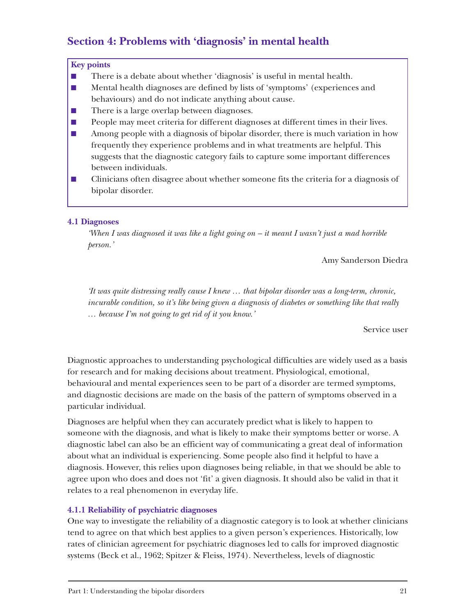## **Section 4: Problems with 'diagnosis' in mental health**

#### **Key points**

- There is a debate about whether 'diagnosis' is useful in mental health.
- Mental health diagnoses are defined by lists of 'symptoms' (experiences and behaviours) and do not indicate anything about cause.
- There is a large overlap between diagnoses.
- People may meet criteria for different diagnoses at different times in their lives.
- Among people with a diagnosis of bipolar disorder, there is much variation in how frequently they experience problems and in what treatments are helpful. This suggests that the diagnostic category fails to capture some important differences between individuals.
- Clinicians often disagree about whether someone fits the criteria for a diagnosis of bipolar disorder.

#### **4.1 Diagnoses**

*'When I was diagnosed it was like a light going on – it meant I wasn't just a mad horrible person.'*

Amy Sanderson Diedra

*'It was quite distressing really cause I knew … that bipolar disorder was a long-term, chronic, incurable condition, so it's like being given a diagnosis of diabetes or something like that really … because I'm not going to get rid of it you know.'*

Service user

Diagnostic approaches to understanding psychological difficulties are widely used as a basis for research and for making decisions about treatment. Physiological, emotional, behavioural and mental experiences seen to be part of a disorder are termed symptoms, and diagnostic decisions are made on the basis of the pattern of symptoms observed in a particular individual.

Diagnoses are helpful when they can accurately predict what is likely to happen to someone with the diagnosis, and what is likely to make their symptoms better or worse. A diagnostic label can also be an efficient way of communicating a great deal of information about what an individual is experiencing. Some people also find it helpful to have a diagnosis. However, this relies upon diagnoses being reliable, in that we should be able to agree upon who does and does not 'fit' a given diagnosis. It should also be valid in that it relates to a real phenomenon in everyday life.

#### **4.1.1 Reliability of psychiatric diagnoses**

One way to investigate the reliability of a diagnostic category is to look at whether clinicians tend to agree on that which best applies to a given person's experiences. Historically, low rates of clinician agreement for psychiatric diagnoses led to calls for improved diagnostic systems (Beck et al., 1962; Spitzer & Fleiss, 1974). Nevertheless, levels of diagnostic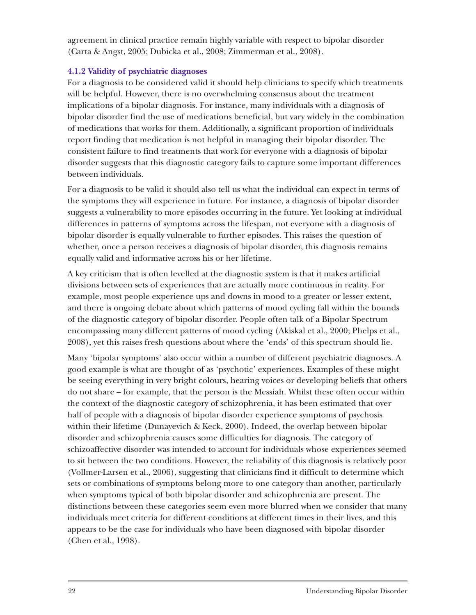agreement in clinical practice remain highly variable with respect to bipolar disorder (Carta & Angst, 2005; Dubicka et al., 2008; Zimmerman et al., 2008).

#### **4.1.2 Validity of psychiatric diagnoses**

For a diagnosis to be considered valid it should help clinicians to specify which treatments will be helpful. However, there is no overwhelming consensus about the treatment implications of a bipolar diagnosis. For instance, many individuals with a diagnosis of bipolar disorder find the use of medications beneficial, but vary widely in the combination of medications that works for them. Additionally, a significant proportion of individuals report finding that medication is not helpful in managing their bipolar disorder. The consistent failure to find treatments that work for everyone with a diagnosis of bipolar disorder suggests that this diagnostic category fails to capture some important differences between individuals.

For a diagnosis to be valid it should also tell us what the individual can expect in terms of the symptoms they will experience in future. For instance, a diagnosis of bipolar disorder suggests a vulnerability to more episodes occurring in the future. Yet looking at individual differences in patterns of symptoms across the lifespan, not everyone with a diagnosis of bipolar disorder is equally vulnerable to further episodes. This raises the question of whether, once a person receives a diagnosis of bipolar disorder, this diagnosis remains equally valid and informative across his or her lifetime.

A key criticism that is often levelled at the diagnostic system is that it makes artificial divisions between sets of experiences that are actually more continuous in reality. For example, most people experience ups and downs in mood to a greater or lesser extent, and there is ongoing debate about which patterns of mood cycling fall within the bounds of the diagnostic category of bipolar disorder. People often talk of a Bipolar Spectrum encompassing many different patterns of mood cycling (Akiskal et al., 2000; Phelps et al., 2008), yet this raises fresh questions about where the 'ends' of this spectrum should lie.

Many 'bipolar symptoms' also occur within a number of different psychiatric diagnoses. A good example is what are thought of as 'psychotic' experiences. Examples of these might be seeing everything in very bright colours, hearing voices or developing beliefs that others do not share – for example, that the person is the Messiah. Whilst these often occur within the context of the diagnostic category of schizophrenia, it has been estimated that over half of people with a diagnosis of bipolar disorder experience symptoms of psychosis within their lifetime (Dunayevich & Keck, 2000). Indeed, the overlap between bipolar disorder and schizophrenia causes some difficulties for diagnosis. The category of schizoaffective disorder was intended to account for individuals whose experiences seemed to sit between the two conditions. However, the reliability of this diagnosis is relatively poor (Vollmer-Larsen et al., 2006), suggesting that clinicians find it difficult to determine which sets or combinations of symptoms belong more to one category than another, particularly when symptoms typical of both bipolar disorder and schizophrenia are present. The distinctions between these categories seem even more blurred when we consider that many individuals meet criteria for different conditions at different times in their lives, and this appears to be the case for individuals who have been diagnosed with bipolar disorder (Chen et al., 1998).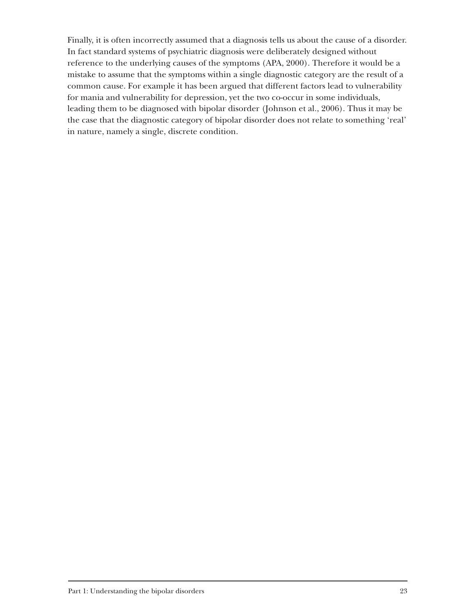Finally, it is often incorrectly assumed that a diagnosis tells us about the cause of a disorder. In fact standard systems of psychiatric diagnosis were deliberately designed without reference to the underlying causes of the symptoms (APA, 2000). Therefore it would be a mistake to assume that the symptoms within a single diagnostic category are the result of a common cause. For example it has been argued that different factors lead to vulnerability for mania and vulnerability for depression, yet the two co-occur in some individuals, leading them to be diagnosed with bipolar disorder (Johnson et al., 2006). Thus it may be the case that the diagnostic category of bipolar disorder does not relate to something 'real' in nature, namely a single, discrete condition.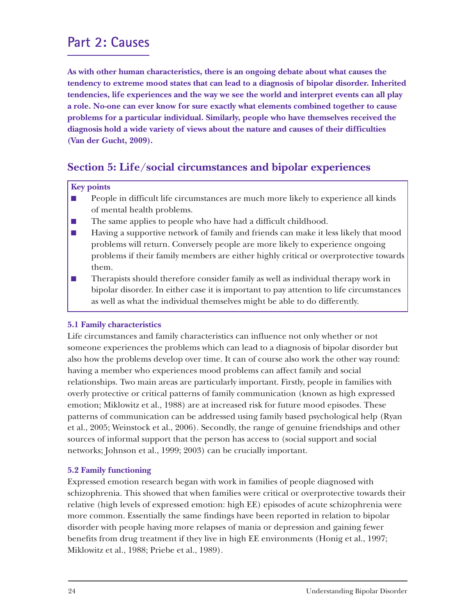## **Part 2: Causes**

**As with other human characteristics, there is an ongoing debate about what causes the tendency to extreme mood states that can lead to a diagnosis of bipolar disorder. Inherited tendencies, life experiences and the way we see the world and interpret events can all play a role. No-one can ever know for sure exactly what elements combined together to cause problems for a particular individual. Similarly, people who have themselves received the diagnosis hold a wide variety of views about the nature and causes of their difficulties (Van der Gucht, 2009).**

## **Section 5: Life/social circumstances and bipolar experiences**

#### **Key points**

- People in difficult life circumstances are much more likely to experience all kinds of mental health problems.
- The same applies to people who have had a difficult childhood.
- Having a supportive network of family and friends can make it less likely that mood problems will return. Conversely people are more likely to experience ongoing problems if their family members are either highly critical or overprotective towards them.
- Therapists should therefore consider family as well as individual therapy work in bipolar disorder. In either case it is important to pay attention to life circumstances as well as what the individual themselves might be able to do differently.

#### **5.1 Family characteristics**

Life circumstances and family characteristics can influence not only whether or not someone experiences the problems which can lead to a diagnosis of bipolar disorder but also how the problems develop over time. It can of course also work the other way round: having a member who experiences mood problems can affect family and social relationships. Two main areas are particularly important. Firstly, people in families with overly protective or critical patterns of family communication (known as high expressed emotion; Miklowitz et al., 1988) are at increased risk for future mood episodes. These patterns of communication can be addressed using family based psychological help (Ryan et al., 2005; Weinstock et al., 2006). Secondly, the range of genuine friendships and other sources of informal support that the person has access to (social support and social networks; Johnson et al., 1999; 2003) can be crucially important.

#### **5.2 Family functioning**

Expressed emotion research began with work in families of people diagnosed with schizophrenia. This showed that when families were critical or overprotective towards their relative (high levels of expressed emotion: high EE) episodes of acute schizophrenia were more common. Essentially the same findings have been reported in relation to bipolar disorder with people having more relapses of mania or depression and gaining fewer benefits from drug treatment if they live in high EE environments (Honig et al., 1997; Miklowitz et al., 1988; Priebe et al., 1989).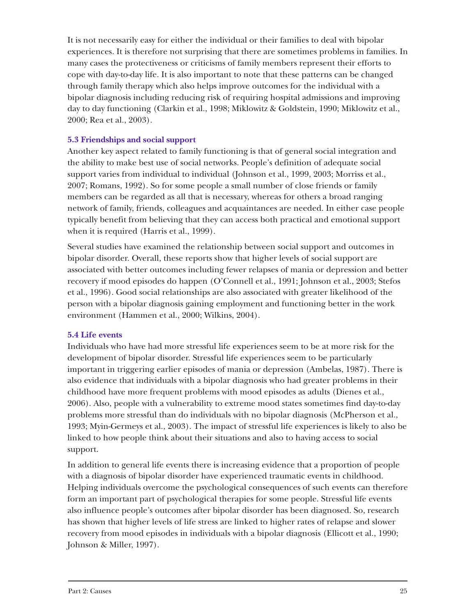It is not necessarily easy for either the individual or their families to deal with bipolar experiences. It is therefore not surprising that there are sometimes problems in families. In many cases the protectiveness or criticisms of family members represent their efforts to cope with day-to-day life. It is also important to note that these patterns can be changed through family therapy which also helps improve outcomes for the individual with a bipolar diagnosis including reducing risk of requiring hospital admissions and improving day to day functioning (Clarkin et al., 1998; Miklowitz & Goldstein, 1990; Miklowitz et al., 2000; Rea et al., 2003).

#### **5.3 Friendships and social support**

Another key aspect related to family functioning is that of general social integration and the ability to make best use of social networks. People's definition of adequate social support varies from individual to individual (Johnson et al., 1999, 2003; Morriss et al., 2007; Romans, 1992). So for some people a small number of close friends or family members can be regarded as all that is necessary, whereas for others a broad ranging network of family, friends, colleagues and acquaintances are needed. In either case people typically benefit from believing that they can access both practical and emotional support when it is required (Harris et al., 1999).

Several studies have examined the relationship between social support and outcomes in bipolar disorder. Overall, these reports show that higher levels of social support are associated with better outcomes including fewer relapses of mania or depression and better recovery if mood episodes do happen (O'Connell et al., 1991; Johnson et al., 2003; Stefos et al., 1996). Good social relationships are also associated with greater likelihood of the person with a bipolar diagnosis gaining employment and functioning better in the work environment (Hammen et al., 2000; Wilkins, 2004).

#### **5.4 Life events**

Individuals who have had more stressful life experiences seem to be at more risk for the development of bipolar disorder. Stressful life experiences seem to be particularly important in triggering earlier episodes of mania or depression (Ambelas, 1987). There is also evidence that individuals with a bipolar diagnosis who had greater problems in their childhood have more frequent problems with mood episodes as adults (Dienes et al., 2006). Also, people with a vulnerability to extreme mood states sometimes find day-to-day problems more stressful than do individuals with no bipolar diagnosis (McPherson et al., 1993; Myin-Germeys et al., 2003). The impact of stressful life experiences is likely to also be linked to how people think about their situations and also to having access to social support.

In addition to general life events there is increasing evidence that a proportion of people with a diagnosis of bipolar disorder have experienced traumatic events in childhood. Helping individuals overcome the psychological consequences of such events can therefore form an important part of psychological therapies for some people. Stressful life events also influence people's outcomes after bipolar disorder has been diagnosed. So, research has shown that higher levels of life stress are linked to higher rates of relapse and slower recovery from mood episodes in individuals with a bipolar diagnosis (Ellicott et al., 1990; Johnson & Miller, 1997).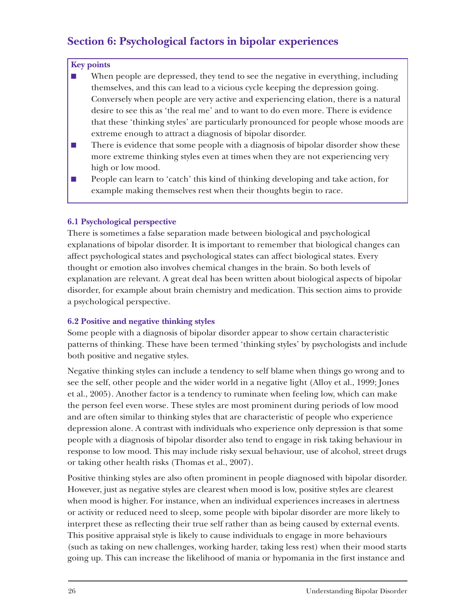## **Section 6: Psychological factors in bipolar experiences**

#### **Key points**

- When people are depressed, they tend to see the negative in everything, including themselves, and this can lead to a vicious cycle keeping the depression going. Conversely when people are very active and experiencing elation, there is a natural desire to see this as 'the real me' and to want to do even more. There is evidence that these 'thinking styles' are particularly pronounced for people whose moods are extreme enough to attract a diagnosis of bipolar disorder.
- There is evidence that some people with a diagnosis of bipolar disorder show these more extreme thinking styles even at times when they are not experiencing very high or low mood.
- People can learn to 'catch' this kind of thinking developing and take action, for example making themselves rest when their thoughts begin to race.

#### **6.1 Psychological perspective**

There is sometimes a false separation made between biological and psychological explanations of bipolar disorder. It is important to remember that biological changes can affect psychological states and psychological states can affect biological states. Every thought or emotion also involves chemical changes in the brain. So both levels of explanation are relevant. A great deal has been written about biological aspects of bipolar disorder, for example about brain chemistry and medication. This section aims to provide a psychological perspective.

#### **6.2 Positive and negative thinking styles**

Some people with a diagnosis of bipolar disorder appear to show certain characteristic patterns of thinking. These have been termed 'thinking styles' by psychologists and include both positive and negative styles.

Negative thinking styles can include a tendency to self blame when things go wrong and to see the self, other people and the wider world in a negative light (Alloy et al., 1999; Jones et al., 2005). Another factor is a tendency to ruminate when feeling low, which can make the person feel even worse. These styles are most prominent during periods of low mood and are often similar to thinking styles that are characteristic of people who experience depression alone. A contrast with individuals who experience only depression is that some people with a diagnosis of bipolar disorder also tend to engage in risk taking behaviour in response to low mood. This may include risky sexual behaviour, use of alcohol, street drugs or taking other health risks (Thomas et al., 2007).

Positive thinking styles are also often prominent in people diagnosed with bipolar disorder. However, just as negative styles are clearest when mood is low, positive styles are clearest when mood is higher. For instance, when an individual experiences increases in alertness or activity or reduced need to sleep, some people with bipolar disorder are more likely to interpret these as reflecting their true self rather than as being caused by external events. This positive appraisal style is likely to cause individuals to engage in more behaviours (such as taking on new challenges, working harder, taking less rest) when their mood starts going up. This can increase the likelihood of mania or hypomania in the first instance and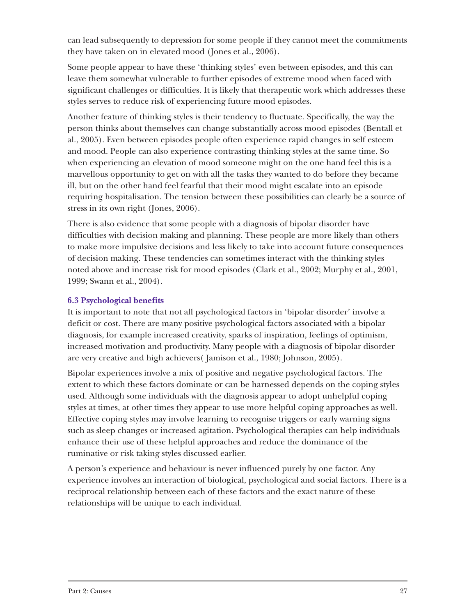can lead subsequently to depression for some people if they cannot meet the commitments they have taken on in elevated mood (Jones et al., 2006).

Some people appear to have these 'thinking styles' even between episodes, and this can leave them somewhat vulnerable to further episodes of extreme mood when faced with significant challenges or difficulties. It is likely that therapeutic work which addresses these styles serves to reduce risk of experiencing future mood episodes.

Another feature of thinking styles is their tendency to fluctuate. Specifically, the way the person thinks about themselves can change substantially across mood episodes (Bentall et al., 2005). Even between episodes people often experience rapid changes in self esteem and mood. People can also experience contrasting thinking styles at the same time. So when experiencing an elevation of mood someone might on the one hand feel this is a marvellous opportunity to get on with all the tasks they wanted to do before they became ill, but on the other hand feel fearful that their mood might escalate into an episode requiring hospitalisation. The tension between these possibilities can clearly be a source of stress in its own right (Jones, 2006).

There is also evidence that some people with a diagnosis of bipolar disorder have difficulties with decision making and planning. These people are more likely than others to make more impulsive decisions and less likely to take into account future consequences of decision making. These tendencies can sometimes interact with the thinking styles noted above and increase risk for mood episodes (Clark et al., 2002; Murphy et al., 2001, 1999; Swann et al., 2004).

#### **6.3 Psychological benefits**

It is important to note that not all psychological factors in 'bipolar disorder' involve a deficit or cost. There are many positive psychological factors associated with a bipolar diagnosis, for example increased creativity, sparks of inspiration, feelings of optimism, increased motivation and productivity. Many people with a diagnosis of bipolar disorder are very creative and high achievers( Jamison et al., 1980; Johnson, 2005).

Bipolar experiences involve a mix of positive and negative psychological factors. The extent to which these factors dominate or can be harnessed depends on the coping styles used. Although some individuals with the diagnosis appear to adopt unhelpful coping styles at times, at other times they appear to use more helpful coping approaches as well. Effective coping styles may involve learning to recognise triggers or early warning signs such as sleep changes or increased agitation. Psychological therapies can help individuals enhance their use of these helpful approaches and reduce the dominance of the ruminative or risk taking styles discussed earlier.

A person's experience and behaviour is never influenced purely by one factor. Any experience involves an interaction of biological, psychological and social factors. There is a reciprocal relationship between each of these factors and the exact nature of these relationships will be unique to each individual.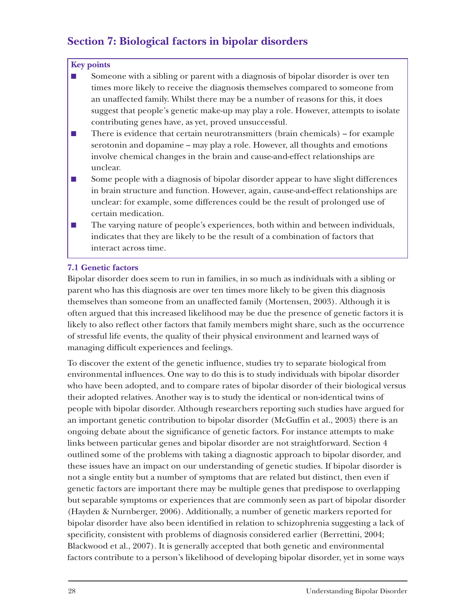## **Section 7: Biological factors in bipolar disorders**

#### **Key points**

- Someone with a sibling or parent with a diagnosis of bipolar disorder is over ten times more likely to receive the diagnosis themselves compared to someone from an unaffected family. Whilst there may be a number of reasons for this, it does suggest that people's genetic make-up may play a role. However, attempts to isolate contributing genes have, as yet, proved unsuccessful.
- There is evidence that certain neurotransmitters (brain chemicals) for example serotonin and dopamine – may play a role. However, all thoughts and emotions involve chemical changes in the brain and cause-and-effect relationships are unclear.
- Some people with a diagnosis of bipolar disorder appear to have slight differences in brain structure and function. However, again, cause-and-effect relationships are unclear: for example, some differences could be the result of prolonged use of certain medication.
- The varying nature of people's experiences, both within and between individuals, indicates that they are likely to be the result of a combination of factors that interact across time.

#### **7.1 Genetic factors**

Bipolar disorder does seem to run in families, in so much as individuals with a sibling or parent who has this diagnosis are over ten times more likely to be given this diagnosis themselves than someone from an unaffected family (Mortensen, 2003). Although it is often argued that this increased likelihood may be due the presence of genetic factors it is likely to also reflect other factors that family members might share, such as the occurrence of stressful life events, the quality of their physical environment and learned ways of managing difficult experiences and feelings.

To discover the extent of the genetic influence, studies try to separate biological from environmental influences. One way to do this is to study individuals with bipolar disorder who have been adopted, and to compare rates of bipolar disorder of their biological versus their adopted relatives. Another way is to study the identical or non-identical twins of people with bipolar disorder. Although researchers reporting such studies have argued for an important genetic contribution to bipolar disorder (McGuffin et al., 2003) there is an ongoing debate about the significance of genetic factors. For instance attempts to make links between particular genes and bipolar disorder are not straightforward. Section 4 outlined some of the problems with taking a diagnostic approach to bipolar disorder, and these issues have an impact on our understanding of genetic studies. If bipolar disorder is not a single entity but a number of symptoms that are related but distinct, then even if genetic factors are important there may be multiple genes that predispose to overlapping but separable symptoms or experiences that are commonly seen as part of bipolar disorder (Hayden & Nurnberger, 2006). Additionally, a number of genetic markers reported for bipolar disorder have also been identified in relation to schizophrenia suggesting a lack of specificity, consistent with problems of diagnosis considered earlier (Berrettini, 2004; Blackwood et al., 2007). It is generally accepted that both genetic and environmental factors contribute to a person's likelihood of developing bipolar disorder, yet in some ways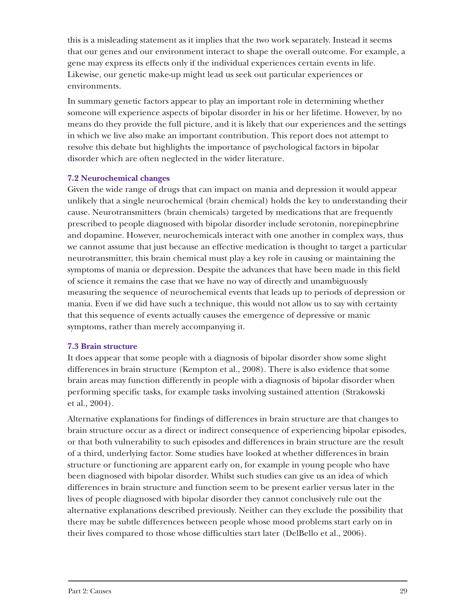this is a misleading statement as it implies that the two work separately. Instead it seems that our genes and our environment interact to shape the overall outcome. For example, a gene may express its effects only if the individual experiences certain events in life. Likewise, our genetic make-up might lead us seek out particular experiences or environments.

In summary genetic factors appear to play an important role in determining whether someone will experience aspects of bipolar disorder in his or her lifetime. However, by no means do they provide the full picture, and it is likely that our experiences and the settings in which we live also make an important contribution. This report does not attempt to resolve this debate but highlights the importance of psychological factors in bipolar disorder which are often neglected in the wider literature.

#### **7.2 Neurochemical changes**

Given the wide range of drugs that can impact on mania and depression it would appear unlikely that a single neurochemical (brain chemical) holds the key to understanding their cause. Neurotransmitters (brain chemicals) targeted by medications that are frequently prescribed to people diagnosed with bipolar disorder include serotonin, norepinephrine and dopamine. However, neurochemicals interact with one another in complex ways, thus we cannot assume that just because an effective medication is thought to target a particular neurotransmitter, this brain chemical must play a key role in causing or maintaining the symptoms of mania or depression. Despite the advances that have been made in this field of science it remains the case that we have no way of directly and unambiguously measuring the sequence of neurochemical events that leads up to periods of depression or mania. Even if we did have such a technique, this would not allow us to say with certainty that this sequence of events actually causes the emergence of depressive or manic symptoms, rather than merely accompanying it.

#### **7.3 Brain structure**

It does appear that some people with a diagnosis of bipolar disorder show some slight differences in brain structure (Kempton et al., 2008). There is also evidence that some brain areas may function differently in people with a diagnosis of bipolar disorder when performing specific tasks, for example tasks involving sustained attention (Strakowski et al., 2004).

Alternative explanations for findings of differences in brain structure are that changes to brain structure occur as a direct or indirect consequence of experiencing bipolar episodes, or that both vulnerability to such episodes and differences in brain structure are the result of a third, underlying factor. Some studies have looked at whether differences in brain structure or functioning are apparent early on, for example in young people who have been diagnosed with bipolar disorder. Whilst such studies can give us an idea of which differences in brain structure and function seem to be present earlier versus later in the lives of people diagnosed with bipolar disorder they cannot conclusively rule out the alternative explanations described previously. Neither can they exclude the possibility that there may be subtle differences between people whose mood problems start early on in their lives compared to those whose difficulties start later (DelBello et al., 2006).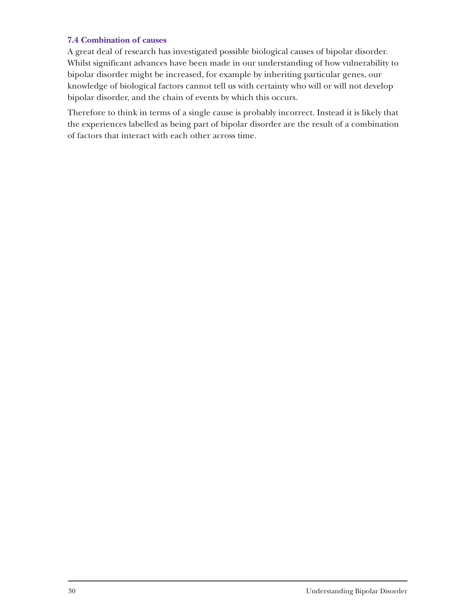#### **7.4 Combination of causes**

A great deal of research has investigated possible biological causes of bipolar disorder. Whilst significant advances have been made in our understanding of how vulnerability to bipolar disorder might be increased, for example by inheriting particular genes, our knowledge of biological factors cannot tell us with certainty who will or will not develop bipolar disorder, and the chain of events by which this occurs.

Therefore to think in terms of a single cause is probably incorrect. Instead it is likely that the experiences labelled as being part of bipolar disorder are the result of a combination of factors that interact with each other across time.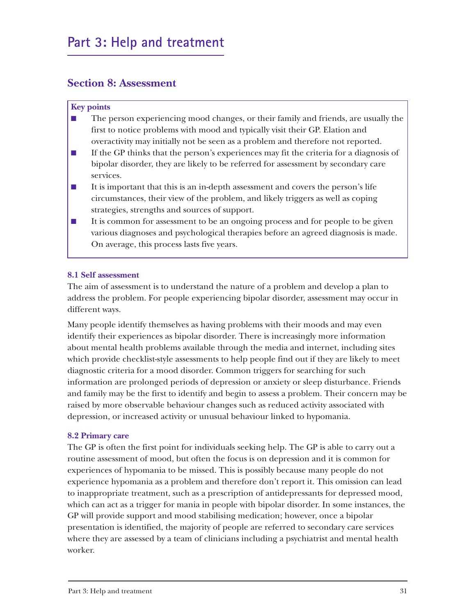### **Section 8: Assessment**

#### **Key points**

- The person experiencing mood changes, or their family and friends, are usually the first to notice problems with mood and typically visit their GP. Elation and overactivity may initially not be seen as a problem and therefore not reported.
- If the GP thinks that the person's experiences may fit the criteria for a diagnosis of bipolar disorder, they are likely to be referred for assessment by secondary care services.
- It is important that this is an in-depth assessment and covers the person's life circumstances, their view of the problem, and likely triggers as well as coping strategies, strengths and sources of support.
- It is common for assessment to be an ongoing process and for people to be given various diagnoses and psychological therapies before an agreed diagnosis is made. On average, this process lasts five years.

#### **8.1 Self assessment**

The aim of assessment is to understand the nature of a problem and develop a plan to address the problem. For people experiencing bipolar disorder, assessment may occur in different ways.

Many people identify themselves as having problems with their moods and may even identify their experiences as bipolar disorder. There is increasingly more information about mental health problems available through the media and internet, including sites which provide checklist-style assessments to help people find out if they are likely to meet diagnostic criteria for a mood disorder. Common triggers for searching for such information are prolonged periods of depression or anxiety or sleep disturbance. Friends and family may be the first to identify and begin to assess a problem. Their concern may be raised by more observable behaviour changes such as reduced activity associated with depression, or increased activity or unusual behaviour linked to hypomania.

#### **8.2 Primary care**

The GP is often the first point for individuals seeking help. The GP is able to carry out a routine assessment of mood, but often the focus is on depression and it is common for experiences of hypomania to be missed. This is possibly because many people do not experience hypomania as a problem and therefore don't report it. This omission can lead to inappropriate treatment, such as a prescription of antidepressants for depressed mood, which can act as a trigger for mania in people with bipolar disorder. In some instances, the GP will provide support and mood stabilising medication; however, once a bipolar presentation is identified, the majority of people are referred to secondary care services where they are assessed by a team of clinicians including a psychiatrist and mental health worker.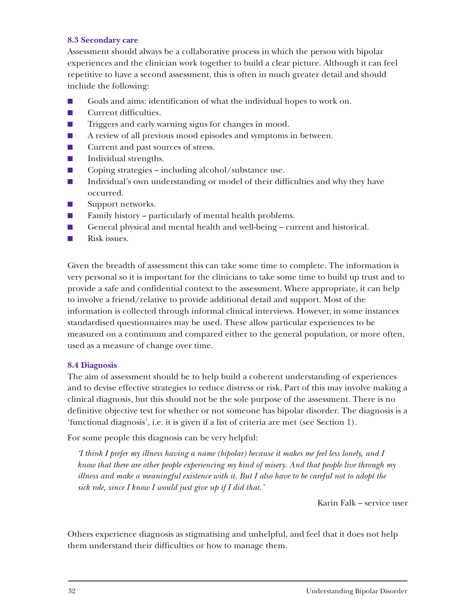#### **8.3 Secondary care**

Assessment should always be a collaborative process in which the person with bipolar experiences and the clinician work together to build a clear picture. Although it can feel repetitive to have a second assessment, this is often in much greater detail and should include the following:

- Goals and aims: identification of what the individual hopes to work on.
- Current difficulties.
- Triggers and early warning signs for changes in mood.
- A review of all previous mood episodes and symptoms in between.
- Current and past sources of stress.
- Individual strengths.
- Coping strategies including alcohol/substance use.
- Individual's own understanding or model of their difficulties and why they have occurred.
- Support networks.
- Family history particularly of mental health problems.
- General physical and mental health and well-being current and historical.
- Risk issues.

Given the breadth of assessment this can take some time to complete. The information is very personal so it is important for the clinicians to take some time to build up trust and to provide a safe and confidential context to the assessment. Where appropriate, it can help to involve a friend/relative to provide additional detail and support. Most of the information is collected through informal clinical interviews. However, in some instances standardised questionnaires may be used. These allow particular experiences to be measured on a continuum and compared either to the general population, or more often, used as a measure of change over time.

#### **8.4 Diagnosis**

The aim of assessment should be to help build a coherent understanding of experiences and to devise effective strategies to reduce distress or risk. Part of this may involve making a clinical diagnosis, but this should not be the sole purpose of the assessment. There is no definitive objective test for whether or not someone has bipolar disorder. The diagnosis is a 'functional diagnosis', i.e. it is given if a list of criteria are met (see Section 1).

For some people this diagnosis can be very helpful:

*'I think I prefer my illness having a name (bipolar) because it makes me feel less lonely, and I know that there are other people experiencing my kind of misery. And that people live through my illness and make a meaningful existence with it. But I also have to be careful not to adopt the sick role, since I know I would just give up if I did that.'*

Karin Falk – service user

Others experience diagnosis as stigmatising and unhelpful, and feel that it does not help them understand their difficulties or how to manage them.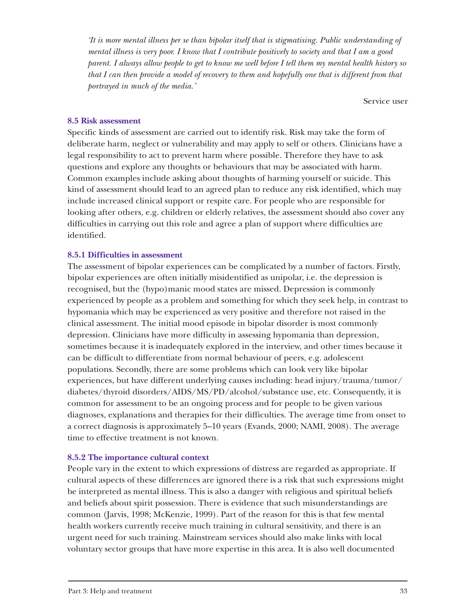*'It is more mental illness per se than bipolar itself that is stigmatising. Public understanding of mental illness is very poor. I know that I contribute positively to society and that I am a good parent. I always allow people to get to know me well before I tell them my mental health history so that I can then provide a model of recovery to them and hopefully one that is different from that portrayed in much of the media.'*

Service user

#### **8.5 Risk assessment**

Specific kinds of assessment are carried out to identify risk. Risk may take the form of deliberate harm, neglect or vulnerability and may apply to self or others. Clinicians have a legal responsibility to act to prevent harm where possible. Therefore they have to ask questions and explore any thoughts or behaviours that may be associated with harm. Common examples include asking about thoughts of harming yourself or suicide. This kind of assessment should lead to an agreed plan to reduce any risk identified, which may include increased clinical support or respite care. For people who are responsible for looking after others, e.g. children or elderly relatives, the assessment should also cover any difficulties in carrying out this role and agree a plan of support where difficulties are identified.

#### **8.5.1 Difficulties in assessment**

The assessment of bipolar experiences can be complicated by a number of factors. Firstly, bipolar experiences are often initially misidentified as unipolar, i.e. the depression is recognised, but the (hypo)manic mood states are missed. Depression is commonly experienced by people as a problem and something for which they seek help, in contrast to hypomania which may be experienced as very positive and therefore not raised in the clinical assessment. The initial mood episode in bipolar disorder is most commonly depression. Clinicians have more difficulty in assessing hypomania than depression, sometimes because it is inadequately explored in the interview, and other times because it can be difficult to differentiate from normal behaviour of peers, e.g. adolescent populations. Secondly, there are some problems which can look very like bipolar experiences, but have different underlying causes including: head injury/trauma/tumor/ diabetes/thyroid disorders/AIDS/MS/PD/alcohol/substance use, etc. Consequently, it is common for assessment to be an ongoing process and for people to be given various diagnoses, explanations and therapies for their difficulties. The average time from onset to a correct diagnosis is approximately 5–10 years (Evands, 2000; NAMI, 2008). The average time to effective treatment is not known.

#### **8.5.2 The importance cultural context**

People vary in the extent to which expressions of distress are regarded as appropriate. If cultural aspects of these differences are ignored there is a risk that such expressions might be interpreted as mental illness. This is also a danger with religious and spiritual beliefs and beliefs about spirit possession. There is evidence that such misunderstandings are common (Jarvis, 1998; McKenzie, 1999). Part of the reason for this is that few mental health workers currently receive much training in cultural sensitivity, and there is an urgent need for such training. Mainstream services should also make links with local voluntary sector groups that have more expertise in this area. It is also well documented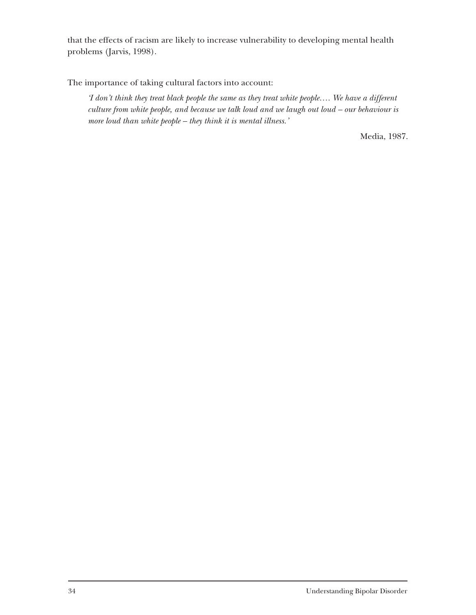that the effects of racism are likely to increase vulnerability to developing mental health problems (Jarvis, 1998).

The importance of taking cultural factors into account:

*'I don't think they treat black people the same as they treat white people…. We have a different culture from white people, and because we talk loud and we laugh out loud – our behaviour is more loud than white people – they think it is mental illness.'*

Media, 1987.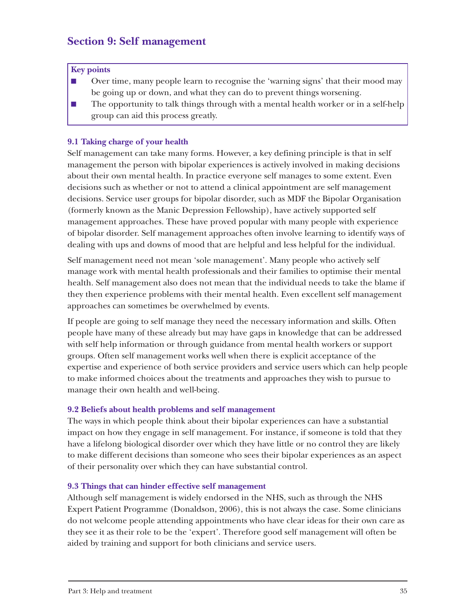# **Section 9: Self management**

#### **Key points**

- Over time, many people learn to recognise the 'warning signs' that their mood may be going up or down, and what they can do to prevent things worsening.
- The opportunity to talk things through with a mental health worker or in a self-help group can aid this process greatly.

#### **9.1 Taking charge of your health**

Self management can take many forms. However, a key defining principle is that in self management the person with bipolar experiences is actively involved in making decisions about their own mental health. In practice everyone self manages to some extent. Even decisions such as whether or not to attend a clinical appointment are self management decisions. Service user groups for bipolar disorder, such as MDF the Bipolar Organisation (formerly known as the Manic Depression Fellowship), have actively supported self management approaches. These have proved popular with many people with experience of bipolar disorder. Self management approaches often involve learning to identify ways of dealing with ups and downs of mood that are helpful and less helpful for the individual.

Self management need not mean 'sole management'. Many people who actively self manage work with mental health professionals and their families to optimise their mental health. Self management also does not mean that the individual needs to take the blame if they then experience problems with their mental health. Even excellent self management approaches can sometimes be overwhelmed by events.

If people are going to self manage they need the necessary information and skills. Often people have many of these already but may have gaps in knowledge that can be addressed with self help information or through guidance from mental health workers or support groups. Often self management works well when there is explicit acceptance of the expertise and experience of both service providers and service users which can help people to make informed choices about the treatments and approaches they wish to pursue to manage their own health and well-being.

#### **9.2 Beliefs about health problems and self management**

The ways in which people think about their bipolar experiences can have a substantial impact on how they engage in self management. For instance, if someone is told that they have a lifelong biological disorder over which they have little or no control they are likely to make different decisions than someone who sees their bipolar experiences as an aspect of their personality over which they can have substantial control.

#### **9.3 Things that can hinder effective self management**

Although self management is widely endorsed in the NHS, such as through the NHS Expert Patient Programme (Donaldson, 2006), this is not always the case. Some clinicians do not welcome people attending appointments who have clear ideas for their own care as they see it as their role to be the 'expert'. Therefore good self management will often be aided by training and support for both clinicians and service users.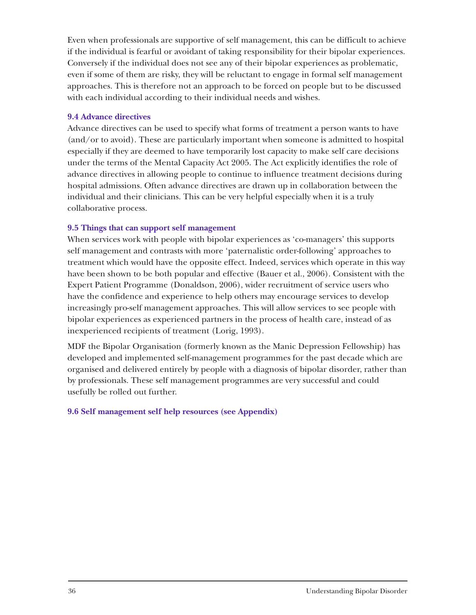Even when professionals are supportive of self management, this can be difficult to achieve if the individual is fearful or avoidant of taking responsibility for their bipolar experiences. Conversely if the individual does not see any of their bipolar experiences as problematic, even if some of them are risky, they will be reluctant to engage in formal self management approaches. This is therefore not an approach to be forced on people but to be discussed with each individual according to their individual needs and wishes.

#### **9.4 Advance directives**

Advance directives can be used to specify what forms of treatment a person wants to have (and/or to avoid). These are particularly important when someone is admitted to hospital especially if they are deemed to have temporarily lost capacity to make self care decisions under the terms of the Mental Capacity Act 2005. The Act explicitly identifies the role of advance directives in allowing people to continue to influence treatment decisions during hospital admissions. Often advance directives are drawn up in collaboration between the individual and their clinicians. This can be very helpful especially when it is a truly collaborative process.

# **9.5 Things that can support self management**

When services work with people with bipolar experiences as 'co-managers' this supports self management and contrasts with more 'paternalistic order-following' approaches to treatment which would have the opposite effect. Indeed, services which operate in this way have been shown to be both popular and effective (Bauer et al., 2006). Consistent with the Expert Patient Programme (Donaldson, 2006), wider recruitment of service users who have the confidence and experience to help others may encourage services to develop increasingly pro-self management approaches. This will allow services to see people with bipolar experiences as experienced partners in the process of health care, instead of as inexperienced recipients of treatment (Lorig, 1993).

MDF the Bipolar Organisation (formerly known as the Manic Depression Fellowship) has developed and implemented self-management programmes for the past decade which are organised and delivered entirely by people with a diagnosis of bipolar disorder, rather than by professionals. These self management programmes are very successful and could usefully be rolled out further.

#### **9.6 Self management self help resources (see Appendix)**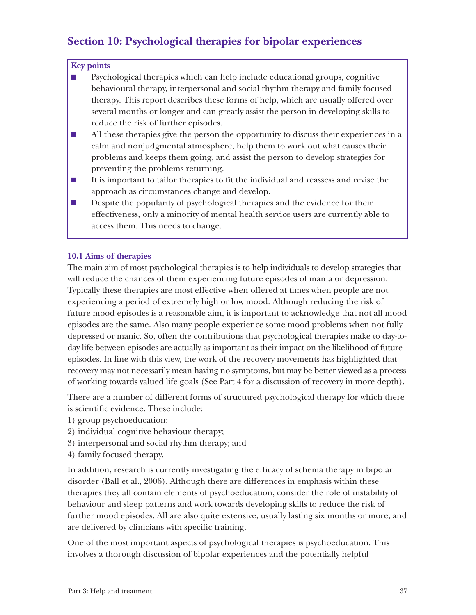# **Section 10: Psychological therapies for bipolar experiences**

#### **Key points**

- Psychological therapies which can help include educational groups, cognitive behavioural therapy, interpersonal and social rhythm therapy and family focused therapy. This report describes these forms of help, which are usually offered over several months or longer and can greatly assist the person in developing skills to reduce the risk of further episodes.
- All these therapies give the person the opportunity to discuss their experiences in a calm and nonjudgmental atmosphere, help them to work out what causes their problems and keeps them going, and assist the person to develop strategies for preventing the problems returning.
- It is important to tailor therapies to fit the individual and reassess and revise the approach as circumstances change and develop.
- Despite the popularity of psychological therapies and the evidence for their effectiveness, only a minority of mental health service users are currently able to access them. This needs to change.

#### **10.1 Aims of therapies**

The main aim of most psychological therapies is to help individuals to develop strategies that will reduce the chances of them experiencing future episodes of mania or depression. Typically these therapies are most effective when offered at times when people are not experiencing a period of extremely high or low mood. Although reducing the risk of future mood episodes is a reasonable aim, it is important to acknowledge that not all mood episodes are the same. Also many people experience some mood problems when not fully depressed or manic. So, often the contributions that psychological therapies make to day-today life between episodes are actually as important as their impact on the likelihood of future episodes. In line with this view, the work of the recovery movements has highlighted that recovery may not necessarily mean having no symptoms, but may be better viewed as a process of working towards valued life goals (See Part 4 for a discussion of recovery in more depth).

There are a number of different forms of structured psychological therapy for which there is scientific evidence. These include:

- 1) group psychoeducation;
- 2) individual cognitive behaviour therapy;
- 3) interpersonal and social rhythm therapy; and
- 4) family focused therapy.

In addition, research is currently investigating the efficacy of schema therapy in bipolar disorder (Ball et al., 2006). Although there are differences in emphasis within these therapies they all contain elements of psychoeducation, consider the role of instability of behaviour and sleep patterns and work towards developing skills to reduce the risk of further mood episodes. All are also quite extensive, usually lasting six months or more, and are delivered by clinicians with specific training.

One of the most important aspects of psychological therapies is psychoeducation. This involves a thorough discussion of bipolar experiences and the potentially helpful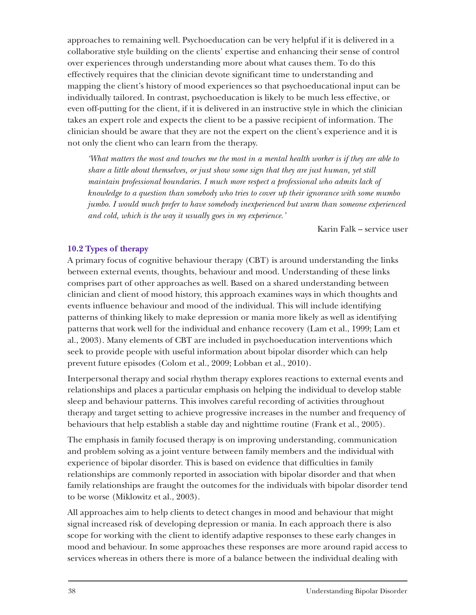approaches to remaining well. Psychoeducation can be very helpful if it is delivered in a collaborative style building on the clients' expertise and enhancing their sense of control over experiences through understanding more about what causes them. To do this effectively requires that the clinician devote significant time to understanding and mapping the client's history of mood experiences so that psychoeducational input can be individually tailored. In contrast, psychoeducation is likely to be much less effective, or even off-putting for the client, if it is delivered in an instructive style in which the clinician takes an expert role and expects the client to be a passive recipient of information. The clinician should be aware that they are not the expert on the client's experience and it is not only the client who can learn from the therapy.

*'What matters the most and touches me the most in a mental health worker is if they are able to share a little about themselves, or just show some sign that they are just human, yet still maintain professional boundaries. I much more respect a professional who admits lack of knowledge to a question than somebody who tries to cover up their ignorance with some mumbo jumbo. I would much prefer to have somebody inexperienced but warm than someone experienced and cold, which is the way it usually goes in my experience.'*

Karin Falk – service user

# **10.2 Types of therapy**

A primary focus of cognitive behaviour therapy (CBT) is around understanding the links between external events, thoughts, behaviour and mood. Understanding of these links comprises part of other approaches as well. Based on a shared understanding between clinician and client of mood history, this approach examines ways in which thoughts and events influence behaviour and mood of the individual. This will include identifying patterns of thinking likely to make depression or mania more likely as well as identifying patterns that work well for the individual and enhance recovery (Lam et al., 1999; Lam et al., 2003). Many elements of CBT are included in psychoeducation interventions which seek to provide people with useful information about bipolar disorder which can help prevent future episodes (Colom et al., 2009; Lobban et al., 2010).

Interpersonal therapy and social rhythm therapy explores reactions to external events and relationships and places a particular emphasis on helping the individual to develop stable sleep and behaviour patterns. This involves careful recording of activities throughout therapy and target setting to achieve progressive increases in the number and frequency of behaviours that help establish a stable day and nighttime routine (Frank et al., 2005).

The emphasis in family focused therapy is on improving understanding, communication and problem solving as a joint venture between family members and the individual with experience of bipolar disorder. This is based on evidence that difficulties in family relationships are commonly reported in association with bipolar disorder and that when family relationships are fraught the outcomes for the individuals with bipolar disorder tend to be worse (Miklowitz et al., 2003).

All approaches aim to help clients to detect changes in mood and behaviour that might signal increased risk of developing depression or mania. In each approach there is also scope for working with the client to identify adaptive responses to these early changes in mood and behaviour. In some approaches these responses are more around rapid access to services whereas in others there is more of a balance between the individual dealing with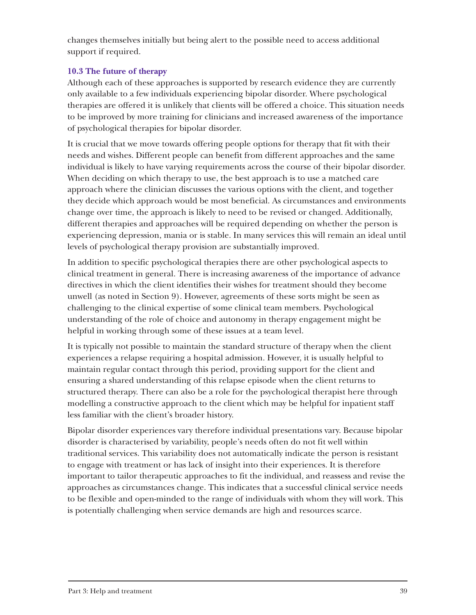changes themselves initially but being alert to the possible need to access additional support if required.

# **10.3 The future of therapy**

Although each of these approaches is supported by research evidence they are currently only available to a few individuals experiencing bipolar disorder. Where psychological therapies are offered it is unlikely that clients will be offered a choice. This situation needs to be improved by more training for clinicians and increased awareness of the importance of psychological therapies for bipolar disorder.

It is crucial that we move towards offering people options for therapy that fit with their needs and wishes. Different people can benefit from different approaches and the same individual is likely to have varying requirements across the course of their bipolar disorder. When deciding on which therapy to use, the best approach is to use a matched care approach where the clinician discusses the various options with the client, and together they decide which approach would be most beneficial. As circumstances and environments change over time, the approach is likely to need to be revised or changed. Additionally, different therapies and approaches will be required depending on whether the person is experiencing depression, mania or is stable. In many services this will remain an ideal until levels of psychological therapy provision are substantially improved.

In addition to specific psychological therapies there are other psychological aspects to clinical treatment in general. There is increasing awareness of the importance of advance directives in which the client identifies their wishes for treatment should they become unwell (as noted in Section 9). However, agreements of these sorts might be seen as challenging to the clinical expertise of some clinical team members. Psychological understanding of the role of choice and autonomy in therapy engagement might be helpful in working through some of these issues at a team level.

It is typically not possible to maintain the standard structure of therapy when the client experiences a relapse requiring a hospital admission. However, it is usually helpful to maintain regular contact through this period, providing support for the client and ensuring a shared understanding of this relapse episode when the client returns to structured therapy. There can also be a role for the psychological therapist here through modelling a constructive approach to the client which may be helpful for inpatient staff less familiar with the client's broader history.

Bipolar disorder experiences vary therefore individual presentations vary. Because bipolar disorder is characterised by variability, people's needs often do not fit well within traditional services. This variability does not automatically indicate the person is resistant to engage with treatment or has lack of insight into their experiences. It is therefore important to tailor therapeutic approaches to fit the individual, and reassess and revise the approaches as circumstances change. This indicates that a successful clinical service needs to be flexible and open-minded to the range of individuals with whom they will work. This is potentially challenging when service demands are high and resources scarce.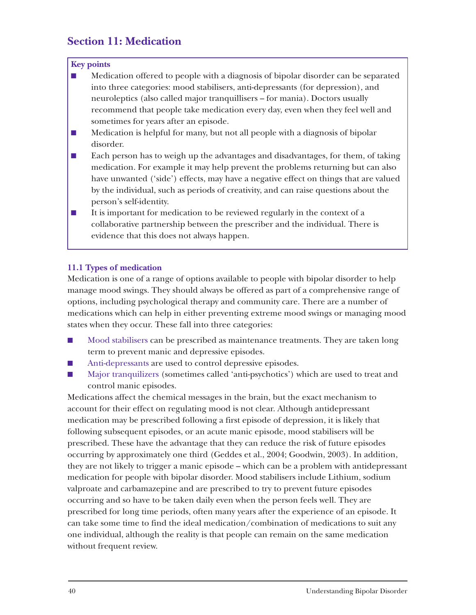# **Section 11: Medication**

# **Key points**

- Medication offered to people with a diagnosis of bipolar disorder can be separated into three categories: mood stabilisers, anti-depressants (for depression), and neuroleptics (also called major tranquillisers – for mania). Doctors usually recommend that people take medication every day, even when they feel well and sometimes for years after an episode.
- Medication is helpful for many, but not all people with a diagnosis of bipolar disorder.
- Each person has to weigh up the advantages and disadvantages, for them, of taking medication. For example it may help prevent the problems returning but can also have unwanted ('side') effects, may have a negative effect on things that are valued by the individual, such as periods of creativity, and can raise questions about the person's self-identity.
- It is important for medication to be reviewed regularly in the context of a collaborative partnership between the prescriber and the individual. There is evidence that this does not always happen.

# **11.1 Types of medication**

Medication is one of a range of options available to people with bipolar disorder to help manage mood swings. They should always be offered as part of a comprehensive range of options, including psychological therapy and community care. There are a number of medications which can help in either preventing extreme mood swings or managing mood states when they occur. These fall into three categories:

- Mood stabilisers can be prescribed as maintenance treatments. They are taken long term to prevent manic and depressive episodes.
- Anti-depressants are used to control depressive episodes.
- Major tranquilizers (sometimes called 'anti-psychotics') which are used to treat and control manic episodes.

Medications affect the chemical messages in the brain, but the exact mechanism to account for their effect on regulating mood is not clear. Although antidepressant medication may be prescribed following a first episode of depression, it is likely that following subsequent episodes, or an acute manic episode, mood stabilisers will be prescribed. These have the advantage that they can reduce the risk of future episodes occurring by approximately one third (Geddes et al., 2004; Goodwin, 2003). In addition, they are not likely to trigger a manic episode – which can be a problem with antidepressant medication for people with bipolar disorder. Mood stabilisers include Lithium, sodium valproate and carbamazepine and are prescribed to try to prevent future episodes occurring and so have to be taken daily even when the person feels well. They are prescribed for long time periods, often many years after the experience of an episode. It can take some time to find the ideal medication/combination of medications to suit any one individual, although the reality is that people can remain on the same medication without frequent review.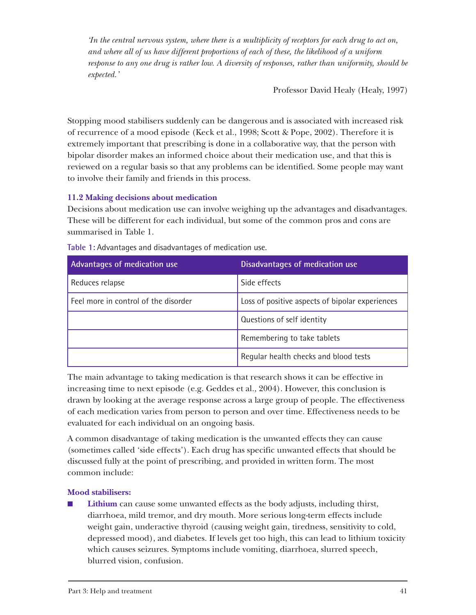*'In the central nervous system, where there is a multiplicity of receptors for each drug to act on, and where all of us have different proportions of each of these, the likelihood of a uniform response to any one drug is rather low. A diversity of responses, rather than uniformity, should be expected.'*

Professor David Healy (Healy, 1997)

Stopping mood stabilisers suddenly can be dangerous and is associated with increased risk of recurrence of a mood episode (Keck et al., 1998; Scott & Pope, 2002). Therefore it is extremely important that prescribing is done in a collaborative way, that the person with bipolar disorder makes an informed choice about their medication use, and that this is reviewed on a regular basis so that any problems can be identified. Some people may want to involve their family and friends in this process.

# **11.2 Making decisions about medication**

Decisions about medication use can involve weighing up the advantages and disadvantages. These will be different for each individual, but some of the common pros and cons are summarised in Table 1.

| Advantages of medication use         | Disadvantages of medication use                 |
|--------------------------------------|-------------------------------------------------|
| Reduces relapse                      | Side effects                                    |
| Feel more in control of the disorder | Loss of positive aspects of bipolar experiences |
|                                      | Questions of self identity                      |
|                                      | Remembering to take tablets                     |
|                                      | Regular health checks and blood tests           |

**Table 1:** Advantages and disadvantages of medication use.

The main advantage to taking medication is that research shows it can be effective in increasing time to next episode (e.g. Geddes et al., 2004). However, this conclusion is drawn by looking at the average response across a large group of people. The effectiveness of each medication varies from person to person and over time. Effectiveness needs to be evaluated for each individual on an ongoing basis.

A common disadvantage of taking medication is the unwanted effects they can cause (sometimes called 'side effects'). Each drug has specific unwanted effects that should be discussed fully at the point of prescribing, and provided in written form. The most common include:

# **Mood stabilisers:**

**Lithium** can cause some unwanted effects as the body adjusts, including thirst, diarrhoea, mild tremor, and dry mouth. More serious long-term effects include weight gain, underactive thyroid (causing weight gain, tiredness, sensitivity to cold, depressed mood), and diabetes. If levels get too high, this can lead to lithium toxicity which causes seizures. Symptoms include vomiting, diarrhoea, slurred speech, blurred vision, confusion.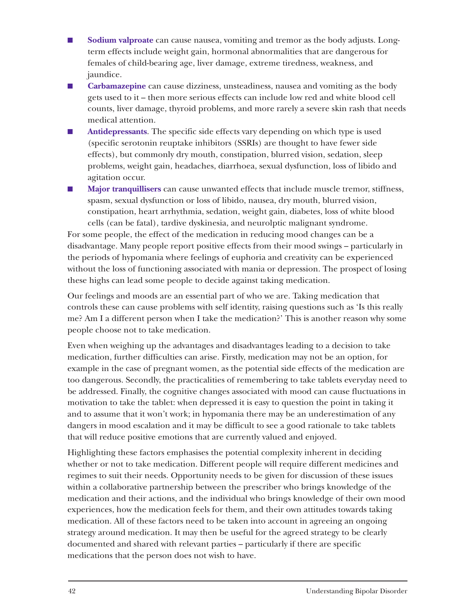- **Sodium valproate** can cause nausea, vomiting and tremor as the body adjusts. Longterm effects include weight gain, hormonal abnormalities that are dangerous for females of child-bearing age, liver damage, extreme tiredness, weakness, and jaundice.
- **Carbamazepine** can cause dizziness, unsteadiness, nausea and vomiting as the body gets used to it – then more serious effects can include low red and white blood cell counts, liver damage, thyroid problems, and more rarely a severe skin rash that needs medical attention.
- **Antidepressants**. The specific side effects vary depending on which type is used (specific serotonin reuptake inhibitors (SSRIs) are thought to have fewer side effects), but commonly dry mouth, constipation, blurred vision, sedation, sleep problems, weight gain, headaches, diarrhoea, sexual dysfunction, loss of libido and agitation occur.
- **Major tranquillisers** can cause unwanted effects that include muscle tremor, stiffness, spasm, sexual dysfunction or loss of libido, nausea, dry mouth, blurred vision, constipation, heart arrhythmia, sedation, weight gain, diabetes, loss of white blood cells (can be fatal), tardive dyskinesia, and neurolptic malignant syndrome.

For some people, the effect of the medication in reducing mood changes can be a disadvantage. Many people report positive effects from their mood swings – particularly in the periods of hypomania where feelings of euphoria and creativity can be experienced without the loss of functioning associated with mania or depression. The prospect of losing these highs can lead some people to decide against taking medication.

Our feelings and moods are an essential part of who we are. Taking medication that controls these can cause problems with self identity, raising questions such as 'Is this really me? Am I a different person when I take the medication?' This is another reason why some people choose not to take medication.

Even when weighing up the advantages and disadvantages leading to a decision to take medication, further difficulties can arise. Firstly, medication may not be an option, for example in the case of pregnant women, as the potential side effects of the medication are too dangerous. Secondly, the practicalities of remembering to take tablets everyday need to be addressed. Finally, the cognitive changes associated with mood can cause fluctuations in motivation to take the tablet: when depressed it is easy to question the point in taking it and to assume that it won't work; in hypomania there may be an underestimation of any dangers in mood escalation and it may be difficult to see a good rationale to take tablets that will reduce positive emotions that are currently valued and enjoyed.

Highlighting these factors emphasises the potential complexity inherent in deciding whether or not to take medication. Different people will require different medicines and regimes to suit their needs. Opportunity needs to be given for discussion of these issues within a collaborative partnership between the prescriber who brings knowledge of the medication and their actions, and the individual who brings knowledge of their own mood experiences, how the medication feels for them, and their own attitudes towards taking medication. All of these factors need to be taken into account in agreeing an ongoing strategy around medication. It may then be useful for the agreed strategy to be clearly documented and shared with relevant parties – particularly if there are specific medications that the person does not wish to have.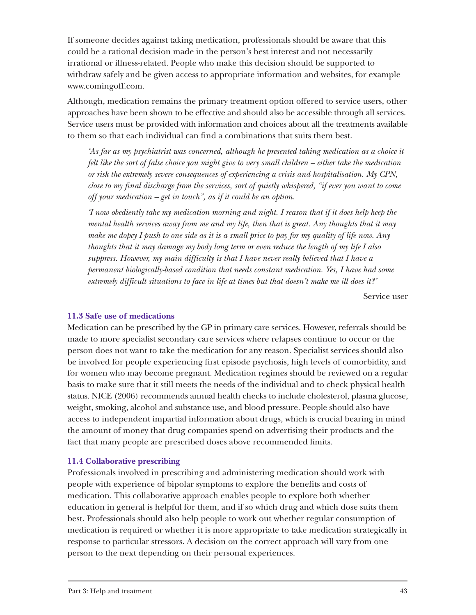If someone decides against taking medication, professionals should be aware that this could be a rational decision made in the person's best interest and not necessarily irrational or illness-related. People who make this decision should be supported to withdraw safely and be given access to appropriate information and websites, for example www.comingoff.com.

Although, medication remains the primary treatment option offered to service users, other approaches have been shown to be effective and should also be accessible through all services. Service users must be provided with information and choices about all the treatments available to them so that each individual can find a combinations that suits them best.

*'As far as my psychiatrist was concerned, although he presented taking medication as a choice it felt like the sort of false choice you might give to very small children – either take the medication or risk the extremely severe consequences of experiencing a crisis and hospitalisation. My CPN, close to my final discharge from the services, sort of quietly whispered, "if ever you want to come off your medication – get in touch", as if it could be an option.*

*'I now obediently take my medication morning and night. I reason that if it does help keep the mental health services away from me and my life, then that is great. Any thoughts that it may make me dopey I push to one side as it is a small price to pay for my quality of life now. Any thoughts that it may damage my body long term or even reduce the length of my life I also suppress. However, my main difficulty is that I have never really believed that I have a permanent biologically-based condition that needs constant medication. Yes, I have had some extremely difficult situations to face in life at times but that doesn't make me ill does it?'*

Service user

#### **11.3 Safe use of medications**

Medication can be prescribed by the GP in primary care services. However, referrals should be made to more specialist secondary care services where relapses continue to occur or the person does not want to take the medication for any reason. Specialist services should also be involved for people experiencing first episode psychosis, high levels of comorbidity, and for women who may become pregnant. Medication regimes should be reviewed on a regular basis to make sure that it still meets the needs of the individual and to check physical health status. NICE (2006) recommends annual health checks to include cholesterol, plasma glucose, weight, smoking, alcohol and substance use, and blood pressure. People should also have access to independent impartial information about drugs, which is crucial bearing in mind the amount of money that drug companies spend on advertising their products and the fact that many people are prescribed doses above recommended limits.

#### **11.4 Collaborative prescribing**

Professionals involved in prescribing and administering medication should work with people with experience of bipolar symptoms to explore the benefits and costs of medication. This collaborative approach enables people to explore both whether education in general is helpful for them, and if so which drug and which dose suits them best. Professionals should also help people to work out whether regular consumption of medication is required or whether it is more appropriate to take medication strategically in response to particular stressors. A decision on the correct approach will vary from one person to the next depending on their personal experiences.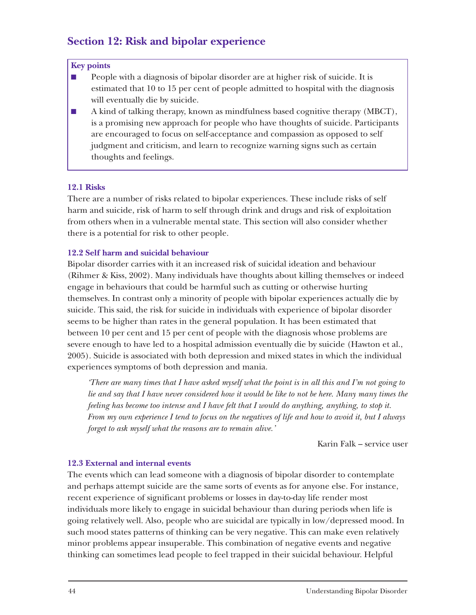# **Section 12: Risk and bipolar experience**

#### **Key points**

- People with a diagnosis of bipolar disorder are at higher risk of suicide. It is estimated that 10 to 15 per cent of people admitted to hospital with the diagnosis will eventually die by suicide.
- A kind of talking therapy, known as mindfulness based cognitive therapy (MBCT), is a promising new approach for people who have thoughts of suicide. Participants are encouraged to focus on self-acceptance and compassion as opposed to self judgment and criticism, and learn to recognize warning signs such as certain thoughts and feelings.

# **12.1 Risks**

There are a number of risks related to bipolar experiences. These include risks of self harm and suicide, risk of harm to self through drink and drugs and risk of exploitation from others when in a vulnerable mental state. This section will also consider whether there is a potential for risk to other people.

# **12.2 Self harm and suicidal behaviour**

Bipolar disorder carries with it an increased risk of suicidal ideation and behaviour (Rihmer & Kiss, 2002). Many individuals have thoughts about killing themselves or indeed engage in behaviours that could be harmful such as cutting or otherwise hurting themselves. In contrast only a minority of people with bipolar experiences actually die by suicide. This said, the risk for suicide in individuals with experience of bipolar disorder seems to be higher than rates in the general population. It has been estimated that between 10 per cent and 15 per cent of people with the diagnosis whose problems are severe enough to have led to a hospital admission eventually die by suicide (Hawton et al., 2005). Suicide is associated with both depression and mixed states in which the individual experiences symptoms of both depression and mania.

*'There are many times that I have asked myself what the point is in all this and I'm not going to lie and say that I have never considered how it would be like to not be here. Many many times the feeling has become too intense and I have felt that I would do anything, anything, to stop it. From my own experience I tend to focus on the negatives of life and how to avoid it, but I always forget to ask myself what the reasons are to remain alive.'*

Karin Falk – service user

# **12.3 External and internal events**

The events which can lead someone with a diagnosis of bipolar disorder to contemplate and perhaps attempt suicide are the same sorts of events as for anyone else. For instance, recent experience of significant problems or losses in day-to-day life render most individuals more likely to engage in suicidal behaviour than during periods when life is going relatively well. Also, people who are suicidal are typically in low/depressed mood. In such mood states patterns of thinking can be very negative. This can make even relatively minor problems appear insuperable. This combination of negative events and negative thinking can sometimes lead people to feel trapped in their suicidal behaviour. Helpful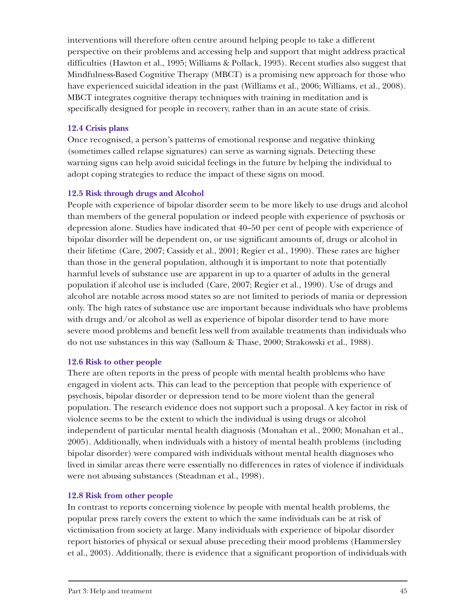interventions will therefore often centre around helping people to take a different perspective on their problems and accessing help and support that might address practical difficulties (Hawton et al., 1995; Williams & Pollack, 1993). Recent studies also suggest that Mindfulness-Based Cognitive Therapy (MBCT) is a promising new approach for those who have experienced suicidal ideation in the past (Williams et al., 2006; Williams, et al., 2008). MBCT integrates cognitive therapy techniques with training in meditation and is specifically designed for people in recovery, rather than in an acute state of crisis.

# **12.4 Crisis plans**

Once recognised, a person's patterns of emotional response and negative thinking (sometimes called relapse signatures) can serve as warning signals. Detecting these warning signs can help avoid suicidal feelings in the future by helping the individual to adopt coping strategies to reduce the impact of these signs on mood.

# **12.5 Risk through drugs and Alcohol**

People with experience of bipolar disorder seem to be more likely to use drugs and alcohol than members of the general population or indeed people with experience of psychosis or depression alone. Studies have indicated that 40–50 per cent of people with experience of bipolar disorder will be dependent on, or use significant amounts of, drugs or alcohol in their lifetime (Care, 2007; Cassidy et al., 2001; Regier et al., 1990). These rates are higher than those in the general population, although it is important to note that potentially harmful levels of substance use are apparent in up to a quarter of adults in the general population if alcohol use is included (Care, 2007; Regier et al., 1990). Use of drugs and alcohol are notable across mood states so are not limited to periods of mania or depression only. The high rates of substance use are important because individuals who have problems with drugs and/or alcohol as well as experience of bipolar disorder tend to have more severe mood problems and benefit less well from available treatments than individuals who do not use substances in this way (Salloum & Thase, 2000; Strakowski et al., 1988).

# **12.6 Risk to other people**

There are often reports in the press of people with mental health problems who have engaged in violent acts. This can lead to the perception that people with experience of psychosis, bipolar disorder or depression tend to be more violent than the general population. The research evidence does not support such a proposal. A key factor in risk of violence seems to be the extent to which the individual is using drugs or alcohol independent of particular mental health diagnosis (Monahan et al., 2000; Monahan et al., 2005). Additionally, when individuals with a history of mental health problems (including bipolar disorder) were compared with individuals without mental health diagnoses who lived in similar areas there were essentially no differences in rates of violence if individuals were not abusing substances (Steadman et al., 1998).

# **12.8 Risk from other people**

In contrast to reports concerning violence by people with mental health problems, the popular press rarely covers the extent to which the same individuals can be at risk of victimisation from society at large. Many individuals with experience of bipolar disorder report histories of physical or sexual abuse preceding their mood problems (Hammersley et al., 2003). Additionally, there is evidence that a significant proportion of individuals with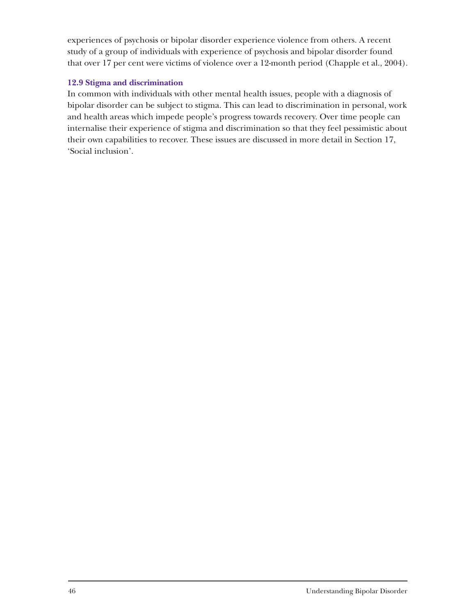experiences of psychosis or bipolar disorder experience violence from others. A recent study of a group of individuals with experience of psychosis and bipolar disorder found that over 17 per cent were victims of violence over a 12-month period (Chapple et al., 2004).

# **12.9 Stigma and discrimination**

In common with individuals with other mental health issues, people with a diagnosis of bipolar disorder can be subject to stigma. This can lead to discrimination in personal, work and health areas which impede people's progress towards recovery. Over time people can internalise their experience of stigma and discrimination so that they feel pessimistic about their own capabilities to recover. These issues are discussed in more detail in Section 17, 'Social inclusion'.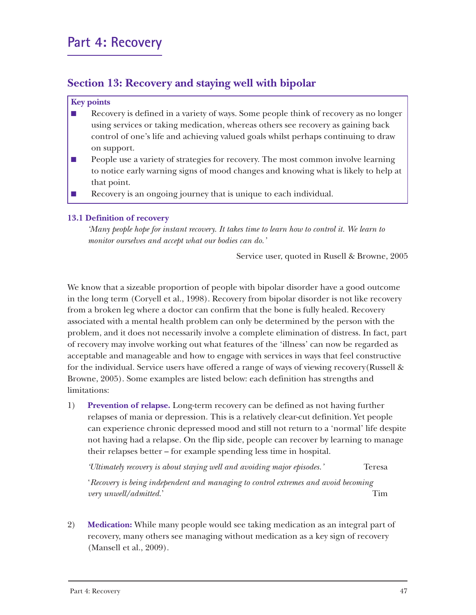# **Section 13: Recovery and staying well with bipolar**

#### **Key points**

- Recovery is defined in a variety of ways. Some people think of recovery as no longer using services or taking medication, whereas others see recovery as gaining back control of one's life and achieving valued goals whilst perhaps continuing to draw on support.
- People use a variety of strategies for recovery. The most common involve learning to notice early warning signs of mood changes and knowing what is likely to help at that point.
- Recovery is an ongoing journey that is unique to each individual.

# **13.1 Definition of recovery**

*'Many people hope for instant recovery. It takes time to learn how to control it. We learn to monitor ourselves and accept what our bodies can do.'*

Service user, quoted in Rusell & Browne, 2005

We know that a sizeable proportion of people with bipolar disorder have a good outcome in the long term (Coryell et al., 1998). Recovery from bipolar disorder is not like recovery from a broken leg where a doctor can confirm that the bone is fully healed. Recovery associated with a mental health problem can only be determined by the person with the problem, and it does not necessarily involve a complete elimination of distress. In fact, part of recovery may involve working out what features of the 'illness' can now be regarded as acceptable and manageable and how to engage with services in ways that feel constructive for the individual. Service users have offered a range of ways of viewing recovery(Russell & Browne, 2005). Some examples are listed below: each definition has strengths and limitations:

1) **Prevention of relapse.** Long-term recovery can be defined as not having further relapses of mania or depression. This is a relatively clear-cut definition. Yet people can experience chronic depressed mood and still not return to a 'normal' life despite not having had a relapse. On the flip side, people can recover by learning to manage their relapses better – for example spending less time in hospital.

*'Ultimately recovery is about staying well and avoiding major episodes.'* Teresa

'*Recovery is being independent and managing to control extremes and avoid becoming very unwell/admitted.*' Tim

2) **Medication:** While many people would see taking medication as an integral part of recovery, many others see managing without medication as a key sign of recovery (Mansell et al., 2009).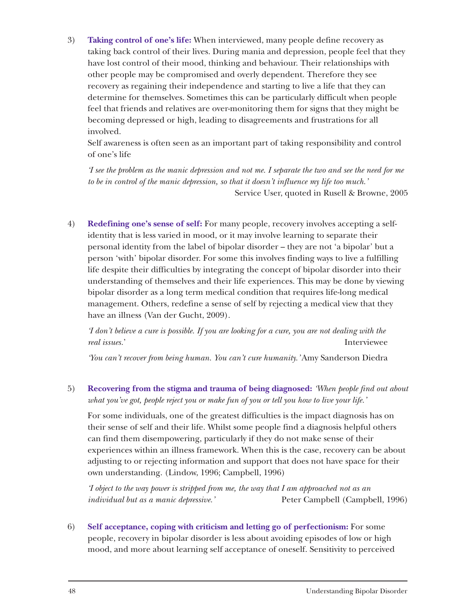3) **Taking control of one's life:** When interviewed, many people define recovery as taking back control of their lives. During mania and depression, people feel that they have lost control of their mood, thinking and behaviour. Their relationships with other people may be compromised and overly dependent. Therefore they see recovery as regaining their independence and starting to live a life that they can determine for themselves. Sometimes this can be particularly difficult when people feel that friends and relatives are over-monitoring them for signs that they might be becoming depressed or high, leading to disagreements and frustrations for all involved.

Self awareness is often seen as an important part of taking responsibility and control of one's life

*'I see the problem as the manic depression and not me. I separate the two and see the need for me to be in control of the manic depression, so that it doesn't influence my life too much.'*  Service User, quoted in Rusell & Browne, 2005

4) **Redefining one's sense of self:** For many people, recovery involves accepting a selfidentity that is less varied in mood, or it may involve learning to separate their personal identity from the label of bipolar disorder – they are not 'a bipolar' but a person 'with' bipolar disorder. For some this involves finding ways to live a fulfilling life despite their difficulties by integrating the concept of bipolar disorder into their understanding of themselves and their life experiences. This may be done by viewing bipolar disorder as a long term medical condition that requires life-long medical management. Others, redefine a sense of self by rejecting a medical view that they have an illness (Van der Gucht, 2009).

*'I don't believe a cure is possible. If you are looking for a cure, you are not dealing with the real issues.*' Interviewee

*'You can't recover from being human. You can't cure humanity.'* Amy Sanderson Diedra

5) **Recovering from the stigma and trauma of being diagnosed:** *'When people find out about what you've got, people reject you or make fun of you or tell you how to live your life.'*

For some individuals, one of the greatest difficulties is the impact diagnosis has on their sense of self and their life. Whilst some people find a diagnosis helpful others can find them disempowering, particularly if they do not make sense of their experiences within an illness framework. When this is the case, recovery can be about adjusting to or rejecting information and support that does not have space for their own understanding. (Lindow, 1996; Campbell, 1996)

*'I object to the way power is stripped from me, the way that I am approached not as an individual but as a manic depressive.'* Peter Campbell (Campbell, 1996)

6) **Self acceptance, coping with criticism and letting go of perfectionism:** For some people, recovery in bipolar disorder is less about avoiding episodes of low or high mood, and more about learning self acceptance of oneself. Sensitivity to perceived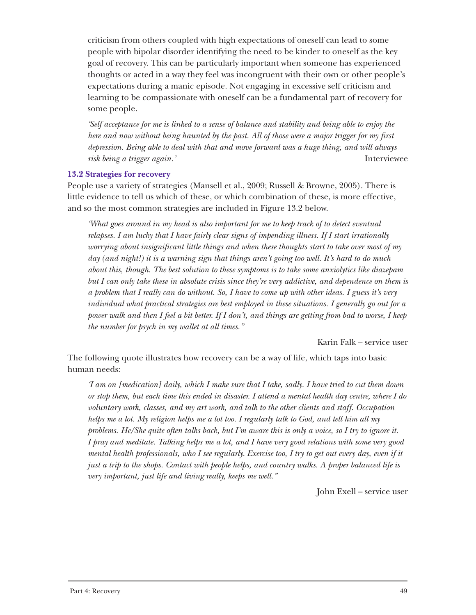criticism from others coupled with high expectations of oneself can lead to some people with bipolar disorder identifying the need to be kinder to oneself as the key goal of recovery. This can be particularly important when someone has experienced thoughts or acted in a way they feel was incongruent with their own or other people's expectations during a manic episode. Not engaging in excessive self criticism and learning to be compassionate with oneself can be a fundamental part of recovery for some people.

*'Self acceptance for me is linked to a sense of balance and stability and being able to enjoy the here and now without being haunted by the past. All of those were a major trigger for my first depression. Being able to deal with that and move forward was a huge thing, and will always risk being a trigger again.'* Interviewee

#### **13.2 Strategies for recovery**

People use a variety of strategies (Mansell et al., 2009; Russell & Browne, 2005). There is little evidence to tell us which of these, or which combination of these, is more effective, and so the most common strategies are included in Figure 13.2 below.

*'What goes around in my head is also important for me to keep track of to detect eventual relapses. I am lucky that I have fairly clear signs of impending illness. If I start irrationally worrying about insignificant little things and when these thoughts start to take over most of my day (and night!) it is a warning sign that things aren't going too well. It's hard to do much about this, though. The best solution to these symptoms is to take some anxiolytics like diazepam but I can only take these in absolute crisis since they're very addictive, and dependence on them is a problem that I really can do without. So, I have to come up with other ideas. I guess it's very individual what practical strategies are best employed in these situations. I generally go out for a power walk and then I feel a bit better. If I don't, and things are getting from bad to worse, I keep the number for psych in my wallet at all times."*

Karin Falk – service user

The following quote illustrates how recovery can be a way of life, which taps into basic human needs:

*'I am on [medication] daily, which I make sure that I take, sadly. I have tried to cut them down or stop them, but each time this ended in disaster. I attend a mental health day centre, where I do voluntary work, classes, and my art work, and talk to the other clients and staff. Occupation helps me a lot. My religion helps me a lot too. I regularly talk to God, and tell him all my problems. He/She quite often talks back, but I'm aware this is only a voice, so I try to ignore it. I pray and meditate. Talking helps me a lot, and I have very good relations with some very good mental health professionals, who I see regularly. Exercise too, I try to get out every day, even if it just a trip to the shops. Contact with people helps, and country walks. A proper balanced life is very important, just life and living really, keeps me well."*

John Exell – service user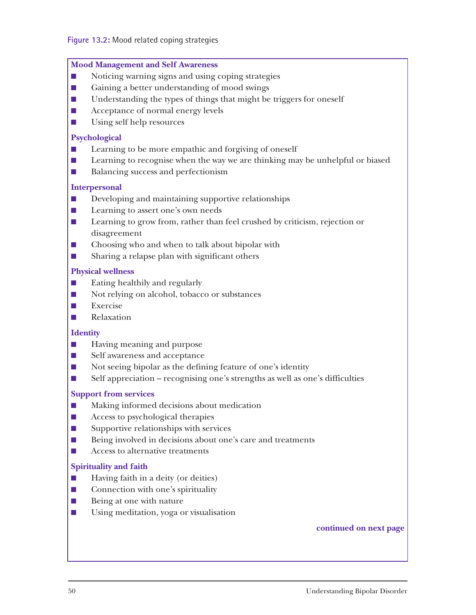#### **Mood Management and Self Awareness**

- Noticing warning signs and using coping strategies
- Gaining a better understanding of mood swings
- Understanding the types of things that might be triggers for oneself
- Acceptance of normal energy levels
- Using self help resources

#### **Psychological**

- Learning to be more empathic and forgiving of oneself
- Learning to recognise when the way we are thinking may be unhelpful or biased
- Balancing success and perfectionism

#### **Interpersonal**

- Developing and maintaining supportive relationships
- Learning to assert one's own needs
- Learning to grow from, rather than feel crushed by criticism, rejection or disagreement
- Choosing who and when to talk about bipolar with
- Sharing a relapse plan with significant others

#### **Physical wellness**

- Eating healthily and regularly
- Not relying on alcohol, tobacco or substances
- Exercise
- Relaxation

#### **Identity**

- Having meaning and purpose
- Self awareness and acceptance
- Not seeing bipolar as the defining feature of one's identity
- Self appreciation recognising one's strengths as well as one's difficulties

#### **Support from services**

- Making informed decisions about medication
- Access to psychological therapies
- Supportive relationships with services
- Being involved in decisions about one's care and treatments
- Access to alternative treatments

#### **Spirituality and faith**

- Having faith in a deity (or deities)
- Connection with one's spirituality
- Being at one with nature
- Using meditation, yoga or visualisation

#### **continued on next page**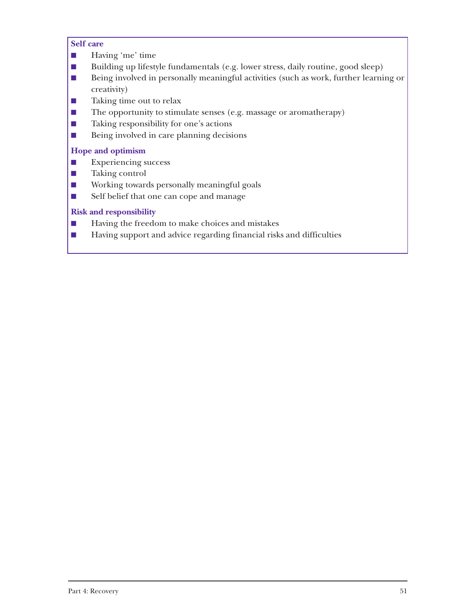#### **Self care**

- Having 'me' time
- Building up lifestyle fundamentals (e.g. lower stress, daily routine, good sleep)
- Being involved in personally meaningful activities (such as work, further learning or creativity)
- Taking time out to relax
- The opportunity to stimulate senses (e.g. massage or aromatherapy)
- Taking responsibility for one's actions
- Being involved in care planning decisions

# **Hope and optimism**

- Experiencing success
- Taking control
- Working towards personally meaningful goals
- Self belief that one can cope and manage

# **Risk and responsibility**

- Having the freedom to make choices and mistakes
- Having support and advice regarding financial risks and difficulties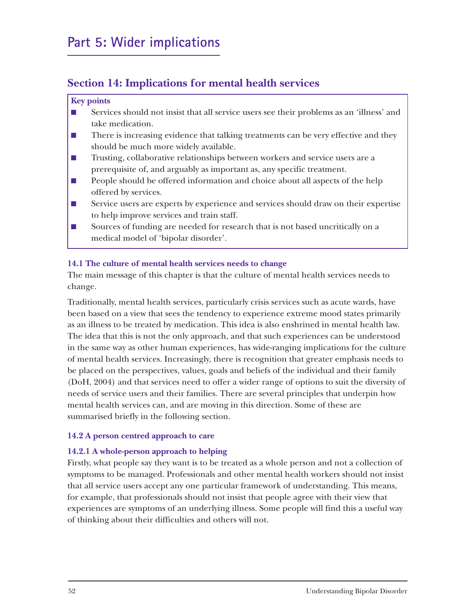# **Section 14: Implications for mental health services**

#### **Key points**

- Services should not insist that all service users see their problems as an 'illness' and take medication.
- There is increasing evidence that talking treatments can be very effective and they should be much more widely available.
- Trusting, collaborative relationships between workers and service users are a prerequisite of, and arguably as important as, any specific treatment.
- People should be offered information and choice about all aspects of the help offered by services.
- Service users are experts by experience and services should draw on their expertise to help improve services and train staff.
- Sources of funding are needed for research that is not based uncritically on a medical model of 'bipolar disorder'.

# **14.1 The culture of mental health services needs to change**

The main message of this chapter is that the culture of mental health services needs to change.

Traditionally, mental health services, particularly crisis services such as acute wards, have been based on a view that sees the tendency to experience extreme mood states primarily as an illness to be treated by medication. This idea is also enshrined in mental health law. The idea that this is not the only approach, and that such experiences can be understood in the same way as other human experiences, has wide-ranging implications for the culture of mental health services. Increasingly, there is recognition that greater emphasis needs to be placed on the perspectives, values, goals and beliefs of the individual and their family (DoH, 2004) and that services need to offer a wider range of options to suit the diversity of needs of service users and their families. There are several principles that underpin how mental health services can, and are moving in this direction. Some of these are summarised briefly in the following section.

# **14.2 A person centred approach to care**

# **14.2.1 A whole-person approach to helping**

Firstly, what people say they want is to be treated as a whole person and not a collection of symptoms to be managed. Professionals and other mental health workers should not insist that all service users accept any one particular framework of understanding. This means, for example, that professionals should not insist that people agree with their view that experiences are symptoms of an underlying illness. Some people will find this a useful way of thinking about their difficulties and others will not.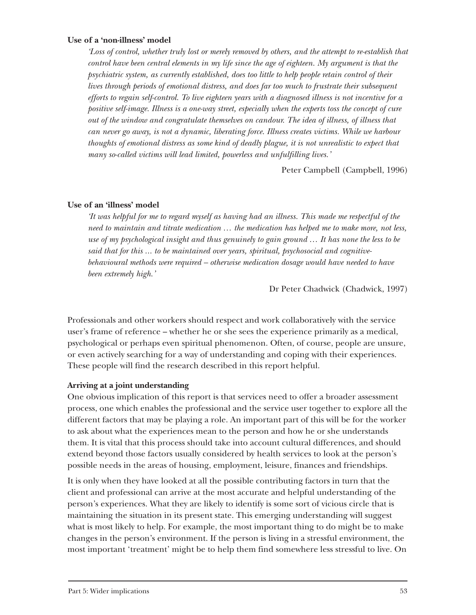#### **Use of a 'non-illness' model**

*'Loss of control, whether truly lost or merely removed by others, and the attempt to re-establish that control have been central elements in my life since the age of eighteen. My argument is that the psychiatric system, as currently established, does too little to help people retain control of their lives through periods of emotional distress, and does far too much to frustrate their subsequent efforts to regain self-control. To live eighteen years with a diagnosed illness is not incentive for a positive self-image. Illness is a one-way street, especially when the experts toss the concept of cure out of the window and congratulate themselves on candour. The idea of illness, of illness that can never go away, is not a dynamic, liberating force. Illness creates victims. While we harbour thoughts of emotional distress as some kind of deadly plague, it is not unrealistic to expect that many so-called victims will lead limited, powerless and unfulfilling lives.'*

Peter Campbell (Campbell, 1996)

#### **Use of an 'illness' model**

*'It was helpful for me to regard myself as having had an illness. This made me respectful of the need to maintain and titrate medication … the medication has helped me to make more, not less, use of my psychological insight and thus genuinely to gain ground … It has none the less to be said that for this ... to be maintained over years, spiritual, psychosocial and cognitivebehavioural methods were required – otherwise medication dosage would have needed to have been extremely high.'*

Dr Peter Chadwick (Chadwick, 1997)

Professionals and other workers should respect and work collaboratively with the service user's frame of reference – whether he or she sees the experience primarily as a medical, psychological or perhaps even spiritual phenomenon. Often, of course, people are unsure, or even actively searching for a way of understanding and coping with their experiences. These people will find the research described in this report helpful.

# **Arriving at a joint understanding**

One obvious implication of this report is that services need to offer a broader assessment process, one which enables the professional and the service user together to explore all the different factors that may be playing a role. An important part of this will be for the worker to ask about what the experiences mean to the person and how he or she understands them. It is vital that this process should take into account cultural differences, and should extend beyond those factors usually considered by health services to look at the person's possible needs in the areas of housing, employment, leisure, finances and friendships.

It is only when they have looked at all the possible contributing factors in turn that the client and professional can arrive at the most accurate and helpful understanding of the person's experiences. What they are likely to identify is some sort of vicious circle that is maintaining the situation in its present state. This emerging understanding will suggest what is most likely to help. For example, the most important thing to do might be to make changes in the person's environment. If the person is living in a stressful environment, the most important 'treatment' might be to help them find somewhere less stressful to live. On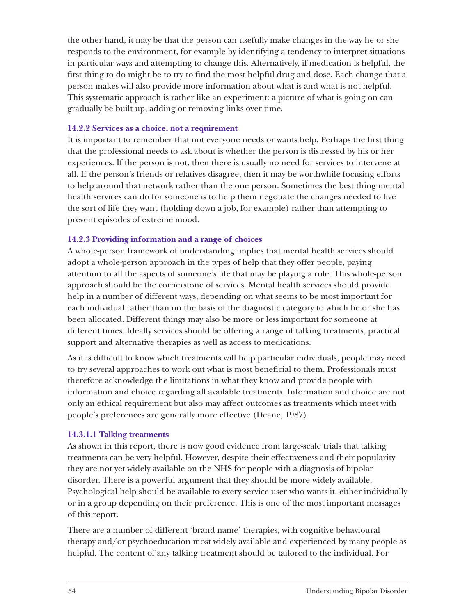the other hand, it may be that the person can usefully make changes in the way he or she responds to the environment, for example by identifying a tendency to interpret situations in particular ways and attempting to change this. Alternatively, if medication is helpful, the first thing to do might be to try to find the most helpful drug and dose. Each change that a person makes will also provide more information about what is and what is not helpful. This systematic approach is rather like an experiment: a picture of what is going on can gradually be built up, adding or removing links over time.

#### **14.2.2 Services as a choice, not a requirement**

It is important to remember that not everyone needs or wants help. Perhaps the first thing that the professional needs to ask about is whether the person is distressed by his or her experiences. If the person is not, then there is usually no need for services to intervene at all. If the person's friends or relatives disagree, then it may be worthwhile focusing efforts to help around that network rather than the one person. Sometimes the best thing mental health services can do for someone is to help them negotiate the changes needed to live the sort of life they want (holding down a job, for example) rather than attempting to prevent episodes of extreme mood.

# **14.2.3 Providing information and a range of choices**

A whole-person framework of understanding implies that mental health services should adopt a whole-person approach in the types of help that they offer people, paying attention to all the aspects of someone's life that may be playing a role. This whole-person approach should be the cornerstone of services. Mental health services should provide help in a number of different ways, depending on what seems to be most important for each individual rather than on the basis of the diagnostic category to which he or she has been allocated. Different things may also be more or less important for someone at different times. Ideally services should be offering a range of talking treatments, practical support and alternative therapies as well as access to medications.

As it is difficult to know which treatments will help particular individuals, people may need to try several approaches to work out what is most beneficial to them. Professionals must therefore acknowledge the limitations in what they know and provide people with information and choice regarding all available treatments. Information and choice are not only an ethical requirement but also may affect outcomes as treatments which meet with people's preferences are generally more effective (Deane, 1987).

# **14.3.1.1 Talking treatments**

As shown in this report, there is now good evidence from large-scale trials that talking treatments can be very helpful. However, despite their effectiveness and their popularity they are not yet widely available on the NHS for people with a diagnosis of bipolar disorder. There is a powerful argument that they should be more widely available. Psychological help should be available to every service user who wants it, either individually or in a group depending on their preference. This is one of the most important messages of this report.

There are a number of different 'brand name' therapies, with cognitive behavioural therapy and/or psychoeducation most widely available and experienced by many people as helpful. The content of any talking treatment should be tailored to the individual. For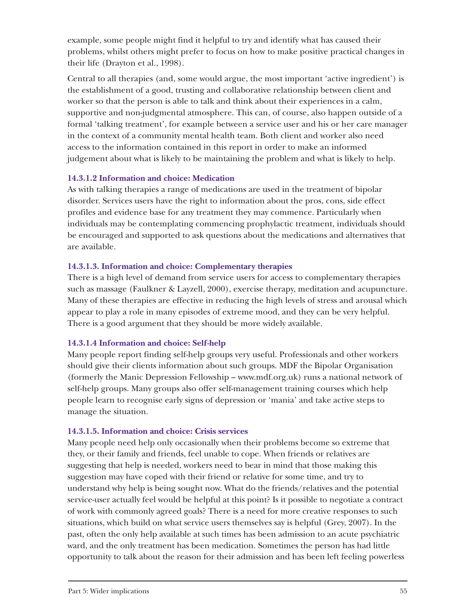example, some people might find it helpful to try and identify what has caused their problems, whilst others might prefer to focus on how to make positive practical changes in their life (Drayton et al., 1998).

Central to all therapies (and, some would argue, the most important 'active ingredient') is the establishment of a good, trusting and collaborative relationship between client and worker so that the person is able to talk and think about their experiences in a calm, supportive and non-judgmental atmosphere. This can, of course, also happen outside of a formal 'talking treatment', for example between a service user and his or her care manager in the context of a community mental health team. Both client and worker also need access to the information contained in this report in order to make an informed judgement about what is likely to be maintaining the problem and what is likely to help.

# **14.3.1.2 Information and choice: Medication**

As with talking therapies a range of medications are used in the treatment of bipolar disorder. Services users have the right to information about the pros, cons, side effect profiles and evidence base for any treatment they may commence. Particularly when individuals may be contemplating commencing prophylactic treatment, individuals should be encouraged and supported to ask questions about the medications and alternatives that are available.

# **14.3.1.3. Information and choice: Complementary therapies**

There is a high level of demand from service users for access to complementary therapies such as massage (Faulkner & Layzell, 2000), exercise therapy, meditation and acupuncture. Many of these therapies are effective in reducing the high levels of stress and arousal which appear to play a role in many episodes of extreme mood, and they can be very helpful. There is a good argument that they should be more widely available.

# **14.3.1.4 Information and choice: Self-help**

Many people report finding self-help groups very useful. Professionals and other workers should give their clients information about such groups. MDF the Bipolar Organisation (formerly the Manic Depression Fellowship – www.mdf.org.uk) runs a national network of self-help groups. Many groups also offer self-management training courses which help people learn to recognise early signs of depression or 'mania' and take active steps to manage the situation.

# **14.3.1.5. Information and choice: Crisis services**

Many people need help only occasionally when their problems become so extreme that they, or their family and friends, feel unable to cope. When friends or relatives are suggesting that help is needed, workers need to bear in mind that those making this suggestion may have coped with their friend or relative for some time, and try to understand why help is being sought now. What do the friends/relatives and the potential service-user actually feel would be helpful at this point? Is it possible to negotiate a contract of work with commonly agreed goals? There is a need for more creative responses to such situations, which build on what service users themselves say is helpful (Grey, 2007). In the past, often the only help available at such times has been admission to an acute psychiatric ward, and the only treatment has been medication. Sometimes the person has had little opportunity to talk about the reason for their admission and has been left feeling powerless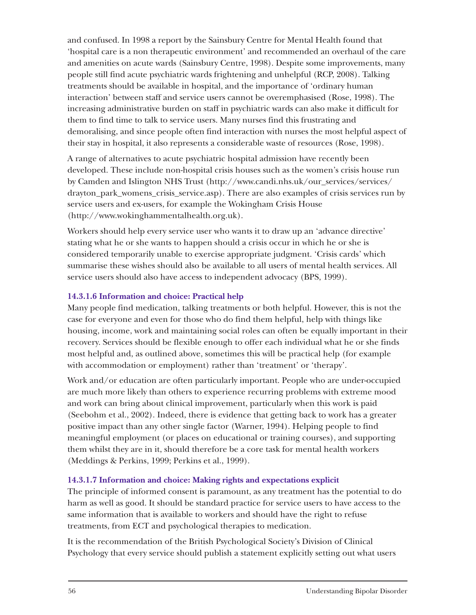and confused. In 1998 a report by the Sainsbury Centre for Mental Health found that 'hospital care is a non therapeutic environment' and recommended an overhaul of the care and amenities on acute wards (Sainsbury Centre, 1998). Despite some improvements, many people still find acute psychiatric wards frightening and unhelpful (RCP, 2008). Talking treatments should be available in hospital, and the importance of 'ordinary human interaction' between staff and service users cannot be overemphasised (Rose, 1998). The increasing administrative burden on staff in psychiatric wards can also make it difficult for them to find time to talk to service users. Many nurses find this frustrating and demoralising, and since people often find interaction with nurses the most helpful aspect of their stay in hospital, it also represents a considerable waste of resources (Rose, 1998).

A range of alternatives to acute psychiatric hospital admission have recently been developed. These include non-hospital crisis houses such as the women's crisis house run by Camden and Islington NHS Trust (http://www.candi.nhs.uk/our\_services/services/ drayton\_park\_womens\_crisis\_service.asp). There are also examples of crisis services run by service users and ex-users, for example the Wokingham Crisis House (http://www.wokinghammentalhealth.org.uk).

Workers should help every service user who wants it to draw up an 'advance directive' stating what he or she wants to happen should a crisis occur in which he or she is considered temporarily unable to exercise appropriate judgment. 'Crisis cards' which summarise these wishes should also be available to all users of mental health services. All service users should also have access to independent advocacy (BPS, 1999).

# **14.3.1.6 Information and choice: Practical help**

Many people find medication, talking treatments or both helpful. However, this is not the case for everyone and even for those who do find them helpful, help with things like housing, income, work and maintaining social roles can often be equally important in their recovery. Services should be flexible enough to offer each individual what he or she finds most helpful and, as outlined above, sometimes this will be practical help (for example with accommodation or employment) rather than 'treatment' or 'therapy'.

Work and/or education are often particularly important. People who are under-occupied are much more likely than others to experience recurring problems with extreme mood and work can bring about clinical improvement, particularly when this work is paid (Seebohm et al., 2002). Indeed, there is evidence that getting back to work has a greater positive impact than any other single factor (Warner, 1994). Helping people to find meaningful employment (or places on educational or training courses), and supporting them whilst they are in it, should therefore be a core task for mental health workers (Meddings & Perkins, 1999; Perkins et al., 1999).

# **14.3.1.7 Information and choice: Making rights and expectations explicit**

The principle of informed consent is paramount, as any treatment has the potential to do harm as well as good. It should be standard practice for service users to have access to the same information that is available to workers and should have the right to refuse treatments, from ECT and psychological therapies to medication.

It is the recommendation of the British Psychological Society's Division of Clinical Psychology that every service should publish a statement explicitly setting out what users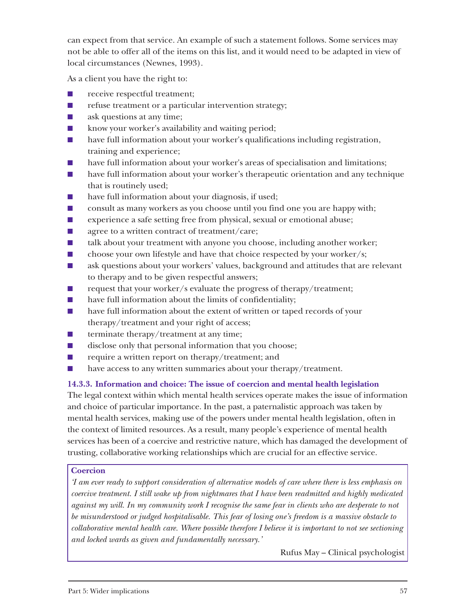can expect from that service. An example of such a statement follows. Some services may not be able to offer all of the items on this list, and it would need to be adapted in view of local circumstances (Newnes, 1993).

As a client you have the right to:

- receive respectful treatment;
- refuse treatment or a particular intervention strategy;
- ask questions at any time;
- know your worker's availability and waiting period;
- have full information about your worker's qualifications including registration, training and experience;
- have full information about your worker's areas of specialisation and limitations;
- have full information about your worker's therapeutic orientation and any technique that is routinely used;
- have full information about your diagnosis, if used;
- consult as many workers as you choose until you find one you are happy with;
- experience a safe setting free from physical, sexual or emotional abuse;
- agree to a written contract of treatment/care;
- talk about your treatment with anyone you choose, including another worker;
- choose your own lifestyle and have that choice respected by your worker/s;
- ask questions about your workers' values, background and attitudes that are relevant to therapy and to be given respectful answers;
- request that your worker/s evaluate the progress of therapy/treatment;
- have full information about the limits of confidentiality;
- have full information about the extent of written or taped records of your therapy/treatment and your right of access;
- $\blacksquare$  terminate therapy/treatment at any time;
- disclose only that personal information that you choose;
- require a written report on therapy/treatment; and
- have access to any written summaries about your therapy/treatment.

# **14.3.3. Information and choice: The issue of coercion and mental health legislation**

The legal context within which mental health services operate makes the issue of information and choice of particular importance. In the past, a paternalistic approach was taken by mental health services, making use of the powers under mental health legislation, often in the context of limited resources. As a result, many people's experience of mental health services has been of a coercive and restrictive nature, which has damaged the development of trusting, collaborative working relationships which are crucial for an effective service.

# **Coercion**

*'I am ever ready to support consideration of alternative models of care where there is less emphasis on coercive treatment. I still wake up from nightmares that I have been readmitted and highly medicated against my will. In my community work I recognise the same fear in clients who are desperate to not be misunderstood or judged hospitalisable. This fear of losing one's freedom is a massive obstacle to collaborative mental health care. Where possible therefore I believe it is important to not see sectioning and locked wards as given and fundamentally necessary.'*

Rufus May – Clinical psychologist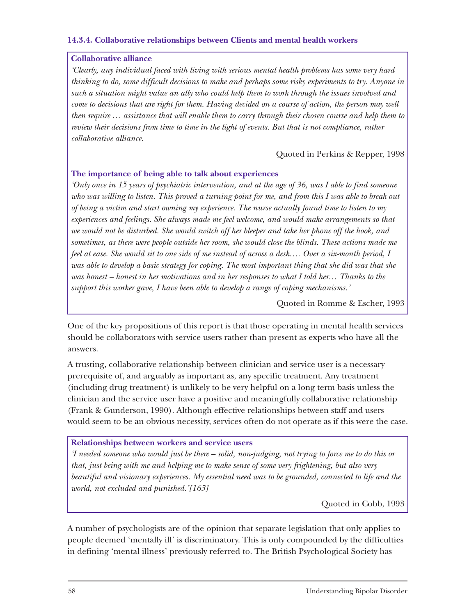#### **14.3.4. Collaborative relationships between Clients and mental health workers**

#### **Collaborative alliance**

*'Clearly, any individual faced with living with serious mental health problems has some very hard thinking to do, some difficult decisions to make and perhaps some risky experiments to try. Anyone in such a situation might value an ally who could help them to work through the issues involved and come to decisions that are right for them. Having decided on a course of action, the person may well then require … assistance that will enable them to carry through their chosen course and help them to review their decisions from time to time in the light of events. But that is not compliance, rather collaborative alliance.*

# Quoted in Perkins & Repper, 1998

#### **The importance of being able to talk about experiences**

*'Only once in 15 years of psychiatric intervention, and at the age of 36, was I able to find someone who was willing to listen. This proved a turning point for me, and from this I was able to break out of being a victim and start owning my experience. The nurse actually found time to listen to my experiences and feelings. She always made me feel welcome, and would make arrangements so that we would not be disturbed. She would switch off her bleeper and take her phone off the hook, and sometimes, as there were people outside her room, she would close the blinds. These actions made me feel at ease. She would sit to one side of me instead of across a desk…. Over a six-month period, I was able to develop a basic strategy for coping. The most important thing that she did was that she was honest – honest in her motivations and in her responses to what I told her… Thanks to the support this worker gave, I have been able to develop a range of coping mechanisms.'*

Quoted in Romme & Escher, 1993

One of the key propositions of this report is that those operating in mental health services should be collaborators with service users rather than present as experts who have all the answers.

A trusting, collaborative relationship between clinician and service user is a necessary prerequisite of, and arguably as important as, any specific treatment. Any treatment (including drug treatment) is unlikely to be very helpful on a long term basis unless the clinician and the service user have a positive and meaningfully collaborative relationship (Frank & Gunderson, 1990). Although effective relationships between staff and users would seem to be an obvious necessity, services often do not operate as if this were the case.

#### **Relationships between workers and service users**

*'I needed someone who would just be there – solid, non-judging, not trying to force me to do this or that, just being with me and helping me to make sense of some very frightening, but also very beautiful and visionary experiences. My essential need was to be grounded, connected to life and the world, not excluded and punished.'[163]*

Quoted in Cobb, 1993

A number of psychologists are of the opinion that separate legislation that only applies to people deemed 'mentally ill' is discriminatory. This is only compounded by the difficulties in defining 'mental illness' previously referred to. The British Psychological Society has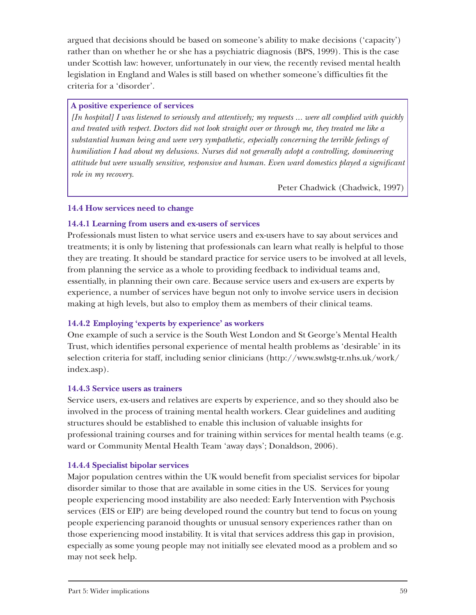argued that decisions should be based on someone's ability to make decisions ('capacity') rather than on whether he or she has a psychiatric diagnosis (BPS, 1999). This is the case under Scottish law: however, unfortunately in our view, the recently revised mental health legislation in England and Wales is still based on whether someone's difficulties fit the criteria for a 'disorder'.

# **A positive experience of services**

*[In hospital] I was listened to seriously and attentively; my requests ... were all complied with quickly and treated with respect. Doctors did not look straight over or through me, they treated me like a substantial human being and were very sympathetic, especially concerning the terrible feelings of humiliation I had about my delusions. Nurses did not generally adopt a controlling, domineering attitude but were usually sensitive, responsive and human. Even ward domestics played a significant role in my recovery.* 

Peter Chadwick (Chadwick, 1997)

#### **14.4 How services need to change**

# **14.4.1 Learning from users and ex-users of services**

Professionals must listen to what service users and ex-users have to say about services and treatments; it is only by listening that professionals can learn what really is helpful to those they are treating. It should be standard practice for service users to be involved at all levels, from planning the service as a whole to providing feedback to individual teams and, essentially, in planning their own care. Because service users and ex-users are experts by experience, a number of services have begun not only to involve service users in decision making at high levels, but also to employ them as members of their clinical teams.

# **14.4.2 Employing 'experts by experience' as workers**

One example of such a service is the South West London and St George's Mental Health Trust, which identifies personal experience of mental health problems as 'desirable' in its selection criteria for staff, including senior clinicians (http://www.swlstg-tr.nhs.uk/work/ index.asp).

# **14.4.3 Service users as trainers**

Service users, ex-users and relatives are experts by experience, and so they should also be involved in the process of training mental health workers. Clear guidelines and auditing structures should be established to enable this inclusion of valuable insights for professional training courses and for training within services for mental health teams (e.g. ward or Community Mental Health Team 'away days'; Donaldson, 2006).

# **14.4.4 Specialist bipolar services**

Major population centres within the UK would benefit from specialist services for bipolar disorder similar to those that are available in some cities in the US. Services for young people experiencing mood instability are also needed: Early Intervention with Psychosis services (EIS or EIP) are being developed round the country but tend to focus on young people experiencing paranoid thoughts or unusual sensory experiences rather than on those experiencing mood instability. It is vital that services address this gap in provision, especially as some young people may not initially see elevated mood as a problem and so may not seek help.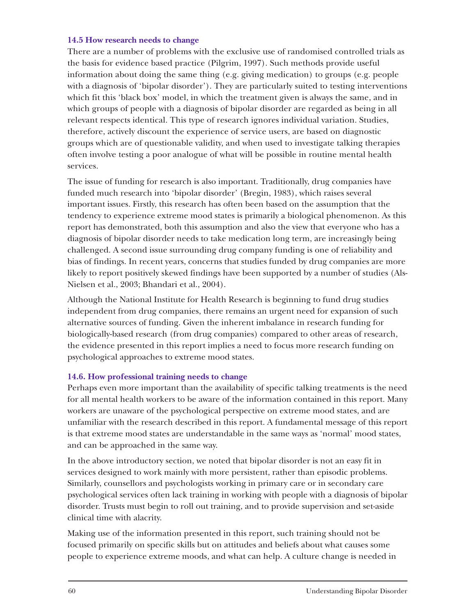#### **14.5 How research needs to change**

There are a number of problems with the exclusive use of randomised controlled trials as the basis for evidence based practice (Pilgrim, 1997). Such methods provide useful information about doing the same thing (e.g. giving medication) to groups (e.g. people with a diagnosis of 'bipolar disorder'). They are particularly suited to testing interventions which fit this 'black box' model, in which the treatment given is always the same, and in which groups of people with a diagnosis of bipolar disorder are regarded as being in all relevant respects identical. This type of research ignores individual variation. Studies, therefore, actively discount the experience of service users, are based on diagnostic groups which are of questionable validity, and when used to investigate talking therapies often involve testing a poor analogue of what will be possible in routine mental health services.

The issue of funding for research is also important. Traditionally, drug companies have funded much research into 'bipolar disorder' (Bregin, 1983), which raises several important issues. Firstly, this research has often been based on the assumption that the tendency to experience extreme mood states is primarily a biological phenomenon. As this report has demonstrated, both this assumption and also the view that everyone who has a diagnosis of bipolar disorder needs to take medication long term, are increasingly being challenged. A second issue surrounding drug company funding is one of reliability and bias of findings. In recent years, concerns that studies funded by drug companies are more likely to report positively skewed findings have been supported by a number of studies (Als-Nielsen et al., 2003; Bhandari et al., 2004).

Although the National Institute for Health Research is beginning to fund drug studies independent from drug companies, there remains an urgent need for expansion of such alternative sources of funding. Given the inherent imbalance in research funding for biologically-based research (from drug companies) compared to other areas of research, the evidence presented in this report implies a need to focus more research funding on psychological approaches to extreme mood states.

# **14.6. How professional training needs to change**

Perhaps even more important than the availability of specific talking treatments is the need for all mental health workers to be aware of the information contained in this report. Many workers are unaware of the psychological perspective on extreme mood states, and are unfamiliar with the research described in this report. A fundamental message of this report is that extreme mood states are understandable in the same ways as 'normal' mood states, and can be approached in the same way.

In the above introductory section, we noted that bipolar disorder is not an easy fit in services designed to work mainly with more persistent, rather than episodic problems. Similarly, counsellors and psychologists working in primary care or in secondary care psychological services often lack training in working with people with a diagnosis of bipolar disorder. Trusts must begin to roll out training, and to provide supervision and set-aside clinical time with alacrity.

Making use of the information presented in this report, such training should not be focused primarily on specific skills but on attitudes and beliefs about what causes some people to experience extreme moods, and what can help. A culture change is needed in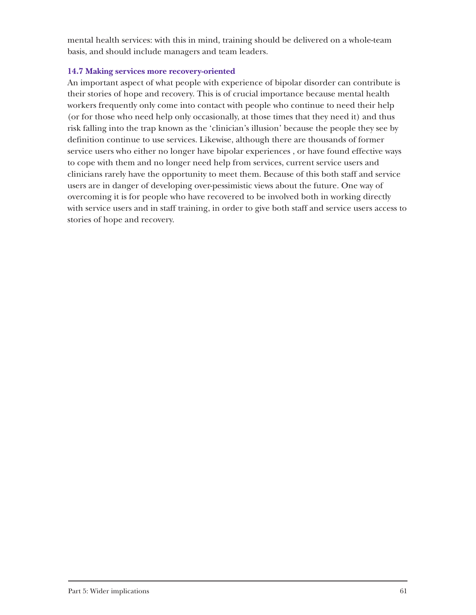mental health services: with this in mind, training should be delivered on a whole-team basis, and should include managers and team leaders.

# **14.7 Making services more recovery-oriented**

An important aspect of what people with experience of bipolar disorder can contribute is their stories of hope and recovery. This is of crucial importance because mental health workers frequently only come into contact with people who continue to need their help (or for those who need help only occasionally, at those times that they need it) and thus risk falling into the trap known as the 'clinician's illusion' because the people they see by definition continue to use services. Likewise, although there are thousands of former service users who either no longer have bipolar experiences , or have found effective ways to cope with them and no longer need help from services, current service users and clinicians rarely have the opportunity to meet them. Because of this both staff and service users are in danger of developing over-pessimistic views about the future. One way of overcoming it is for people who have recovered to be involved both in working directly with service users and in staff training, in order to give both staff and service users access to stories of hope and recovery.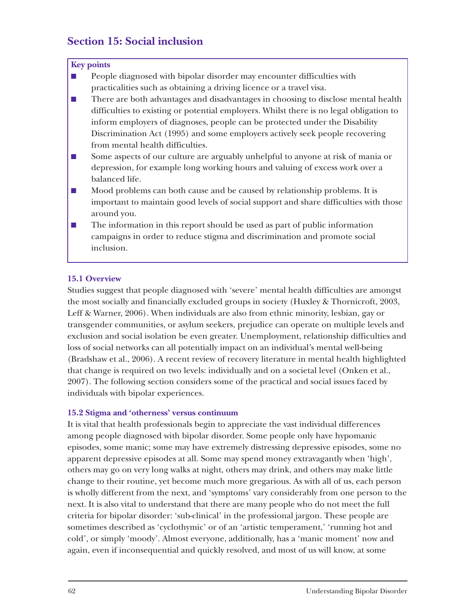# **Section 15: Social inclusion**

#### **Key points**

■ People diagnosed with bipolar disorder may encounter difficulties with practicalities such as obtaining a driving licence or a travel visa.

■ There are both advantages and disadvantages in choosing to disclose mental health difficulties to existing or potential employers. Whilst there is no legal obligation to inform employers of diagnoses, people can be protected under the Disability Discrimination Act (1995) and some employers actively seek people recovering from mental health difficulties.

- Some aspects of our culture are arguably unhelpful to anyone at risk of mania or depression, for example long working hours and valuing of excess work over a balanced life.
- Mood problems can both cause and be caused by relationship problems. It is important to maintain good levels of social support and share difficulties with those around you.
- The information in this report should be used as part of public information campaigns in order to reduce stigma and discrimination and promote social inclusion.

# **15.1 Overview**

Studies suggest that people diagnosed with 'severe' mental health difficulties are amongst the most socially and financially excluded groups in society (Huxley & Thornicroft, 2003, Leff & Warner, 2006). When individuals are also from ethnic minority, lesbian, gay or transgender communities, or asylum seekers, prejudice can operate on multiple levels and exclusion and social isolation be even greater. Unemployment, relationship difficulties and loss of social networks can all potentially impact on an individual's mental well-being (Bradshaw et al., 2006). A recent review of recovery literature in mental health highlighted that change is required on two levels: individually and on a societal level (Onken et al., 2007). The following section considers some of the practical and social issues faced by individuals with bipolar experiences.

# **15.2 Stigma and 'otherness' versus continuum**

It is vital that health professionals begin to appreciate the vast individual differences among people diagnosed with bipolar disorder. Some people only have hypomanic episodes, some manic; some may have extremely distressing depressive episodes, some no apparent depressive episodes at all. Some may spend money extravagantly when 'high', others may go on very long walks at night, others may drink, and others may make little change to their routine, yet become much more gregarious. As with all of us, each person is wholly different from the next, and 'symptoms' vary considerably from one person to the next. It is also vital to understand that there are many people who do not meet the full criteria for bipolar disorder: 'sub-clinical' in the professional jargon. These people are sometimes described as 'cyclothymic' or of an 'artistic temperament,' 'running hot and cold', or simply 'moody'. Almost everyone, additionally, has a 'manic moment' now and again, even if inconsequential and quickly resolved, and most of us will know, at some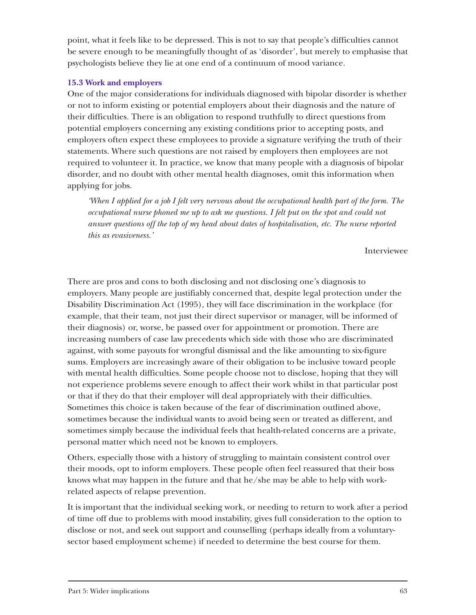point, what it feels like to be depressed. This is not to say that people's difficulties cannot be severe enough to be meaningfully thought of as 'disorder', but merely to emphasise that psychologists believe they lie at one end of a continuum of mood variance.

# **15.3 Work and employers**

One of the major considerations for individuals diagnosed with bipolar disorder is whether or not to inform existing or potential employers about their diagnosis and the nature of their difficulties. There is an obligation to respond truthfully to direct questions from potential employers concerning any existing conditions prior to accepting posts, and employers often expect these employees to provide a signature verifying the truth of their statements. Where such questions are not raised by employers then employees are not required to volunteer it. In practice, we know that many people with a diagnosis of bipolar disorder, and no doubt with other mental health diagnoses, omit this information when applying for jobs.

*'When I applied for a job I felt very nervous about the occupational health part of the form. The occupational nurse phoned me up to ask me questions. I felt put on the spot and could not answer questions off the top of my head about dates of hospitalisation, etc. The nurse reported this as evasiveness.'*

#### Interviewee

There are pros and cons to both disclosing and not disclosing one's diagnosis to employers. Many people are justifiably concerned that, despite legal protection under the Disability Discrimination Act (1995), they will face discrimination in the workplace (for example, that their team, not just their direct supervisor or manager, will be informed of their diagnosis) or, worse, be passed over for appointment or promotion. There are increasing numbers of case law precedents which side with those who are discriminated against, with some payouts for wrongful dismissal and the like amounting to six-figure sums. Employers are increasingly aware of their obligation to be inclusive toward people with mental health difficulties. Some people choose not to disclose, hoping that they will not experience problems severe enough to affect their work whilst in that particular post or that if they do that their employer will deal appropriately with their difficulties. Sometimes this choice is taken because of the fear of discrimination outlined above, sometimes because the individual wants to avoid being seen or treated as different, and sometimes simply because the individual feels that health-related concerns are a private, personal matter which need not be known to employers.

Others, especially those with a history of struggling to maintain consistent control over their moods, opt to inform employers. These people often feel reassured that their boss knows what may happen in the future and that he/she may be able to help with workrelated aspects of relapse prevention.

It is important that the individual seeking work, or needing to return to work after a period of time off due to problems with mood instability, gives full consideration to the option to disclose or not, and seek out support and counselling (perhaps ideally from a voluntarysector based employment scheme) if needed to determine the best course for them.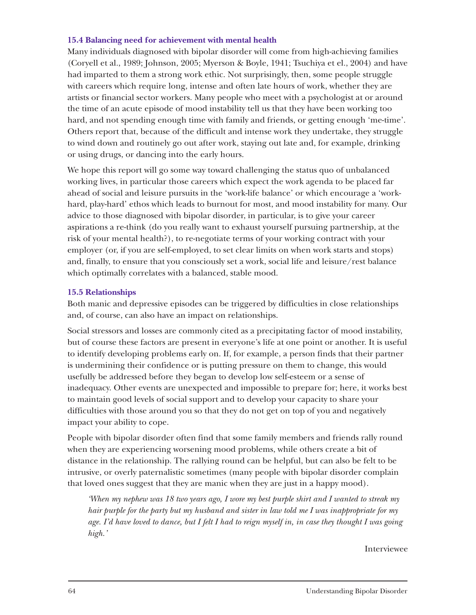# **15.4 Balancing need for achievement with mental health**

Many individuals diagnosed with bipolar disorder will come from high-achieving families (Coryell et al., 1989; Johnson, 2005; Myerson & Boyle, 1941; Tsuchiya et el., 2004) and have had imparted to them a strong work ethic. Not surprisingly, then, some people struggle with careers which require long, intense and often late hours of work, whether they are artists or financial sector workers. Many people who meet with a psychologist at or around the time of an acute episode of mood instability tell us that they have been working too hard, and not spending enough time with family and friends, or getting enough 'me-time'. Others report that, because of the difficult and intense work they undertake, they struggle to wind down and routinely go out after work, staying out late and, for example, drinking or using drugs, or dancing into the early hours.

We hope this report will go some way toward challenging the status quo of unbalanced working lives, in particular those careers which expect the work agenda to be placed far ahead of social and leisure pursuits in the 'work-life balance' or which encourage a 'workhard, play-hard' ethos which leads to burnout for most, and mood instability for many. Our advice to those diagnosed with bipolar disorder, in particular, is to give your career aspirations a re-think (do you really want to exhaust yourself pursuing partnership, at the risk of your mental health?), to re-negotiate terms of your working contract with your employer (or, if you are self-employed, to set clear limits on when work starts and stops) and, finally, to ensure that you consciously set a work, social life and leisure/rest balance which optimally correlates with a balanced, stable mood.

#### **15.5 Relationships**

Both manic and depressive episodes can be triggered by difficulties in close relationships and, of course, can also have an impact on relationships.

Social stressors and losses are commonly cited as a precipitating factor of mood instability, but of course these factors are present in everyone's life at one point or another. It is useful to identify developing problems early on. If, for example, a person finds that their partner is undermining their confidence or is putting pressure on them to change, this would usefully be addressed before they began to develop low self-esteem or a sense of inadequacy. Other events are unexpected and impossible to prepare for; here, it works best to maintain good levels of social support and to develop your capacity to share your difficulties with those around you so that they do not get on top of you and negatively impact your ability to cope.

People with bipolar disorder often find that some family members and friends rally round when they are experiencing worsening mood problems, while others create a bit of distance in the relationship. The rallying round can be helpful, but can also be felt to be intrusive, or overly paternalistic sometimes (many people with bipolar disorder complain that loved ones suggest that they are manic when they are just in a happy mood).

*'When my nephew was 18 two years ago, I wore my best purple shirt and I wanted to streak my hair purple for the party but my husband and sister in law told me I was inappropriate for my age. I'd have loved to dance, but I felt I had to reign myself in, in case they thought I was going high.'*

Interviewee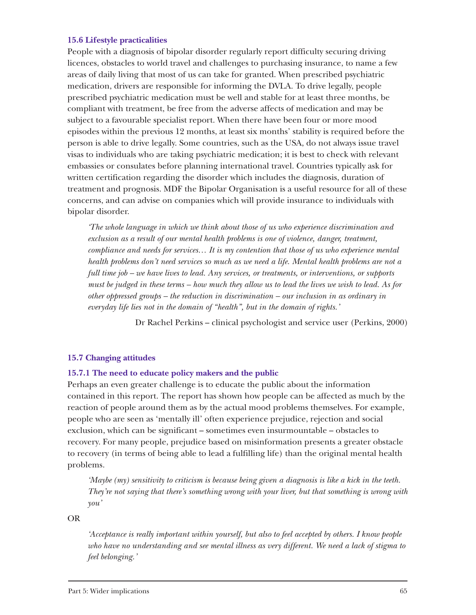#### **15.6 Lifestyle practicalities**

People with a diagnosis of bipolar disorder regularly report difficulty securing driving licences, obstacles to world travel and challenges to purchasing insurance, to name a few areas of daily living that most of us can take for granted. When prescribed psychiatric medication, drivers are responsible for informing the DVLA. To drive legally, people prescribed psychiatric medication must be well and stable for at least three months, be compliant with treatment, be free from the adverse affects of medication and may be subject to a favourable specialist report. When there have been four or more mood episodes within the previous 12 months, at least six months' stability is required before the person is able to drive legally. Some countries, such as the USA, do not always issue travel visas to individuals who are taking psychiatric medication; it is best to check with relevant embassies or consulates before planning international travel. Countries typically ask for written certification regarding the disorder which includes the diagnosis, duration of treatment and prognosis. MDF the Bipolar Organisation is a useful resource for all of these concerns, and can advise on companies which will provide insurance to individuals with bipolar disorder.

*'The whole language in which we think about those of us who experience discrimination and exclusion as a result of our mental health problems is one of violence, danger, treatment, compliance and needs for services… It is my contention that those of us who experience mental health problems don't need services so much as we need a life. Mental health problems are not a full time job – we have lives to lead. Any services, or treatments, or interventions, or supports must be judged in these terms – how much they allow us to lead the lives we wish to lead. As for other oppressed groups – the reduction in discrimination – our inclusion in as ordinary in everyday life lies not in the domain of "health", but in the domain of rights.'*

Dr Rachel Perkins – clinical psychologist and service user (Perkins, 2000)

#### **15.7 Changing attitudes**

#### **15.7.1 The need to educate policy makers and the public**

Perhaps an even greater challenge is to educate the public about the information contained in this report. The report has shown how people can be affected as much by the reaction of people around them as by the actual mood problems themselves. For example, people who are seen as 'mentally ill' often experience prejudice, rejection and social exclusion, which can be significant – sometimes even insurmountable – obstacles to recovery. For many people, prejudice based on misinformation presents a greater obstacle to recovery (in terms of being able to lead a fulfilling life) than the original mental health problems.

*'Maybe (my) sensitivity to criticism is because being given a diagnosis is like a kick in the teeth. They're not saying that there's something wrong with your liver, but that something is wrong with you'*

OR

*'Acceptance is really important within yourself, but also to feel accepted by others. I know people who have no understanding and see mental illness as very different. We need a lack of stigma to feel belonging.'*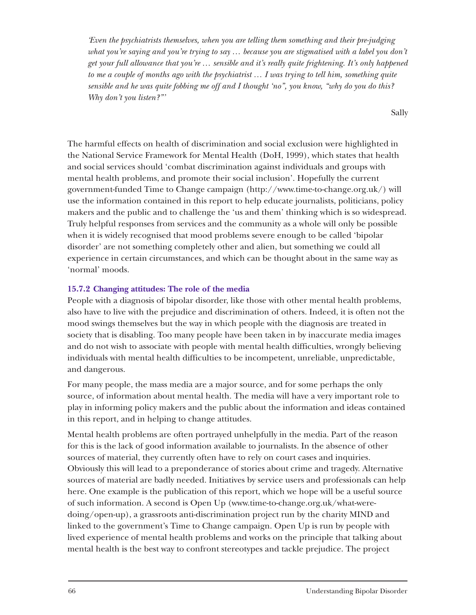*'Even the psychiatrists themselves, when you are telling them something and their pre-judging what you're saying and you're trying to say … because you are stigmatised with a label you don't get your full allowance that you're … sensible and it's really quite frightening. It's only happened to me a couple of months ago with the psychiatrist … I was trying to tell him, something quite sensible and he was quite fobbing me off and I thought 'no", you know, "why do you do this? Why don't you listen?"'* 

Sally

The harmful effects on health of discrimination and social exclusion were highlighted in the National Service Framework for Mental Health (DoH, 1999), which states that health and social services should 'combat discrimination against individuals and groups with mental health problems, and promote their social inclusion'. Hopefully the current government-funded Time to Change campaign (http://www.time-to-change.org.uk/) will use the information contained in this report to help educate journalists, politicians, policy makers and the public and to challenge the 'us and them' thinking which is so widespread. Truly helpful responses from services and the community as a whole will only be possible when it is widely recognised that mood problems severe enough to be called 'bipolar disorder' are not something completely other and alien, but something we could all experience in certain circumstances, and which can be thought about in the same way as 'normal' moods.

# **15.7.2 Changing attitudes: The role of the media**

People with a diagnosis of bipolar disorder, like those with other mental health problems, also have to live with the prejudice and discrimination of others. Indeed, it is often not the mood swings themselves but the way in which people with the diagnosis are treated in society that is disabling. Too many people have been taken in by inaccurate media images and do not wish to associate with people with mental health difficulties, wrongly believing individuals with mental health difficulties to be incompetent, unreliable, unpredictable, and dangerous.

For many people, the mass media are a major source, and for some perhaps the only source, of information about mental health. The media will have a very important role to play in informing policy makers and the public about the information and ideas contained in this report, and in helping to change attitudes.

Mental health problems are often portrayed unhelpfully in the media. Part of the reason for this is the lack of good information available to journalists. In the absence of other sources of material, they currently often have to rely on court cases and inquiries. Obviously this will lead to a preponderance of stories about crime and tragedy. Alternative sources of material are badly needed. Initiatives by service users and professionals can help here. One example is the publication of this report, which we hope will be a useful source of such information. A second is Open Up (www.time-to-change.org.uk/what-weredoing/open-up), a grassroots anti-discrimination project run by the charity MIND and linked to the government's Time to Change campaign. Open Up is run by people with lived experience of mental health problems and works on the principle that talking about mental health is the best way to confront stereotypes and tackle prejudice. The project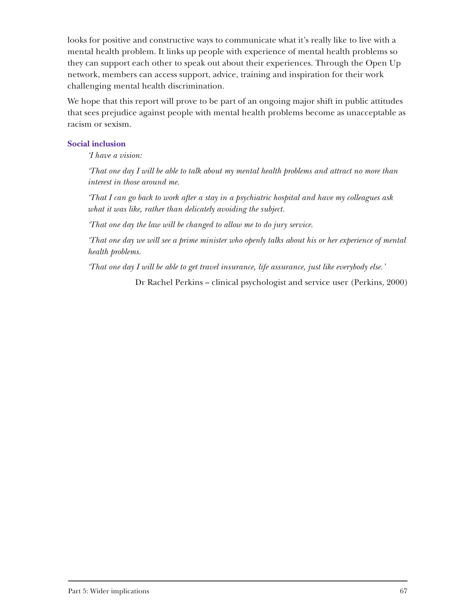looks for positive and constructive ways to communicate what it's really like to live with a mental health problem. It links up people with experience of mental health problems so they can support each other to speak out about their experiences. Through the Open Up network, members can access support, advice, training and inspiration for their work challenging mental health discrimination.

We hope that this report will prove to be part of an ongoing major shift in public attitudes that sees prejudice against people with mental health problems become as unacceptable as racism or sexism.

#### **Social inclusion**

*'I have a vision:*

*'That one day I will be able to talk about my mental health problems and attract no more than interest in those around me.*

*'That I can go back to work after a stay in a psychiatric hospital and have my colleagues ask what it was like, rather than delicately avoiding the subject.*

*'That one day the law will be changed to allow me to do jury service.*

*'That one day we will see a prime minister who openly talks about his or her experience of mental health problems.*

*'That one day I will be able to get travel insurance, life assurance, just like everybody else.'*

Dr Rachel Perkins – clinical psychologist and service user (Perkins, 2000)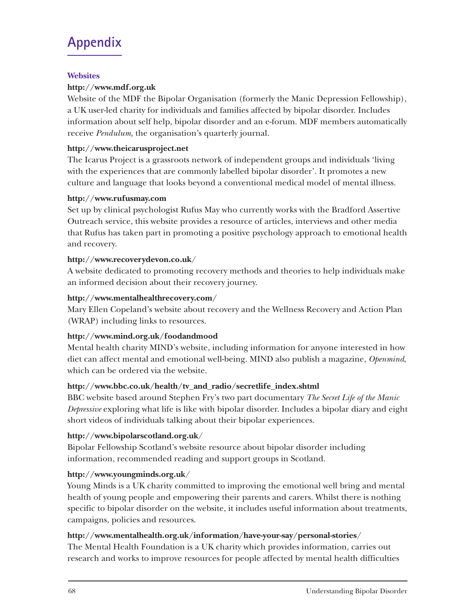# **Appendix**

# **Websites**

# **http://www.mdf.org.uk**

Website of the MDF the Bipolar Organisation (formerly the Manic Depression Fellowship), a UK user-led charity for individuals and families affected by bipolar disorder. Includes information about self help, bipolar disorder and an e-forum. MDF members automatically receive *Pendulum,* the organisation's quarterly journal.

# **http://www.theicarusproject.net**

The Icarus Project is a grassroots network of independent groups and individuals 'living with the experiences that are commonly labelled bipolar disorder'. It promotes a new culture and language that looks beyond a conventional medical model of mental illness.

# **http://www.rufusmay.com**

Set up by clinical psychologist Rufus May who currently works with the Bradford Assertive Outreach service, this website provides a resource of articles, interviews and other media that Rufus has taken part in promoting a positive psychology approach to emotional health and recovery.

# **http://www.recoverydevon.co.uk**/

A website dedicated to promoting recovery methods and theories to help individuals make an informed decision about their recovery journey.

# **http://www.mentalhealthrecovery.com/**

Mary Ellen Copeland's website about recovery and the Wellness Recovery and Action Plan (WRAP) including links to resources.

# **http://www.mind.org.uk/foodandmood**

Mental health charity MIND's website, including information for anyone interested in how diet can affect mental and emotional well-being. MIND also publish a magazine, *Openmind*, which can be ordered via the website.

# **http://www.bbc.co.uk/health/tv\_and\_radio/secretlife\_index.shtml**

BBC website based around Stephen Fry's two part documentary *The Secret Life of the Manic Depressive* exploring what life is like with bipolar disorder. Includes a bipolar diary and eight short videos of individuals talking about their bipolar experiences.

# **http://www.bipolarscotland.org.uk**/

Bipolar Fellowship Scotland's website resource about bipolar disorder including information, recommended reading and support groups in Scotland.

# **http://www.youngminds.org.uk**/

Young Minds is a UK charity committed to improving the emotional well bring and mental health of young people and empowering their parents and carers. Whilst there is nothing specific to bipolar disorder on the website, it includes useful information about treatments, campaigns, policies and resources.

# **http://www.mentalhealth.org.uk/information/have-your-say/personal-stories**/

The Mental Health Foundation is a UK charity which provides information, carries out research and works to improve resources for people affected by mental health difficulties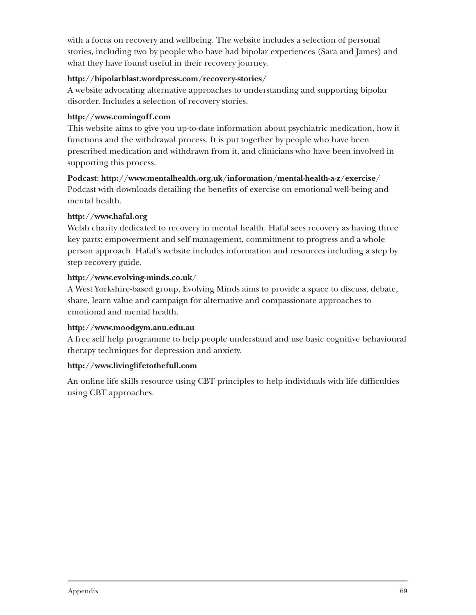with a focus on recovery and wellbeing. The website includes a selection of personal stories, including two by people who have had bipolar experiences (Sara and James) and what they have found useful in their recovery journey.

# **http://bipolarblast.wordpress.com/recovery-stories/**

A website advocating alternative approaches to understanding and supporting bipolar disorder. Includes a selection of recovery stories.

# **http://www.comingoff.com**

This website aims to give you up-to-date information about psychiatric medication, how it functions and the withdrawal process. It is put together by people who have been prescribed medication and withdrawn from it, and clinicians who have been involved in supporting this process.

# **Podcast**: **http://www.mentalhealth.org.uk/information/mental-health-a-z/exercise**/

Podcast with downloads detailing the benefits of exercise on emotional well-being and mental health.

# **http://www.hafal.org**

Welsh charity dedicated to recovery in mental health. Hafal sees recovery as having three key parts: empowerment and self management, commitment to progress and a whole person approach. Hafal's website includes information and resources including a step by step recovery guide.

# **http://www.evolving-minds.co.uk**/

A West Yorkshire-based group, Evolving Minds aims to provide a space to discuss, debate, share, learn value and campaign for alternative and compassionate approaches to emotional and mental health.

# **http://www.moodgym.anu.edu.au**

A free self help programme to help people understand and use basic cognitive behavioural therapy techniques for depression and anxiety.

# **http://www.livinglifetothefull.com**

An online life skills resource using CBT principles to help individuals with life difficulties using CBT approaches.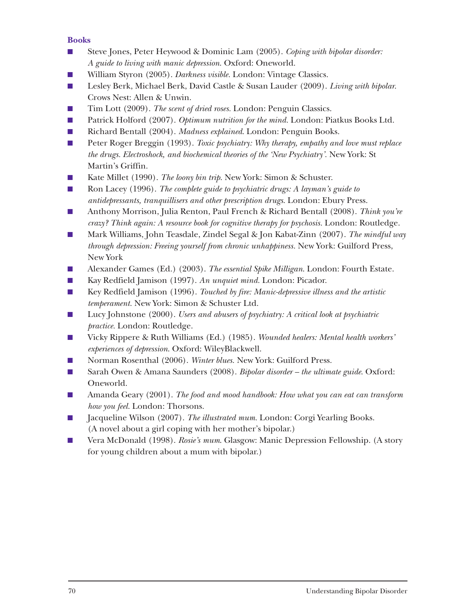# **Books**

- Steve Jones, Peter Heywood & Dominic Lam (2005). *Coping with bipolar disorder: A guide to living with manic depression*. Oxford: Oneworld.
- William Styron (2005). *Darkness visible*. London: Vintage Classics.
- Lesley Berk, Michael Berk, David Castle & Susan Lauder (2009). *Living with bipolar*. Crows Nest: Allen & Unwin.
- Tim Lott (2009). *The scent of dried roses*. London: Penguin Classics.
- Patrick Holford (2007). *Optimum nutrition for the mind*. London: Piatkus Books Ltd.
- Richard Bentall (2004). *Madness explained*. London: Penguin Books.
- Peter Roger Breggin (1993). *Toxic psychiatry: Why therapy, empathy and love must replace the drugs. Electroshock, and biochemical theories of the 'New Psychiatry'.* New York: St Martin's Griffin.
- Kate Millet (1990). *The loony bin trip*. New York: Simon & Schuster.
- Ron Lacey (1996). *The complete guide to psychiatric drugs: A layman's guide to antidepressants, tranquillisers and other prescription drugs*. London: Ebury Press.
- Anthony Morrison, Julia Renton, Paul French & Richard Bentall (2008). *Think you're crazy? Think again: A resource book for cognitive therapy for psychosis.* London: Routledge.
- Mark Williams, John Teasdale, Zindel Segal & Jon Kabat-Zinn (2007). *The mindful way through depression: Freeing yourself from chronic unhappiness.* New York: Guilford Press, New York
- Alexander Games (Ed.) (2003). *The essential Spike Milligan*. London: Fourth Estate.
- Kay Redfield Jamison (1997). *An unquiet mind.* London: Picador.
- Key Redfield Jamison (1996). *Touched by fire: Manic-depressive illness and the artistic temperament.* New York: Simon & Schuster Ltd.
- Lucy Johnstone (2000). *Users and abusers of psychiatry: A critical look at psychiatric practice.* London: Routledge.
- Vicky Rippere & Ruth Williams (Ed.) (1985). *Wounded healers: Mental health workers' experiences of depression*. Oxford: WileyBlackwell.
- Norman Rosenthal (2006). *Winter blues*. New York: Guilford Press.
- Sarah Owen & Amana Saunders (2008). *Bipolar disorder the ultimate guide*. Oxford: Oneworld.
- Amanda Geary (2001). *The food and mood handbook: How what you can eat can transform how you feel.* London: Thorsons.
- Jacqueline Wilson (2007). *The illustrated mum*. London: Corgi Yearling Books. (A novel about a girl coping with her mother's bipolar.)
- Vera McDonald (1998). *Rosie's mum.* Glasgow: Manic Depression Fellowship. (A story for young children about a mum with bipolar.)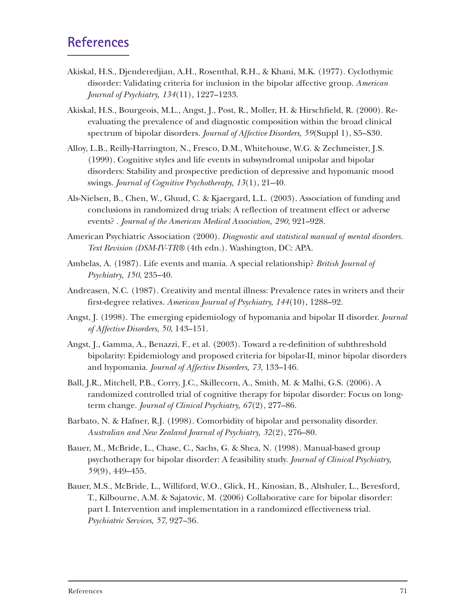## **References**

- Akiskal, H.S., Djenderedjian, A.H., Rosenthal, R.H., & Khani, M.K. (1977). Cyclothymic disorder: Validating criteria for inclusion in the bipolar affective group. *American Journal of Psychiatry, 134*(11), 1227–1233.
- Akiskal, H.S., Bourgeois, M.L., Angst, J., Post, R., Moller, H. & Hirschfield, R. (2000). Reevaluating the prevalence of and diagnostic composition within the broad clinical spectrum of bipolar disorders. *Journal of Affective Disorders, 59*(Suppl 1), S5–S30.
- Alloy, L.B., Reilly-Harrington, N., Fresco, D.M., Whitehouse, W.G. & Zechmeister, J.S. (1999). Cognitive styles and life events in subsyndromal unipolar and bipolar disorders: Stability and prospective prediction of depressive and hypomanic mood swings. *Journal of Cognitive Psychotherapy, 13*(1), 21–40.
- Als-Nielsen, B., Chen, W., Gluud, C. & Kjaergard, L.L. (2003). Association of funding and conclusions in randomized drug trials: A reflection of treatment effect or adverse events? . *Journal of the American Medical Association, 290*, 921–928.
- American Psychiatric Association (2000). *Diagnostic and statistical manual of mental disorders. Text Revision (DSM-IV-TR®* (4th edn.). Washington, DC: APA.
- Ambelas, A. (1987). Life events and mania. A special relationship? *British Journal of Psychiatry, 150*, 235–40.
- Andreasen, N.C. (1987). Creativity and mental illness: Prevalence rates in writers and their first-degree relatives. *American Journal of Psychiatry, 144*(10), 1288–92.
- Angst, J. (1998). The emerging epidemiology of hypomania and bipolar II disorder. *Journal of Affective Disorders, 50*, 143–151.
- Angst, J., Gamma, A., Benazzi, F., et al. (2003). Toward a re-definition of subthreshold bipolarity: Epidemiology and proposed criteria for bipolar-II, minor bipolar disorders and hypomania. *Journal of Affective Disorders, 73,* 133–146.
- Ball, J.R., Mitchell, P.B., Corry, J.C., Skillecorn, A., Smith, M. & Malhi, G.S. (2006). A randomized controlled trial of cognitive therapy for bipolar disorder: Focus on longterm change. *Journal of Clinical Psychiatry, 67*(2), 277–86.
- Barbato, N. & Hafner, R.J. (1998). Comorbidity of bipolar and personality disorder. *Australian and New Zealand Journal of Psychiatry, 32*(2), 276–80.
- Bauer, M., McBride, L., Chase, C., Sachs, G. & Shea, N. (1998). Manual-based group psychotherapy for bipolar disorder: A feasibility study. *Journal of Clinical Psychiatry, 59*(9), 449–455.
- Bauer, M.S., McBride, L., Williford, W.O., Glick, H., Kinosian, B., Altshuler, L., Beresford, T., Kilbourne, A.M. & Sajatovic, M. (2006) Collaborative care for bipolar disorder: part I. Intervention and implementation in a randomized effectiveness trial. *Psychiatric Services, 57*, 927–36.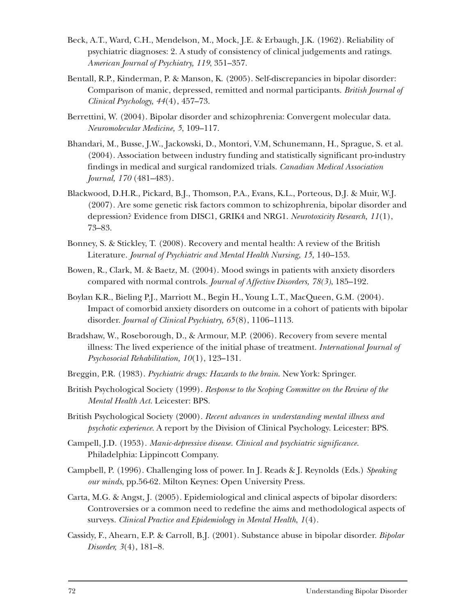- Beck, A.T., Ward, C.H., Mendelson, M., Mock, J.E. & Erbaugh, J.K. (1962). Reliability of psychiatric diagnoses: 2. A study of consistency of clinical judgements and ratings. *American Journal of Psychiatry, 119*, 351–357.
- Bentall, R.P., Kinderman, P. & Manson, K. (2005). Self-discrepancies in bipolar disorder: Comparison of manic, depressed, remitted and normal participants. *British Journal of Clinical Psychology, 44*(4), 457–73.
- Berrettini, W. (2004). Bipolar disorder and schizophrenia: Convergent molecular data. *Neuromolecular Medicine, 5*, 109–117.
- Bhandari, M., Busse, J.W., Jackowski, D., Montori, V.M, Schunemann, H., Sprague, S. et al. (2004). Association between industry funding and statistically significant pro-industry findings in medical and surgical randomized trials. *Canadian Medical Association Journal, 170* (481–483).
- Blackwood, D.H.R., Pickard, B.J., Thomson, P.A., Evans, K.L., Porteous, D.J. & Muir, W.J. (2007). Are some genetic risk factors common to schizophrenia, bipolar disorder and depression? Evidence from DISC1, GRIK4 and NRG1. *Neurotoxicity Research, 11*(1), 73–83.
- Bonney, S. & Stickley, T. (2008). Recovery and mental health: A review of the British Literature. *Journal of Psychiatric and Mental Health Nursing, 15,* 140–153.
- Bowen, R., Clark, M. & Baetz, M. (2004). Mood swings in patients with anxiety disorders compared with normal controls. *Journal of Affective Disorders, 78(3)*, 185–192.
- Boylan K.R., Bieling P.J., Marriott M., Begin H., Young L.T., MacQueen, G.M. (2004). Impact of comorbid anxiety disorders on outcome in a cohort of patients with bipolar disorder. *Journal of Clinical Psychiatry, 65*(8), 1106–1113.
- Bradshaw, W., Roseborough, D., & Armour, M.P. (2006). Recovery from severe mental illness: The lived experience of the initial phase of treatment. *International Journal of Psychosocial Rehabilitation, 10*(1), 123–131.
- Breggin, P.R. (1983). *Psychiatric drugs: Hazards to the brain*. New York: Springer.
- British Psychological Society (1999). *Response to the Scoping Committee on the Review of the Mental Health Act.* Leicester: BPS.
- British Psychological Society (2000). *Recent advances in understanding mental illness and psychotic experience*. A report by the Division of Clinical Psychology. Leicester: BPS.
- Campell, J.D. (1953)*. Manic-depressive disease. Clinical and psychiatric significance.* Philadelphia: Lippincott Company.
- Campbell, P. (1996). Challenging loss of power. In J. Reads & J. Reynolds (Eds.) *Speaking our minds*, pp.56-62. Milton Keynes: Open University Press.
- Carta, M.G. & Angst, J. (2005). Epidemiological and clinical aspects of bipolar disorders: Controversies or a common need to redefine the aims and methodological aspects of surveys. *Clinical Practice and Epidemiology in Mental Health*, *1*(4).
- Cassidy, F., Ahearn, E.P. & Carroll, B.J. (2001). Substance abuse in bipolar disorder. *Bipolar Disorder, 3*(4), 181–8.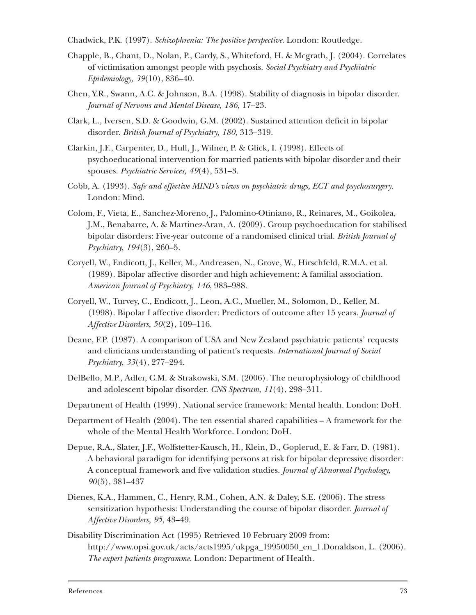Chadwick, P.K. (1997). *Schizophrenia: The positive perspective*. London: Routledge.

- Chapple, B., Chant, D., Nolan, P., Cardy, S., Whiteford, H. & Mcgrath, J. (2004). Correlates of victimisation amongst people with psychosis. *Social Psychiatry and Psychiatric Epidemiology, 39*(10), 836–40.
- Chen, Y.R., Swann, A.C. & Johnson, B.A. (1998). Stability of diagnosis in bipolar disorder. *Journal of Nervous and Mental Disease, 186,* 17–23.
- Clark, L., Iversen, S.D. & Goodwin, G.M. (2002). Sustained attention deficit in bipolar disorder. *British Journal of Psychiatry, 180,* 313–319.
- Clarkin, J.F., Carpenter, D., Hull, J., Wilner, P. & Glick, I. (1998). Effects of psychoeducational intervention for married patients with bipolar disorder and their spouses. *Psychiatric Services, 49*(4), 531–3.
- Cobb, A. (1993). *Safe and effective MIND's views on psychiatric drugs, ECT and psychosurgery*. London: Mind.
- Colom, F., Vieta, E., Sanchez-Moreno, J., Palomino-Otiniano, R., Reinares, M., Goikolea, J.M., Benabarre, A. & Martinez-Aran, A. (2009). Group psychoeducation for stabilised bipolar disorders: Five-year outcome of a randomised clinical trial. *British Journal of Psychiatry, 194*(3), 260–5.
- Coryell, W., Endicott, J., Keller, M., Andreasen, N., Grove, W., Hirschfeld, R.M.A. et al. (1989). Bipolar affective disorder and high achievement: A familial association. *American Journal of Psychiatry, 146*, 983–988.
- Coryell, W., Turvey, C., Endicott, J., Leon, A.C., Mueller, M., Solomon, D., Keller, M. (1998). Bipolar I affective disorder: Predictors of outcome after 15 years. *Journal of Affective Disorders, 50*(2), 109–116.
- Deane, F.P. (1987). A comparison of USA and New Zealand psychiatric patients' requests and clinicians understanding of patient's requests. *International Journal of Social Psychiatry, 33*(4), 277–294.
- DelBello, M.P., Adler, C.M. & Strakowski, S.M. (2006). The neurophysiology of childhood and adolescent bipolar disorder. *CNS Spectrum, 11*(4), 298–311.
- Department of Health (1999). National service framework: Mental health. London: DoH.
- Department of Health (2004). The ten essential shared capabilities A framework for the whole of the Mental Health Workforce. London: DoH.
- Depue, R.A., Slater, J.F., Wolfstetter-Kausch, H., Klein, D., Goplerud, E. & Farr, D. (1981). A behavioral paradigm for identifying persons at risk for bipolar depressive disorder: A conceptual framework and five validation studies. *Journal of Abnormal Psychology, 90*(5), 381–437
- Dienes, K.A., Hammen, C., Henry, R.M., Cohen, A.N. & Daley, S.E. (2006). The stress sensitization hypothesis: Understanding the course of bipolar disorder. *Journal of Affective Disorders, 95*, 43–49.
- Disability Discrimination Act (1995) Retrieved 10 February 2009 from: http://www.opsi.gov.uk/ acts/acts1995/ukpga\_19950050\_en\_1.Donaldson, L. (2006). *The expert patients programme.* London: Department of Health.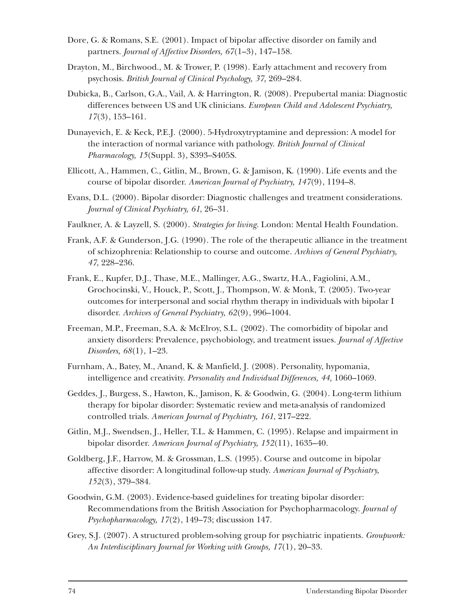- Dore, G. & Romans, S.E. (2001). Impact of bipolar affective disorder on family and partners. *Journal of Affective Disorders, 67*(1–3), 147–158.
- Drayton, M., Birchwood., M. & Trower, P. (1998). Early attachment and recovery from psychosis. *British Journal of Clinical Psychology, 37,* 269–284.
- Dubicka, B., Carlson, G.A., Vail, A. & Harrington, R. (2008). Prepubertal mania: Diagnostic differences between US and UK clinicians. *European Child and Adolescent Psychiatry, 17*(3), 153–161.
- Dunayevich, E. & Keck, P.E.J. (2000). 5-Hydroxytryptamine and depression: A model for the interaction of normal variance with pathology. *British Journal of Clinical Pharmacology, 15*(Suppl. 3), S393–S405S.
- Ellicott, A., Hammen, C., Gitlin, M., Brown, G. & Jamison, K. (1990). Life events and the course of bipolar disorder. *American Journal of Psychiatry, 147*(9), 1194–8.
- Evans, D.L. (2000). Bipolar disorder: Diagnostic challenges and treatment considerations. *Journal of Clinical Psychiatry, 61*, 26–31.
- Faulkner, A. & Layzell, S. (2000). *Strategies for living.* London: Mental Health Foundation.
- Frank, A.F. & Gunderson, J.G. (1990). The role of the therapeutic alliance in the treatment of schizophrenia: Relationship to course and outcome. *Archives of General Psychiatry, 47,* 228–236.
- Frank, E., Kupfer, D.J., Thase, M.E., Mallinger, A.G., Swartz, H.A., Fagiolini, A.M., Grochocinski, V., Houck, P., Scott, J., Thompson, W. & Monk, T. (2005). Two-year outcomes for interpersonal and social rhythm therapy in individuals with bipolar I disorder. *Archives of General Psychiatry, 62*(9), 996–1004.
- Freeman, M.P., Freeman, S.A. & McElroy, S.L. (2002). The comorbidity of bipolar and anxiety disorders: Prevalence, psychobiology, and treatment issues. *Journal of Affective Disorders, 68*(1), 1–23.
- Furnham, A., Batey, M., Anand, K. & Manfield, J. (2008). Personality, hypomania, intelligence and creativity. *Personality and Individual Differences, 44,* 1060–1069.
- Geddes, J., Burgess, S., Hawton, K., Jamison, K. & Goodwin, G. (2004). Long-term lithium therapy for bipolar disorder: Systematic review and meta-analysis of randomized controlled trials. *American Journal of Psychiatry, 161*, 217–222.
- Gitlin, M.J., Swendsen, J., Heller, T.L. & Hammen, C. (1995). Relapse and impairment in bipolar disorder. *American Journal of Psychiatry, 152*(11), 1635–40.
- Goldberg, J.F., Harrow, M. & Grossman, L.S. (1995). Course and outcome in bipolar affective disorder: A longitudinal follow-up study. *American Journal of Psychiatry, 152*(3), 379–384.
- Goodwin, G.M. (2003). Evidence-based guidelines for treating bipolar disorder: Recommendations from the British Association for Psychopharmacology. *Journal of Psychopharmacology, 17*(2), 149–73; discussion 147.
- Grey, S.J. (2007). A structured problem-solving group for psychiatric inpatients. *Groupwork: An Interdisciplinary Journal for Working with Groups, 17*(1), 20–33.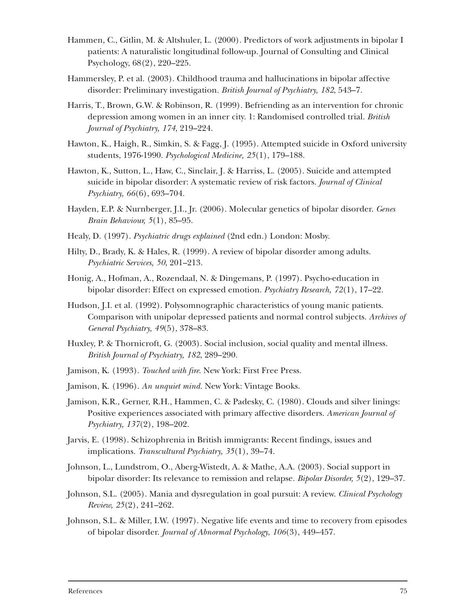- Hammen, C., Gitlin, M. & Altshuler, L. (2000). Predictors of work adjustments in bipolar I patients: A naturalistic longitudinal follow-up. Journal of Consulting and Clinical Psychology, 68(2), 220–225.
- Hammersley, P. et al. (2003). Childhood trauma and hallucinations in bipolar affective disorder: Preliminary investigation. *British Journal of Psychiatry, 182*, 543–7.
- Harris, T., Brown, G.W. & Robinson, R. (1999). Befriending as an intervention for chronic depression among women in an inner city. 1: Randomised controlled trial. *British Journal of Psychiatry, 174*, 219–224.
- Hawton, K., Haigh, R., Simkin, S. & Fagg, J. (1995). Attempted suicide in Oxford university students, 1976-1990. *Psychological Medicine, 25*(1), 179–188.
- Hawton, K., Sutton, L., Haw, C., Sinclair, J. & Harriss, L. (2005). Suicide and attempted suicide in bipolar disorder: A systematic review of risk factors. *Journal of Clinical Psychiatry, 66*(6), 693–704.
- Hayden, E.P. & Nurnberger, J.I., Jr. (2006). Molecular genetics of bipolar disorder. *Genes Brain Behaviour, 5*(1), 85–95.
- Healy, D. (1997). *Psychiatric drugs explained* (2nd edn.) London: Mosby.
- Hilty, D., Brady, K. & Hales, R. (1999). A review of bipolar disorder among adults. *Psychiatric Services, 50*, 201–213.
- Honig, A., Hofman, A., Rozendaal, N. & Dingemans, P. (1997). Psycho-education in bipolar disorder: Effect on expressed emotion. *Psychiatry Research, 72*(1), 17–22.
- Hudson, J.I. et al. (1992). Polysomnographic characteristics of young manic patients. Comparison with unipolar depressed patients and normal control subjects. *Archives of General Psychiatry, 49*(5), 378–83.
- Huxley, P. & Thornicroft, G. (2003). Social inclusion, social quality and mental illness. *British Journal of Psychiatry, 182*, 289–290.
- Jamison, K. (1993). *Touched with fire*. New York: First Free Press.
- Jamison, K. (1996). *An unquiet mind.* New York: Vintage Books.
- Jamison, K.R., Gerner, R.H., Hammen, C. & Padesky, C. (1980). Clouds and silver linings: Positive experiences associated with primary affective disorders. *American Journal of Psychiatry, 137*(2), 198–202.
- Jarvis, E. (1998). Schizophrenia in British immigrants: Recent findings, issues and implications. *Transcultural Psychiatry, 35*(1), 39–74.
- Johnson, L., Lundstrom, O., Aberg-Wistedt, A. & Mathe, A.A. (2003). Social support in bipolar disorder: Its relevance to remission and relapse. *Bipolar Disorder, 5*(2), 129–37.
- Johnson, S.L. (2005). Mania and dysregulation in goal pursuit: A review. *Clinical Psychology Review, 25*(2), 241–262.
- Johnson, S.L. & Miller, I.W. (1997). Negative life events and time to recovery from episodes of bipolar disorder. *Journal of Abnormal Psychology*, *106*(3), 449–457.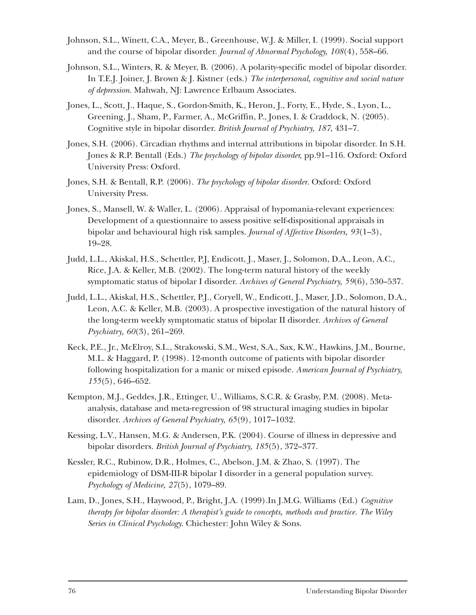- Johnson, S.L., Winett, C.A., Meyer, B., Greenhouse, W.J. & Miller, I. (1999). Social support and the course of bipolar disorder. *Journal of Abnormal Psychology, 108*(4), 558–66.
- Johnson, S.L., Winters, R. & Meyer, B. (2006). A polarity-specific model of bipolar disorder. In T.E.J. Joiner, J. Brown & J. Kistner (eds.) *The interpersonal, cognitive and social nature of depression*. Mahwah, NJ: Lawrence Erlbaum Associates.
- Jones, L., Scott, J., Haque, S., Gordon-Smith, K., Heron, J., Forty, E., Hyde, S., Lyon, L., Greening, J., Sham, P., Farmer, A., McGriffin, P., Jones, I. & Craddock, N. (2005). Cognitive style in bipolar disorder. *British Journal of Psychiatry, 187*, 431–7.
- Jones, S.H. (2006). Circadian rhythms and internal attributions in bipolar disorder. In S.H. Jones & R.P. Bentall (Eds.) *The psychology of bipolar disorder,* pp.91–116. Oxford: Oxford University Press: Oxford.
- Jones, S.H. & Bentall, R.P. (2006). *The psychology of bipolar disorder*. Oxford: Oxford University Press.
- Jones, S., Mansell, W. & Waller, L. (2006). Appraisal of hypomania-relevant experiences: Development of a questionnaire to assess positive self-dispositional appraisals in bipolar and behavioural high risk samples. *Journal of Affective Disorders, 93*(1–3), 19–28.
- Judd, L.L., Akiskal, H.S., Schettler, P.J, Endicott, J., Maser, J., Solomon, D.A., Leon, A.C., Rice, J.A. & Keller, M.B. (2002). The long-term natural history of the weekly symptomatic status of bipolar I disorder. *Archives of General Psychiatry, 59*(6), 530–537.
- Judd, L.L., Akiskal, H.S., Schettler, P.J., Coryell, W., Endicott, J., Maser, J.D., Solomon, D.A., Leon, A.C. & Keller, M.B. (2003). A prospective investigation of the natural history of the long-term weekly symptomatic status of bipolar II disorder. *Archives of General Psychiatry, 60*(3), 261–269.
- Keck, P.E., Jr., McElroy, S.L., Strakowski, S.M., West, S.A., Sax, K.W., Hawkins, J.M., Bourne, M.L. & Haggard, P. (1998). 12-month outcome of patients with bipolar disorder following hospitalization for a manic or mixed episode. *American Journal of Psychiatry, 155*(5), 646–652.
- Kempton, M.J., Geddes, J.R., Ettinger, U., Williams, S.C.R. & Grasby, P.M. (2008). Metaanalysis, database and meta-regression of 98 structural imaging studies in bipolar disorder. *Archives of General Psychiatry, 65*(9), 1017–1032.
- Kessing, L.V., Hansen, M.G. & Andersen, P.K. (2004). Course of illness in depressive and bipolar disorders. *British Journal of Psychiatry, 185*(5), 372–377.
- Kessler, R.C., Rubinow, D.R., Holmes, C., Abelson, J.M. & Zhao, S. (1997). The epidemiology of DSM-III-R bipolar I disorder in a general population survey. *Psychology of Medicine, 27*(5), 1079–89.
- Lam, D., Jones, S.H., Haywood, P., Bright, J.A. (1999).In J.M.G. Williams (Ed.) *Cognitive therapy for bipolar disorder: A therapist's guide to concepts, methods and practice. The Wiley Series in Clinical Psychology*. Chichester: John Wiley & Sons.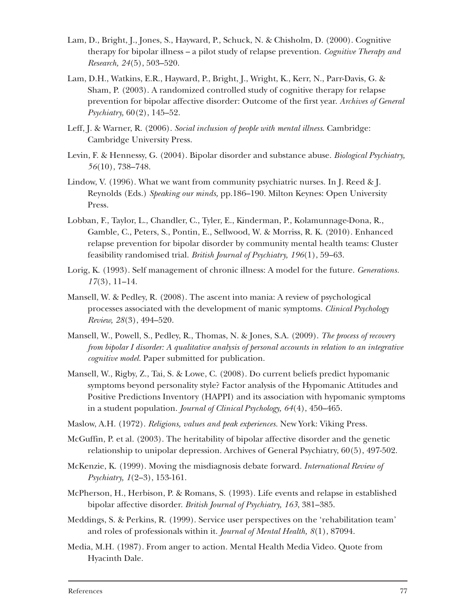- Lam, D., Bright, J., Jones, S., Hayward, P., Schuck, N. & Chisholm, D. (2000). Cognitive therapy for bipolar illness – a pilot study of relapse prevention. *Cognitive Therapy and Research, 24*(5), 503–520.
- Lam, D.H., Watkins, E.R., Hayward, P., Bright, J., Wright, K., Kerr, N., Parr-Davis, G. & Sham, P. (2003). A randomized controlled study of cognitive therapy for relapse prevention for bipolar affective disorder: Outcome of the first year. *Archives of General Psychiatry,* 60(2), 145–52.
- Leff, J. & Warner, R. (2006). *Social inclusion of people with mental illness*. Cambridge: Cambridge University Press.
- Levin, F. & Hennessy, G. (2004). Bipolar disorder and substance abuse. *Biological Psychiatry, 56*(10), 738–748.
- Lindow, V. (1996). What we want from community psychiatric nurses. In J. Reed & J. Reynolds (Eds.) *Speaking our minds,* pp.186–190. Milton Keynes: Open University Press.
- Lobban, F., Taylor, L., Chandler, C., Tyler, E., Kinderman, P., Kolamunnage-Dona, R., Gamble, C., Peters, S., Pontin, E., Sellwood, W. & Morriss, R. K. (2010). Enhanced relapse prevention for bipolar disorder by community mental health teams: Cluster feasibility randomised trial. *British Journal of Psychiatry, 196*(1), 59–63.
- Lorig, K. (1993). Self management of chronic illness: A model for the future. *Generations. 17*(3), 11–14.
- Mansell, W. & Pedley, R. (2008). The ascent into mania: A review of psychological processes associated with the development of manic symptoms. *Clinical Psychology Review, 28*(3), 494–520.
- Mansell, W., Powell, S., Pedley, R., Thomas, N. & Jones, S.A. (2009). *The process of recovery from bipolar I disorder: A qualitative analysis of personal accounts in relation to an integrative cognitive model.* Paper submitted for publication.
- Mansell, W., Rigby, Z., Tai, S. & Lowe, C. (2008). Do current beliefs predict hypomanic symptoms beyond personality style? Factor analysis of the Hypomanic Attitudes and Positive Predictions Inventory (HAPPI) and its association with hypomanic symptoms in a student population. *Journal of Clinical Psychology, 64*(4), 450–465.
- Maslow, A.H. (1972). *Religions, values and peak experiences.* New York: Viking Press.
- McGuffin, P. et al. (2003). The heritability of bipolar affective disorder and the genetic relationship to unipolar depression. Archives of General Psychiatry, 60(5), 497-502.
- McKenzie, K. (1999). Moving the misdiagnosis debate forward. *International Review of Psychiatry, 1*(2–3), 153-161.
- McPherson, H., Herbison, P. & Romans, S. (1993). Life events and relapse in established bipolar affective disorder. *British Journal of Psychiatry, 163*, 381–385.
- Meddings, S. & Perkins, R. (1999). Service user perspectives on the 'rehabilitation team' and roles of professionals within it. *Journal of Mental Health, 8*(1), 87094.
- Media, M.H. (1987). From anger to action. Mental Health Media Video. Quote from Hyacinth Dale.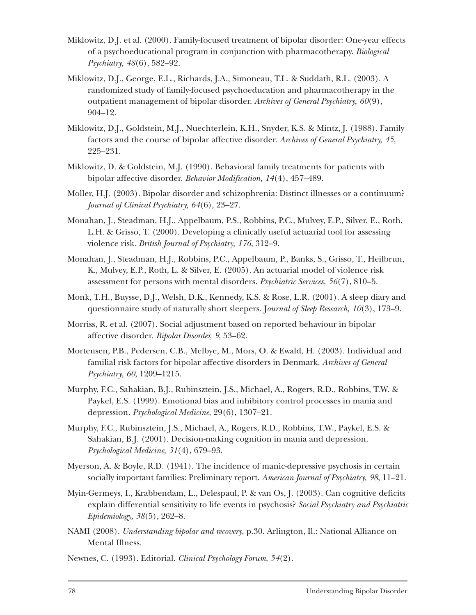- Miklowitz, D.J. et al. (2000). Family-focused treatment of bipolar disorder: One-year effects of a psychoeducational program in conjunction with pharmacotherapy. *Biological Psychiatry, 48*(6), 582–92.
- Miklowitz, D.J., George, E.L., Richards, J.A., Simoneau, T.L. & Suddath, R.L. (2003). A randomized study of family-focused psychoeducation and pharmacotherapy in the outpatient management of bipolar disorder. *Archives of General Psychiatry, 60*(9), 904–12.
- Miklowitz, D.J., Goldstein, M.J., Nuechterlein, K.H., Snyder, K.S. & Mintz, J. (1988). Family factors and the course of bipolar affective disorder. *Archives of General Psychiatry, 45*, 225–231.
- Miklowitz, D. & Goldstein, M.J. (1990). Behavioral family treatments for patients with bipolar affective disorder. *Behavior Modification, 14*(4), 457–489.
- Moller, H.J. (2003). Bipolar disorder and schizophrenia: Distinct illnesses or a continuum? *Journal of Clinical Psychiatry, 64*(6), 23–27.
- Monahan, J., Steadman, H.J., Appelbaum, P.S., Robbins, P.C., Mulvey, E.P., Silver, E., Roth, L.H. & Grisso, T. (2000). Developing a clinically useful actuarial tool for assessing violence risk. *British Journal of Psychiatry, 176*, 312–9.
- Monahan, J., Steadman, H.J., Robbins, P.C., Appelbaum, P., Banks, S., Grisso, T., Heilbrun, K., Mulvey, E.P., Roth, L. & Silver, E. (2005). An actuarial model of violence risk assessment for persons with mental disorders. *Psychiatric Services, 56*(7), 810–5.
- Monk, T.H., Buysse, D.J., Welsh, D.K., Kennedy, K.S. & Rose, L.R. (2001). A sleep diary and questionnaire study of naturally short sleepers. J*ournal of Sleep Research, 10*(3), 173–9.
- Morriss, R. et al. (2007). Social adjustment based on reported behaviour in bipolar affective disorder. *Bipolar Disorder, 9*, 53–62.
- Mortensen, P.B., Pedersen, C.B., Melbye, M., Mors, O. & Ewald, H. (2003). Individual and familial risk factors for bipolar affective disorders in Denmark. *Archives of General Psychiatry, 60*, 1209–1215.
- Murphy, F.C., Sahakian, B.J., Rubinsztein, J.S., Michael, A., Rogers, R.D., Robbins, T.W. & Paykel, E.S. (1999). Emotional bias and inhibitory control processes in mania and depression. *Psychological Medicine,* 29(6), 1307–21.
- Murphy, F.C., Rubinsztein, J.S., Michael, A., Rogers, R.D., Robbins, T.W., Paykel, E.S. & Sahakian, B.J. (2001). Decision-making cognition in mania and depression. *Psychological Medicine, 31*(4), 679–93.
- Myerson, A. & Boyle, R.D. (1941). The incidence of manic-depressive psychosis in certain socially important families: Preliminary report. *American Journal of Psychiatry, 98*, 11–21.
- Myin-Germeys, I., Krabbendam, L., Delespaul, P. & van Os, J. (2003). Can cognitive deficits explain differential sensitivity to life events in psychosis? *Social Psychiatry and Psychiatric Epidemiology, 38*(5), 262–8.
- NAMI (2008). *Understanding bipolar and recovery*, p.30. Arlington, Il.: National Alliance on Mental Illness.
- Newnes, C. (1993). Editorial. *Clinical Psychology Forum, 54*(2).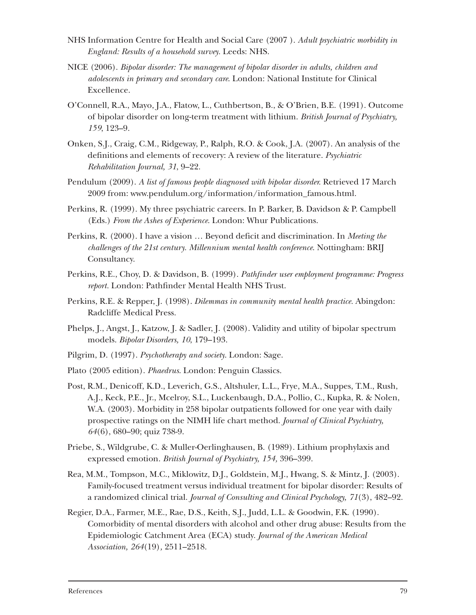- NHS Information Centre for Health and Social Care (2007 ). *Adult psychiatric morbidity in England: Results of a household survey.* Leeds: NHS.
- NICE (2006). *Bipolar disorder: The management of bipolar disorder in adults, children and adolescents in primary and secondary care*. London: National Institute for Clinical Excellence.
- O'Connell, R.A., Mayo, J.A., Flatow, L., Cuthbertson, B., & O'Brien, B.E. (1991). Outcome of bipolar disorder on long-term treatment with lithium. *British Journal of Psychiatry, 159*, 123–9.
- Onken, S.J., Craig, C.M., Ridgeway, P., Ralph, R.O. & Cook, J.A. (2007). An analysis of the definitions and elements of recovery: A review of the literature. *Psychiatric Rehabilitation Journal, 31*, 9–22.
- Pendulum (2009). *A list of famous people diagnosed with bipolar disorder.* Retrieved 17 March 2009 from: www.pendulum.org/information/information\_famous.html.
- Perkins, R. (1999). My three psychiatric careers. In P. Barker, B. Davidson & P. Campbell (Eds.) *From the Ashes of Experience*. London: Whur Publications.
- Perkins, R. (2000). I have a vision … Beyond deficit and discrimination. In *Meeting the challenges of the 21st century. Millennium mental health conference*. Nottingham: BRIJ Consultancy.
- Perkins, R.E., Choy, D. & Davidson, B. (1999). *Pathfinder user employment programme: Progress report.* London: Pathfinder Mental Health NHS Trust.
- Perkins, R.E. & Repper, J. (1998). *Dilemmas in community mental health practice.* Abingdon: Radcliffe Medical Press.
- Phelps, J., Angst, J., Katzow, J. & Sadler, J. (2008). Validity and utility of bipolar spectrum models. *Bipolar Disorders, 10*, 179–193.
- Pilgrim, D. (1997). *Psychotherapy and society*. London: Sage.
- Plato (2005 edition). *Phaedrus*. London: Penguin Classics.
- Post, R.M., Denicoff, K.D., Leverich, G.S., Altshuler, L.L., Frye, M.A., Suppes, T.M., Rush, A.J., Keck, P.E., Jr., Mcelroy, S.L., Luckenbaugh, D.A., Pollio, C., Kupka, R. & Nolen, W.A. (2003). Morbidity in 258 bipolar outpatients followed for one year with daily prospective ratings on the NIMH life chart method. *Journal of Clinical Psychiatry, 64*(6), 680–90; quiz 738-9.
- Priebe, S., Wildgrube, C. & Muller-Oerlinghausen, B. (1989). Lithium prophylaxis and expressed emotion. *British Journal of Psychiatry, 154,* 396–399.
- Rea, M.M., Tompson, M.C., Miklowitz, D.J., Goldstein, M.J., Hwang, S. & Mintz, J. (2003). Family-focused treatment versus individual treatment for bipolar disorder: Results of a randomized clinical trial. *Journal of Consulting and Clinical Psychology, 71*(3), 482–92.
- Regier, D.A., Farmer, M.E., Rae, D.S., Keith, S.J., Judd, L.L. & Goodwin, F.K. (1990). Comorbidity of mental disorders with alcohol and other drug abuse: Results from the Epidemiologic Catchment Area (ECA) study. *Journal of the American Medical Association, 264*(19)*,* 2511–2518.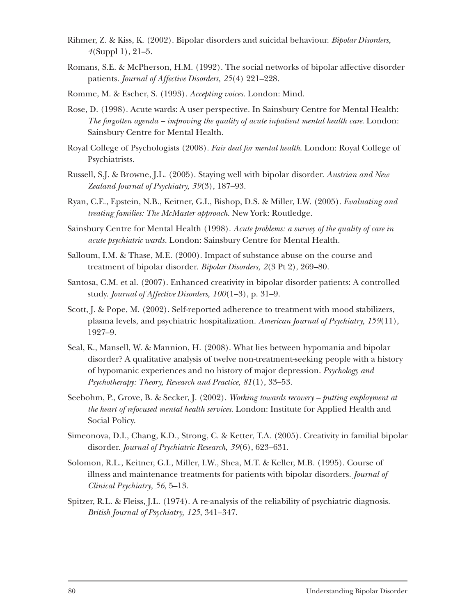- Rihmer, Z. & Kiss, K. (2002). Bipolar disorders and suicidal behaviour. *Bipolar Disorders, 4*(Suppl 1), 21–5.
- Romans, S.E. & McPherson, H.M. (1992). The social networks of bipolar affective disorder patients. *Journal of Affective Disorders, 25*(4) 221–228.
- Romme, M. & Escher, S. (1993). *Accepting voices.* London: Mind.
- Rose, D. (1998). Acute wards: A user perspective. In Sainsbury Centre for Mental Health: *The forgotten agenda – improving the quality of acute inpatient mental health care*. London: Sainsbury Centre for Mental Health.
- Royal College of Psychologists (2008). *Fair deal for mental health*. London: Royal College of Psychiatrists.
- Russell, S.J. & Browne, J.L. (2005). Staying well with bipolar disorder. *Austrian and New Zealand Journal of Psychiatry, 39*(3), 187–93.
- Ryan, C.E., Epstein, N.B., Keitner, G.I., Bishop, D.S. & Miller, I.W. (2005). *Evaluating and treating families: The McMaster approach.* New York: Routledge.
- Sainsbury Centre for Mental Health (1998). *Acute problems: a survey of the quality of care in acute psychiatric wards.* London: Sainsbury Centre for Mental Health.
- Salloum, I.M. & Thase, M.E. (2000). Impact of substance abuse on the course and treatment of bipolar disorder. *Bipolar Disorders, 2*(3 Pt 2), 269–80.
- Santosa, C.M. et al. (2007). Enhanced creativity in bipolar disorder patients: A controlled study. *Journal of Affective Disorders, 100*(1–3), p. 31–9.
- Scott, J. & Pope, M. (2002). Self-reported adherence to treatment with mood stabilizers, plasma levels, and psychiatric hospitalization. *American Journal of Psychiatry, 159*(11), 1927–9.
- Seal, K., Mansell, W. & Mannion, H. (2008). What lies between hypomania and bipolar disorder? A qualitative analysis of twelve non-treatment-seeking people with a history of hypomanic experiences and no history of major depression. *Psychology and Psychotherapy: Theory, Research and Practice, 81*(1), 33–53.
- Seebohm, P., Grove, B. & Secker, J. (2002). *Working towards recovery putting employment at the heart of refocused mental health services*. London: Institute for Applied Health and Social Policy.
- Simeonova, D.I., Chang, K.D., Strong, C. & Ketter, T.A. (2005). Creativity in familial bipolar disorder. *Journal of Psychiatric Research, 39*(6), 623–631.
- Solomon, R.L., Keitner, G.I., Miller, I.W., Shea, M.T. & Keller, M.B. (1995). Course of illness and maintenance treatments for patients with bipolar disorders. *Journal of Clinical Psychiatry, 56*, 5–13.
- Spitzer, R.L. & Fleiss, J.L. (1974). A re-analysis of the reliability of psychiatric diagnosis. *British Journal of Psychiatry, 125*, 341–347.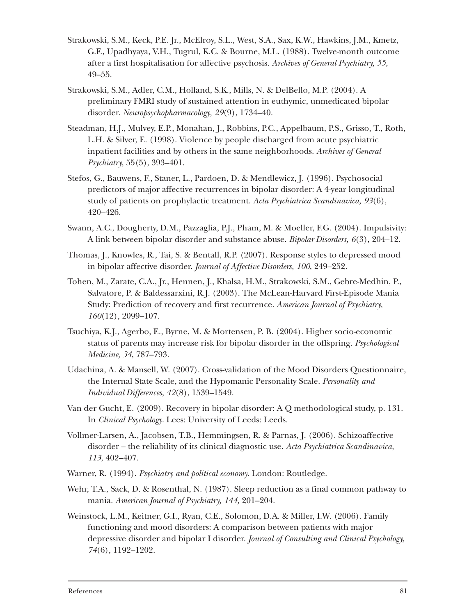- Strakowski, S.M., Keck, P.E. Jr., McElroy, S.L., West, S.A., Sax, K.W., Hawkins, J.M., Kmetz, G.F., Upadhyaya, V.H., Tugrul, K.C. & Bourne, M.L. (1988). Twelve-month outcome after a first hospitalisation for affective psychosis. *Archives of General Psychiatry, 55*, 49–55.
- Strakowski, S.M., Adler, C.M., Holland, S.K., Mills, N. & DelBello, M.P. (2004). A preliminary FMRI study of sustained attention in euthymic, unmedicated bipolar disorder. *Neuropsychopharmacology, 29*(9), 1734–40.
- Steadman, H.J., Mulvey, E.P., Monahan, J., Robbins, P.C., Appelbaum, P.S., Grisso, T., Roth, L.H. & Silver, E. (1998). Violence by people discharged from acute psychiatric inpatient facilities and by others in the same neighborhoods. *Archives of General Psychiatry,* 55(5), 393–401.
- Stefos, G., Bauwens, F., Staner, L., Pardoen, D. & Mendlewicz, J. (1996). Psychosocial predictors of major affective recurrences in bipolar disorder: A 4-year longitudinal study of patients on prophylactic treatment. *Acta Psychiatrica Scandinavica, 93*(6), 420–426.
- Swann, A.C., Dougherty, D.M., Pazzaglia, P.J., Pham, M. & Moeller, F.G. (2004). Impulsivity: A link between bipolar disorder and substance abuse. *Bipolar Disorders, 6*(3), 204–12.
- Thomas, J., Knowles, R., Tai, S. & Bentall, R.P. (2007). Response styles to depressed mood in bipolar affective disorder. *Journal of Affective Disorders, 100*, 249–252.
- Tohen, M., Zarate, C.A., Jr., Hennen, J., Khalsa, H.M., Strakowski, S.M., Gebre-Medhin, P., Salvatore, P. & Baldessarxini, R.J. (2003). The McLean-Harvard First-Episode Mania Study: Prediction of recovery and first recurrence. *American Journal of Psychiatry, 160*(12), 2099–107.
- Tsuchiya, K.J., Agerbo, E., Byrne, M. & Mortensen, P. B. (2004). Higher socio-economic status of parents may increase risk for bipolar disorder in the offspring. *Psychological Medicine, 34*, 787–793.
- Udachina, A. & Mansell, W. (2007). Cross-validation of the Mood Disorders Questionnaire, the Internal State Scale, and the Hypomanic Personality Scale. *Personality and Individual Differences*, *42*(8), 1539–1549.
- Van der Gucht, E. (2009). Recovery in bipolar disorder: A Q methodological study, p. 131. In *Clinical Psychology*. Lees: University of Leeds: Leeds.
- Vollmer-Larsen, A., Jacobsen, T.B., Hemmingsen, R. & Parnas, J. (2006). Schizoaffective disorder – the reliability of its clinical diagnostic use. *Acta Psychiatrica Scandinavica, 113*, 402–407.
- Warner, R. (1994). *Psychiatry and political economy*. London: Routledge.
- Wehr, T.A., Sack, D. & Rosenthal, N. (1987). Sleep reduction as a final common pathway to mania. *American Journal of Psychiatry, 144,* 201–204.
- Weinstock, L.M., Keitner, G.I., Ryan, C.E., Solomon, D.A. & Miller, I.W. (2006). Family functioning and mood disorders: A comparison between patients with major depressive disorder and bipolar I disorder. *Journal of Consulting and Clinical Psychology, 74*(6), 1192–1202.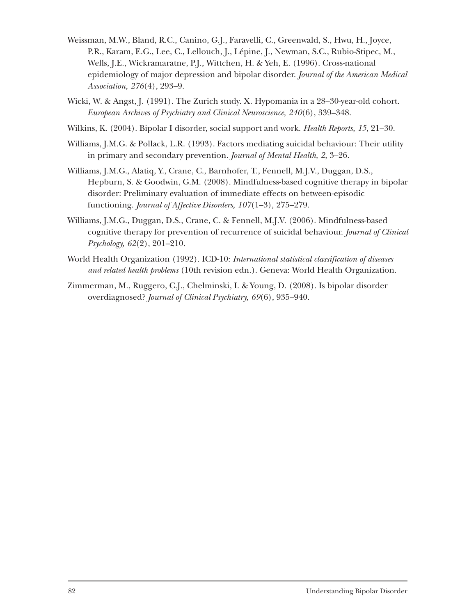- Weissman, M.W., Bland, R.C., Canino, G.J., Faravelli, C., Greenwald, S., Hwu, H., Joyce, P.R., Karam, E.G., Lee, C., Lellouch, J., Lépine, J., Newman, S.C., Rubio-Stipec, M., Wells, J.E., Wickramaratne, P.J., Wittchen, H. & Yeh, E. (1996). Cross-national epidemiology of major depression and bipolar disorder. *Journal of the American Medical Association, 276*(4), 293–9.
- Wicki, W. & Angst, J. (1991). The Zurich study. X. Hypomania in a 28–30-year-old cohort. *European Archives of Psychiatry and Clinical Neuroscience, 240*(6), 339–348.
- Wilkins, K. (2004). Bipolar I disorder, social support and work. *Health Reports, 15*, 21–30.
- Williams, J.M.G. & Pollack, L.R. (1993). Factors mediating suicidal behaviour: Their utility in primary and secondary prevention. *Journal of Mental Health, 2,* 3–26.
- Williams, J.M.G., Alatiq, Y., Crane, C., Barnhofer, T., Fennell, M.J.V., Duggan, D.S., Hepburn, S. & Goodwin, G.M. (2008). Mindfulness-based cognitive therapy in bipolar disorder: Preliminary evaluation of immediate effects on between-episodic functioning. *Journal of Affective Disorders, 107*(1–3)*,* 275–279.
- Williams, J.M.G., Duggan, D.S., Crane, C. & Fennell, M.J.V. (2006). Mindfulness-based cognitive therapy for prevention of recurrence of suicidal behaviour. *Journal of Clinical Psychology, 62*(2), 201–210.
- World Health Organization (1992). ICD-10: *International statistical classification of diseases and related health problems* (10th revision edn.). Geneva: World Health Organization.
- Zimmerman, M., Ruggero, C.J., Chelminski, I. & Young, D. (2008). Is bipolar disorder overdiagnosed? *Journal of Clinical Psychiatry, 69*(6), 935–940.